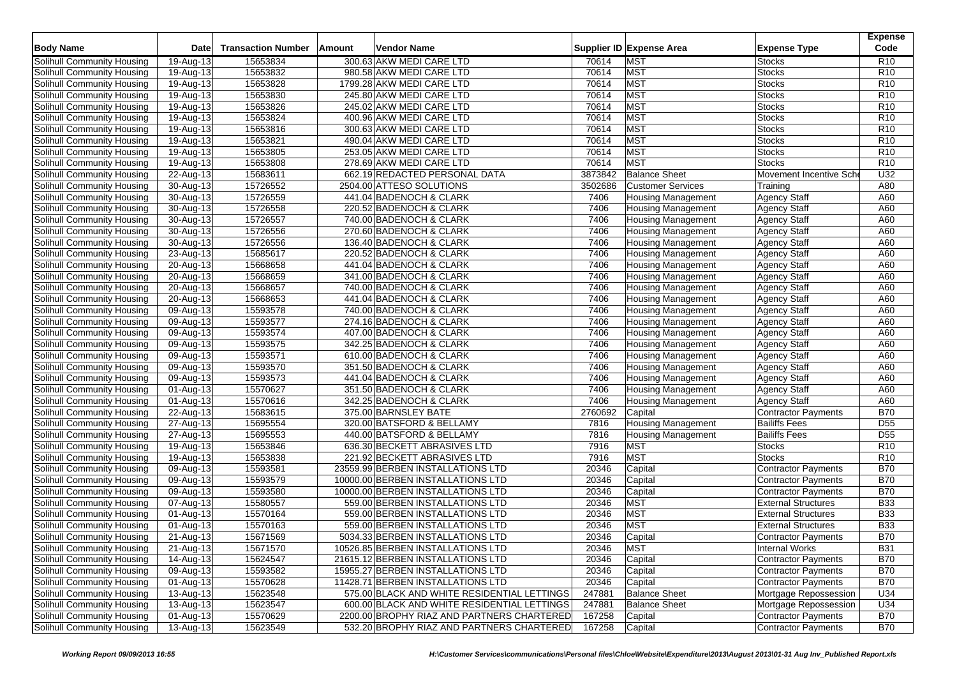| <b>Body Name</b>           | Date                       | <b>Transaction Number</b> | Amount | Vendor Name                                 |         | Supplier ID Expense Area  | <b>Expense Type</b>        | <b>Expense</b><br>Code |
|----------------------------|----------------------------|---------------------------|--------|---------------------------------------------|---------|---------------------------|----------------------------|------------------------|
| Solihull Community Housing | 19-Aug-13                  | 15653834                  |        | 300.63 AKW MEDI CARE LTD                    | 70614   | <b>MST</b>                | <b>Stocks</b>              | R10                    |
| Solihull Community Housing | 19-Aug-13                  | 15653832                  |        | 980.58 AKW MEDI CARE LTD                    | 70614   | <b>MST</b>                | <b>Stocks</b>              | R <sub>10</sub>        |
| Solihull Community Housing | $19-Aug-13$                | 15653828                  |        | 1799.28 AKW MEDI CARE LTD                   | 70614   | <b>MST</b>                | <b>Stocks</b>              | R <sub>10</sub>        |
| Solihull Community Housing | $\overline{19}$ -Aug-13    | 15653830                  |        | 245.80 AKW MEDI CARE LTD                    | 70614   | <b>MST</b>                | <b>Stocks</b>              | R <sub>10</sub>        |
| Solihull Community Housing | 19-Aug-13                  | 15653826                  |        | 245.02 AKW MEDI CARE LTD                    | 70614   | <b>MST</b>                | <b>Stocks</b>              | R <sub>10</sub>        |
| Solihull Community Housing | 19-Aug-13                  | 15653824                  |        | 400.96 AKW MEDI CARE LTD                    | 70614   | <b>MST</b>                | <b>Stocks</b>              | R <sub>10</sub>        |
| Solihull Community Housing | 19-Aug-13                  | 15653816                  |        | 300.63 AKW MEDI CARE LTD                    | 70614   | <b>MST</b>                | <b>Stocks</b>              | R <sub>10</sub>        |
| Solihull Community Housing | 19-Aug-13                  | 15653821                  |        | 490.04 AKW MEDI CARE LTD                    | 70614   | <b>MST</b>                | <b>Stocks</b>              | R <sub>10</sub>        |
| Solihull Community Housing | 19-Aug-13                  | 15653805                  |        | 253.05 AKW MEDI CARE LTD                    | 70614   | <b>MST</b>                | Stocks                     | R <sub>10</sub>        |
| Solihull Community Housing | 19-Aug-13                  | 15653808                  |        | 278.69 AKW MEDI CARE LTD                    | 70614   | <b>MST</b>                | <b>Stocks</b>              | R <sub>10</sub>        |
| Solihull Community Housing | 22-Aug-13                  | 15683611                  |        | 662.19 REDACTED PERSONAL DATA               | 3873842 | <b>Balance Sheet</b>      | Movement Incentive Sch     | U32                    |
| Solihull Community Housing | 30-Aug-13                  | 15726552                  |        | 2504.00 ATTESO SOLUTIONS                    | 3502686 | <b>Customer Services</b>  | Training                   | A80                    |
| Solihull Community Housing | 30-Aug-13                  | 15726559                  |        | 441.04 BADENOCH & CLARK                     | 7406    | <b>Housing Management</b> | Agency Staff               | A60                    |
| Solihull Community Housing | 30-Aug-13                  | 15726558                  |        | 220.52 BADENOCH & CLARK                     | 7406    | <b>Housing Management</b> | <b>Agency Staff</b>        | A60                    |
| Solihull Community Housing | 30-Aug-13                  | 15726557                  |        | 740.00 BADENOCH & CLARK                     | 7406    | <b>Housing Management</b> | <b>Agency Staff</b>        | A60                    |
| Solihull Community Housing | 30-Aug-13                  | 15726556                  |        | 270.60 BADENOCH & CLARK                     | 7406    | Housing Management        | <b>Agency Staff</b>        | A60                    |
| Solihull Community Housing | $30$ -Aug- $\overline{13}$ | 15726556                  |        | 136.40 BADENOCH & CLARK                     | 7406    | <b>Housing Management</b> | <b>Agency Staff</b>        | A60                    |
| Solihull Community Housing | 23-Aug-13                  | 15685617                  |        | 220.52 BADENOCH & CLARK                     | 7406    | <b>Housing Management</b> | <b>Agency Staff</b>        | A60                    |
| Solihull Community Housing | 20-Aug-13                  | 15668658                  |        | 441.04 BADENOCH & CLARK                     | 7406    | <b>Housing Management</b> | Agency Staff               | A60                    |
| Solihull Community Housing | 20-Aug-13                  | 15668659                  |        | 341.00 BADENOCH & CLARK                     | 7406    | <b>Housing Management</b> | <b>Agency Staff</b>        | A60                    |
| Solihull Community Housing | $\overline{20}$ -Aug-13    | 15668657                  |        | 740.00 BADENOCH & CLARK                     | 7406    | <b>Housing Management</b> | <b>Agency Staff</b>        | A60                    |
| Solihull Community Housing | 20-Aug-13                  | 15668653                  |        | 441.04 BADENOCH & CLARK                     | 7406    | <b>Housing Management</b> | <b>Agency Staff</b>        | A60                    |
| Solihull Community Housing | 09-Aug-13                  | 15593578                  |        | 740.00 BADENOCH & CLARK                     | 7406    | <b>Housing Management</b> | <b>Agency Staff</b>        | A60                    |
| Solihull Community Housing | 09-Aug-13                  | 15593577                  |        | 274.16 BADENOCH & CLARK                     | 7406    | <b>Housing Management</b> | <b>Agency Staff</b>        | A60                    |
| Solihull Community Housing | 09-Aug-13                  | 15593574                  |        | 407.00 BADENOCH & CLARK                     | 7406    | <b>Housing Management</b> | <b>Agency Staff</b>        | A60                    |
| Solihull Community Housing | 09-Aug-13                  | 15593575                  |        | 342.25 BADENOCH & CLARK                     | 7406    | <b>Housing Management</b> | <b>Agency Staff</b>        | A60                    |
| Solihull Community Housing | 09-Aug-13                  | 15593571                  |        | 610.00 BADENOCH & CLARK                     | 7406    | <b>Housing Management</b> | <b>Agency Staff</b>        | A60                    |
| Solihull Community Housing | 09-Aug-13                  | 15593570                  |        | 351.50 BADENOCH & CLARK                     | 7406    | <b>Housing Management</b> | <b>Agency Staff</b>        | A60                    |
| Solihull Community Housing | 09-Aug-13                  | 15593573                  |        | 441.04 BADENOCH & CLARK                     | 7406    | <b>Housing Management</b> | <b>Agency Staff</b>        | A60                    |
| Solihull Community Housing | 01-Aug-13                  | 15570627                  |        | 351.50 BADENOCH & CLARK                     | 7406    | <b>Housing Management</b> | <b>Agency Staff</b>        | A60                    |
| Solihull Community Housing | 01-Aug-13                  | 15570616                  |        | 342.25 BADENOCH & CLARK                     | 7406    | <b>Housing Management</b> | <b>Agency Staff</b>        | A60                    |
| Solihull Community Housing | 22-Aug-13                  | 15683615                  |        | 375.00 BARNSLEY BATE                        | 2760692 | Capital                   | <b>Contractor Payments</b> | <b>B70</b>             |
| Solihull Community Housing | 27-Aug-13                  | 15695554                  |        | 320.00 BATSFORD & BELLAMY                   | 7816    | <b>Housing Management</b> | <b>Bailiffs Fees</b>       | D <sub>55</sub>        |
| Solihull Community Housing | 27-Aug-13                  | 15695553                  |        | 440.00 BATSFORD & BELLAMY                   | 7816    | <b>Housing Management</b> | <b>Bailiffs Fees</b>       | D <sub>55</sub>        |
| Solihull Community Housing | 19-Aug-13                  | 15653846                  |        | 636.30 BECKETT ABRASIVES LTD                | 7916    | <b>MST</b>                | <b>Stocks</b>              | R <sub>10</sub>        |
| Solihull Community Housing | 19-Aug-13                  | 15653838                  |        | 221.92 BECKETT ABRASIVES LTD                | 7916    | <b>MST</b>                | <b>Stocks</b>              | R <sub>10</sub>        |
| Solihull Community Housing | 09-Aug-13                  | 15593581                  |        | 23559.99 BERBEN INSTALLATIONS LTD           | 20346   | Capital                   | Contractor Payments        | <b>B70</b>             |
| Solihull Community Housing | 09-Aug-13                  | 15593579                  |        | 10000.00 BERBEN INSTALLATIONS LTD           | 20346   | Capital                   | <b>Contractor Payments</b> | <b>B70</b>             |
| Solihull Community Housing | 09-Aug-13                  | 15593580                  |        | 10000.00 BERBEN INSTALLATIONS LTD           | 20346   | Capital                   | <b>Contractor Payments</b> | <b>B70</b>             |
| Solihull Community Housing | 07-Aug-13                  | 15580557                  |        | 559.00 BERBEN INSTALLATIONS LTD             | 20346   | <b>MST</b>                | <b>External Structures</b> | <b>B33</b>             |
| Solihull Community Housing | $\overline{01-A}$ ug-13    | 15570164                  |        | 559.00 BERBEN INSTALLATIONS LTD             | 20346   | <b>MST</b>                | <b>External Structures</b> | <b>B33</b>             |
| Solihull Community Housing | 01-Aug-13                  | 15570163                  |        | 559.00 BERBEN INSTALLATIONS LTD             | 20346   | <b>MST</b>                | <b>External Structures</b> | <b>B33</b>             |
| Solihull Community Housing | 21-Aug-13                  | 15671569                  |        | 5034.33 BERBEN INSTALLATIONS LTD            | 20346   | Capital                   | <b>Contractor Payments</b> | <b>B70</b>             |
| Solihull Community Housing | 21-Aug-13                  | 15671570                  |        | 10526.85 BERBEN INSTALLATIONS LTD           | 20346   | <b>MST</b>                | Internal Works             | <b>B31</b>             |
| Solihull Community Housing | $14$ -Aug-13               | 15624547                  |        | 21615.12 BERBEN INSTALLATIONS LTD           | 20346   | Capital                   | <b>Contractor Payments</b> | <b>B70</b>             |
| Solihull Community Housing | 09-Aug-13                  | 15593582                  |        | 15955.27 BERBEN INSTALLATIONS LTD           | 20346   | Capital                   | Contractor Payments        | <b>B70</b>             |
| Solihull Community Housing | 01-Aug-13                  | 15570628                  |        | 11428.71 BERBEN INSTALLATIONS LTD           | 20346   | Capital                   | <b>Contractor Payments</b> | <b>B70</b>             |
| Solihull Community Housing | $13-Aug-13$                | 15623548                  |        | 575.00 BLACK AND WHITE RESIDENTIAL LETTINGS | 247881  | <b>Balance Sheet</b>      | Mortgage Repossession      | U34                    |
| Solihull Community Housing | 13-Aug-13                  | 15623547                  |        | 600.00 BLACK AND WHITE RESIDENTIAL LETTINGS | 247881  | <b>Balance Sheet</b>      | Mortgage Repossession      | U34                    |
| Solihull Community Housing | 01-Aug-13                  | 15570629                  |        | 2200.00 BROPHY RIAZ AND PARTNERS CHARTERED  | 167258  | Capital                   | Contractor Payments        | <b>B70</b>             |
| Solihull Community Housing | 13-Aug-13                  | 15623549                  |        | 532.20 BROPHY RIAZ AND PARTNERS CHARTERED   | 167258  | Capital                   | <b>Contractor Payments</b> | <b>B70</b>             |
|                            |                            |                           |        |                                             |         |                           |                            |                        |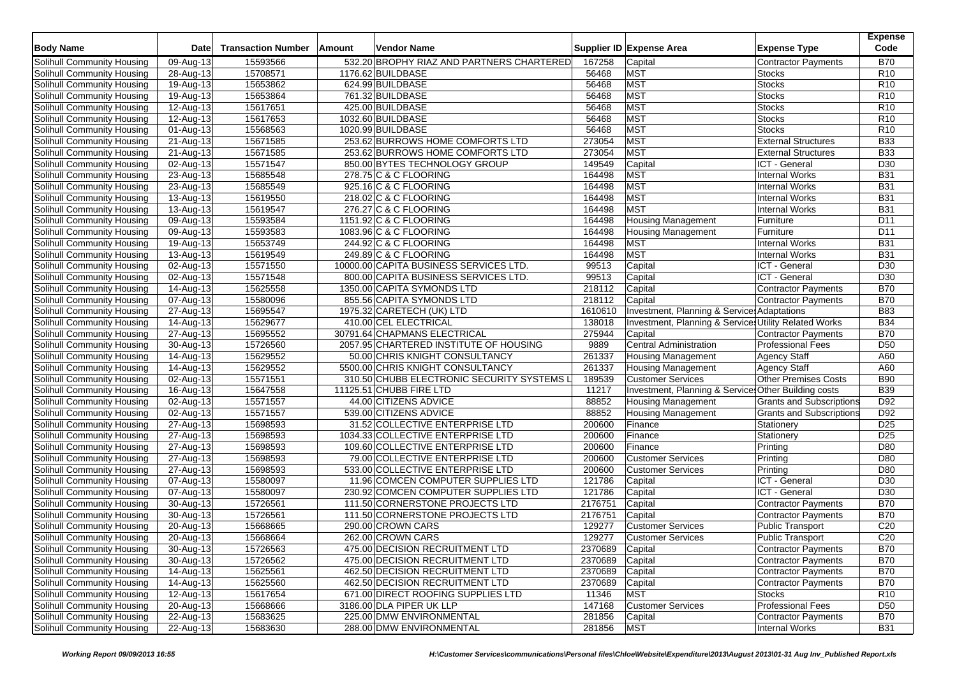| <b>Body Name</b>           | <b>Date</b>             | <b>Transaction Number</b> | Amount | <b>Vendor Name</b>                         |                 | Supplier ID Expense Area                              | <b>Expense Type</b>             | <b>Expense</b><br>Code |
|----------------------------|-------------------------|---------------------------|--------|--------------------------------------------|-----------------|-------------------------------------------------------|---------------------------------|------------------------|
| Solihull Community Housing | 09-Aug-13               | 15593566                  |        | 532.20 BROPHY RIAZ AND PARTNERS CHARTERED  | 167258          | Capital                                               | <b>Contractor Payments</b>      | <b>B70</b>             |
| Solihull Community Housing | 28-Aug-13               | 15708571                  |        | 1176.62 BUILDBASE                          | 56468           | <b>MST</b>                                            | <b>Stocks</b>                   | R <sub>10</sub>        |
| Solihull Community Housing | 19-Aug-13               | 15653862                  |        | 624.99 BUILDBASE                           | 56468           | <b>MST</b>                                            | <b>Stocks</b>                   | R <sub>10</sub>        |
| Solihull Community Housing | 19-Aug-13               | 15653864                  |        | 761.32 BUILDBASE                           | 56468           | MST                                                   | <b>Stocks</b>                   | R <sub>10</sub>        |
| Solihull Community Housing | 12-Aug-13               | 15617651                  |        | 425.00 BUILDBASE                           | 56468           | <b>MST</b>                                            | <b>Stocks</b>                   | R10                    |
| Solihull Community Housing | 12-Aug-13               | 15617653                  |        | 1032.60 BUILDBASE                          | 56468           | MST                                                   | <b>Stocks</b>                   | R <sub>10</sub>        |
| Solihull Community Housing | 01-Aug-13               | 15568563                  |        | 1020.99 BUILDBASE                          | 56468           | MST                                                   | <b>Stocks</b>                   | R <sub>10</sub>        |
| Solihull Community Housing | 21-Aug-13               | 15671585                  |        | 253.62 BURROWS HOME COMFORTS LTD           | 273054          | <b>MST</b>                                            | <b>External Structures</b>      | <b>B33</b>             |
| Solihull Community Housing | 21-Aug-13               | 15671585                  |        | 253.62 BURROWS HOME COMFORTS LTD           | 273054          | <b>MST</b>                                            | <b>External Structures</b>      | <b>B33</b>             |
| Solihull Community Housing | 02-Aug-13               | 15571547                  |        | 850.00 BYTES TECHNOLOGY GROUP              | 149549          | Capital                                               | ICT - General                   | D <sub>30</sub>        |
| Solihull Community Housing | 23-Aug-13               | 15685548                  |        | 278.75 C & C FLOORING                      | 164498          | <b>MST</b>                                            | <b>Internal Works</b>           | <b>B31</b>             |
| Solihull Community Housing | 23-Aug-13               | 15685549                  |        | 925.16 C & C FLOORING                      | 164498          | <b>MST</b>                                            | <b>Internal Works</b>           | <b>B31</b>             |
| Solihull Community Housing | 13-Aug-13               | 15619550                  |        | 218.02 C & C FLOORING                      | 164498          | <b>MST</b>                                            | <b>Internal Works</b>           | <b>B31</b>             |
| Solihull Community Housing | 13-Aug-13               | 15619547                  |        | 276.27 C & C FLOORING                      | 164498          | <b>MST</b>                                            | <b>Internal Works</b>           | <b>B31</b>             |
| Solihull Community Housing | 09-Aug-13               | 15593584                  |        | 1151.92 C & C FLOORING                     | 164498          | <b>Housing Management</b>                             | Furniture                       | D <sub>11</sub>        |
| Solihull Community Housing | 09-Aug-13               | 15593583                  |        | 1083.96 C & C FLOORING                     | 164498          | <b>Housing Management</b>                             | Furniture                       | D <sub>11</sub>        |
| Solihull Community Housing | 19-Aug-13               | 15653749                  |        | 244.92 C & C FLOORING                      | 164498          | <b>MST</b>                                            | <b>Internal Works</b>           | <b>B31</b>             |
| Solihull Community Housing | 13-Aug-13               | 15619549                  |        | 249.89 C & C FLOORING                      | 164498          | <b>MST</b>                                            | <b>Internal Works</b>           | <b>B31</b>             |
| Solihull Community Housing | 02-Aug-13               | 15571550                  |        | 10000.00 CAPITA BUSINESS SERVICES LTD.     | 99513           | Capital                                               | ICT - General                   | D30                    |
| Solihull Community Housing | 02-Aug-13               | 15571548                  |        | 800.00 CAPITA BUSINESS SERVICES LTD.       | 99513           | Capital                                               | ICT - General                   | D <sub>30</sub>        |
| Solihull Community Housing | 14-Aug-13               | 15625558                  |        | 1350.00 CAPITA SYMONDS LTD                 | 218112          | Capital                                               | Contractor Payments             | <b>B70</b>             |
| Solihull Community Housing | 07-Aug-13               | 15580096                  |        | 855.56 CAPITA SYMONDS LTD                  | 218112          | Capital                                               | Contractor Payments             | <b>B70</b>             |
| Solihull Community Housing | 27-Aug-13               | 15695547                  |        | 1975.32 CARETECH (UK) LTD                  | 1610610         | Investment, Planning & Services Adaptations           |                                 | <b>B83</b>             |
| Solihull Community Housing | 14-Aug-13               | 15629677                  |        | 410.00 CEL ELECTRICAL                      | 138018          | Investment, Planning & Services Utility Related Works |                                 | <b>B34</b>             |
| Solihull Community Housing | 27-Aug-13               | 15695552                  |        | 30791.64 CHAPMANS ELECTRICAL               | 275944          | Capital                                               | Contractor Payments             | <b>B70</b>             |
| Solihull Community Housing | 30-Aug-13               | 15726560                  |        | 2057.95 CHARTERED INSTITUTE OF HOUSING     | 9889            | Central Administration                                | <b>Professional Fees</b>        | D <sub>50</sub>        |
| Solihull Community Housing | 14-Aug-13               | 15629552                  |        | 50.00 CHRIS KNIGHT CONSULTANCY             | 261337          | <b>Housing Management</b>                             | <b>Agency Staff</b>             | A60                    |
| Solihull Community Housing | 14-Aug-13               | 15629552                  |        | 5500.00 CHRIS KNIGHT CONSULTANCY           | 261337          | <b>Housing Management</b>                             | <b>Agency Staff</b>             | A60                    |
| Solihull Community Housing | 02-Aug-13               | 15571551                  |        | 310.50 CHUBB ELECTRONIC SECURITY SYSTEMS L | 189539          | <b>Customer Services</b>                              | Other Premises Costs            | <b>B90</b>             |
| Solihull Community Housing | 16-Aug-13               | 15647558                  |        | 11125.51 CHUBB FIRE LTD                    | 11217           | Investment, Planning & Services Other Building costs  |                                 | <b>B39</b>             |
| Solihull Community Housing | 02-Aug-13               | 15571557                  |        | 44.00 CITIZENS ADVICE                      | 88852           | <b>Housing Management</b>                             | <b>Grants and Subscriptions</b> | D92                    |
| Solihull Community Housing | 02-Aug-13               | 15571557                  |        | 539.00 CITIZENS ADVICE                     | 88852           | <b>Housing Management</b>                             | <b>Grants and Subscriptions</b> | D92                    |
| Solihull Community Housing | $\overline{27}$ -Aug-13 | 15698593                  |        | 31.52 COLLECTIVE ENTERPRISE LTD            | 200600          | Finance                                               | Stationery                      | D <sub>25</sub>        |
| Solihull Community Housing | 27-Aug-13               | 15698593                  |        | 1034.33 COLLECTIVE ENTERPRISE LTD          | 200600          | Finance                                               | Stationery                      | D <sub>25</sub>        |
| Solihull Community Housing | 27-Aug-13               | 15698593                  |        | 109.60 COLLECTIVE ENTERPRISE LTD           | 200600          | Finance                                               | Printing                        | D80                    |
| Solihull Community Housing | $27$ -Aug-13            | 15698593                  |        | 79.00 COLLECTIVE ENTERPRISE LTD            | 200600          | <b>Customer Services</b>                              | Printing                        | D80                    |
| Solihull Community Housing | 27-Aug-13               | 15698593                  |        | 533.00 COLLECTIVE ENTERPRISE LTD           | 200600          | <b>Customer Services</b>                              | Printing                        | D80                    |
| Solihull Community Housing | 07-Aug-13               | 15580097                  |        | 11.96 COMCEN COMPUTER SUPPLIES LTD         | 121786          | Capital                                               | ICT - General                   | D <sub>30</sub>        |
| Solihull Community Housing | 07-Aug-13               | 15580097                  |        | 230.92 COMCEN COMPUTER SUPPLIES LTD        | 121786          | Capital                                               | ICT - General                   | D <sub>30</sub>        |
| Solihull Community Housing | 30-Aug-13               | 15726561                  |        | 111.50 CORNERSTONE PROJECTS LTD            | 2176751         | Capital                                               | <b>Contractor Payments</b>      | <b>B70</b>             |
| Solihull Community Housing | 30-Aug-13               | 15726561                  |        | 111.50 CORNERSTONE PROJECTS LTD            | 2176751         | Capital                                               | Contractor Payments             | <b>B70</b>             |
| Solihull Community Housing | 20-Aug-13               | 15668665                  |        | 290.00 CROWN CARS                          | 129277          | <b>Customer Services</b>                              | Public Transport                | C <sub>20</sub>        |
| Solihull Community Housing | 20-Aug-13               | 15668664                  |        | 262.00 CROWN CARS                          | 129277          | <b>Customer Services</b>                              | <b>Public Transport</b>         | C20                    |
| Solihull Community Housing | 30-Aug-13               | 15726563                  |        | 475.00 DECISION RECRUITMENT LTD            | 2370689 Capital |                                                       | Contractor Payments             | <b>B70</b>             |
| Solihull Community Housing | 30-Aug-13               | 15726562                  |        | 475.00 DECISION RECRUITMENT LTD            | 2370689         | Capital                                               | Contractor Payments             | <b>B70</b>             |
| Solihull Community Housing | 14-Aug-13               | 15625561                  |        | 462.50 DECISION RECRUITMENT LTD            | 2370689         | Capital                                               | Contractor Payments             | <b>B70</b>             |
| Solihull Community Housing | 14-Aug-13               | 15625560                  |        | 462.50 DECISION RECRUITMENT LTD            | 2370689         | Capital                                               | Contractor Payments             | <b>B70</b>             |
| Solihull Community Housing | 12-Aug-13               | 15617654                  |        | 671.00 DIRECT ROOFING SUPPLIES LTD         | 11346           | <b>MST</b>                                            | Stocks                          | R <sub>10</sub>        |
| Solihull Community Housing | $20-Aug-13$             | 15668666                  |        | 3186.00 DLA PIPER UK LLP                   | 147168          | <b>Customer Services</b>                              | <b>Professional Fees</b>        | D <sub>50</sub>        |
| Solihull Community Housing | 22-Aug-13               | 15683625                  |        | 225.00 DMW ENVIRONMENTAL                   | 281856          | Capital                                               | Contractor Payments             | <b>B70</b>             |
| Solihull Community Housing | 22-Aug-13               | 15683630                  |        | 288.00 DMW ENVIRONMENTAL                   | 281856          | <b>MST</b>                                            | Internal Works                  | <b>B31</b>             |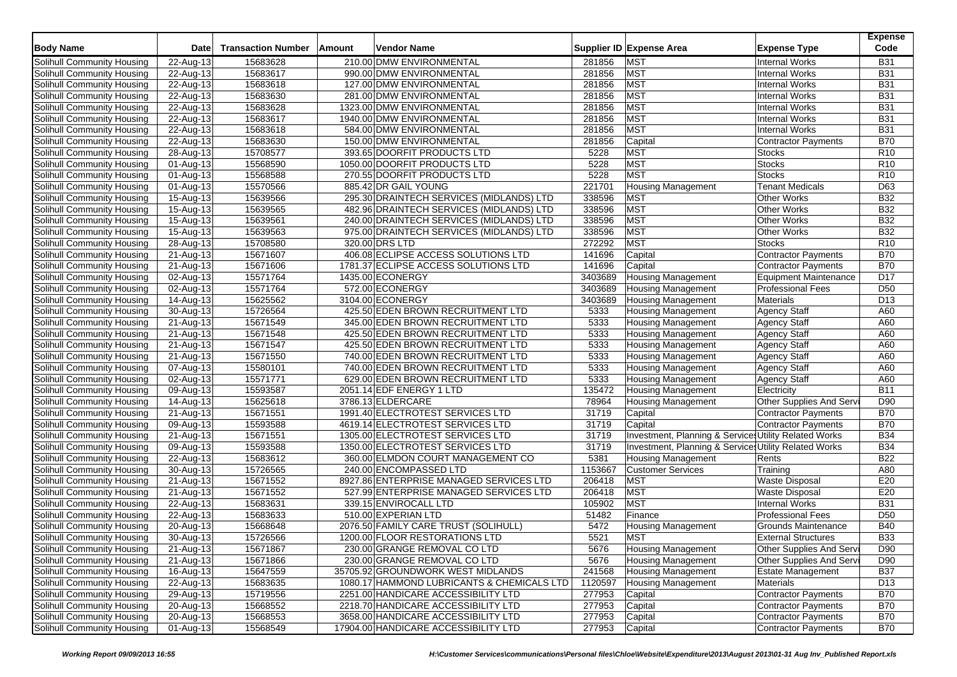| <b>Body Name</b>                  | <b>Date</b>             | <b>Transaction Number</b> | Amount | <b>Vendor Name</b>                         |         | Supplier ID Expense Area                              | <b>Expense Type</b>          | <b>Expense</b><br>Code |
|-----------------------------------|-------------------------|---------------------------|--------|--------------------------------------------|---------|-------------------------------------------------------|------------------------------|------------------------|
| Solihull Community Housing        | 22-Aug-13               | 15683628                  |        | 210.00 DMW ENVIRONMENTAL                   | 281856  | <b>MST</b>                                            | <b>Internal Works</b>        | <b>B31</b>             |
| Solihull Community Housing        | 22-Aug-13               | 15683617                  |        | 990.00 DMW ENVIRONMENTAL                   | 281856  | <b>MST</b>                                            | <b>Internal Works</b>        | <b>B31</b>             |
| Solihull Community Housing        | 22-Aug-13               | 15683618                  |        | 127.00 DMW ENVIRONMENTAL                   | 281856  | <b>MST</b>                                            | <b>Internal Works</b>        | <b>B31</b>             |
| Solihull Community Housing        | 22-Aug-13               | 15683630                  |        | 281.00 DMW ENVIRONMENTAL                   | 281856  | <b>MST</b>                                            | <b>Internal Works</b>        | <b>B31</b>             |
| Solihull Community Housing        | 22-Aug-13               | 15683628                  |        | 1323.00 DMW ENVIRONMENTAL                  | 281856  | <b>MST</b>                                            | <b>Internal Works</b>        | <b>B31</b>             |
| Solihull Community Housing        | 22-Aug-13               | 15683617                  |        | 1940.00 DMW ENVIRONMENTAL                  | 281856  | <b>MST</b>                                            | <b>Internal Works</b>        | <b>B31</b>             |
| Solihull Community Housing        | 22-Aug-13               | 15683618                  |        | 584.00 DMW ENVIRONMENTAL                   | 281856  | <b>MST</b>                                            | <b>Internal Works</b>        | <b>B31</b>             |
| Solihull Community Housing        | 22-Aug-13               | 15683630                  |        | 150.00 DMW ENVIRONMENTAL                   | 281856  | Capital                                               | <b>Contractor Payments</b>   | <b>B70</b>             |
| Solihull Community Housing        | 28-Aug-13               | 15708577                  |        | 393.65 DOORFIT PRODUCTS LTD                | 5228    | <b>MST</b>                                            | <b>Stocks</b>                | R <sub>10</sub>        |
| Solihull Community Housing        | 01-Aug-13               | 15568590                  |        | 1050.00 DOORFIT PRODUCTS LTD               | 5228    | <b>MST</b>                                            | <b>Stocks</b>                | R <sub>10</sub>        |
| Solihull Community Housing        | 01-Aug-13               | 15568588                  |        | 270.55 DOORFIT PRODUCTS LTD                | 5228    | <b>MST</b>                                            | <b>Stocks</b>                | R <sub>10</sub>        |
| Solihull Community Housing        | 01-Aug-13               | 15570566                  |        | 885.42 DR GAIL YOUNG                       | 221701  | <b>Housing Management</b>                             | <b>Tenant Medicals</b>       | D63                    |
| Solihull Community Housing        | 15-Aug-13               | 15639566                  |        | 295.30 DRAINTECH SERVICES (MIDLANDS) LTD   | 338596  | <b>MST</b>                                            | Other Works                  | <b>B32</b>             |
| Solihull Community Housing        | 15-Aug-13               | 15639565                  |        | 482.96 DRAINTECH SERVICES (MIDLANDS) LTD   | 338596  | <b>MST</b>                                            | Other Works                  | <b>B32</b>             |
| Solihull Community Housing        | $\overline{15}$ -Aug-13 | 15639561                  |        | 240.00 DRAINTECH SERVICES (MIDLANDS) LTD   | 338596  | <b>MST</b>                                            | <b>Other Works</b>           | <b>B32</b>             |
| Solihull Community Housing        | 15-Aug-13               | 15639563                  |        | 975.00 DRAINTECH SERVICES (MIDLANDS) LTD   | 338596  | <b>MST</b>                                            | Other Works                  | <b>B32</b>             |
| Solihull Community Housing        | 28-Aug-13               | 15708580                  |        | 320.00 DRS LTD                             | 272292  | <b>MST</b>                                            | <b>Stocks</b>                | R <sub>10</sub>        |
| Solihull Community Housing        | 21-Aug-13               | 15671607                  |        | 406.08 ECLIPSE ACCESS SOLUTIONS LTD        | 141696  | Capital                                               | <b>Contractor Payments</b>   | <b>B70</b>             |
| Solihull Community Housing        | 21-Aug-13               | 15671606                  |        | 1781.37 ECLIPSE ACCESS SOLUTIONS LTD       | 141696  | Capital                                               | <b>Contractor Payments</b>   | <b>B70</b>             |
| Solihull Community Housing        | 02-Aug-13               | 15571764                  |        | 1435.00 ECONERGY                           | 3403689 | <b>Housing Management</b>                             | <b>Equipment Maintenance</b> | D17                    |
| Solihull Community Housing        |                         | 15571764                  |        | 572.00 ECONERGY                            | 3403689 | <b>Housing Management</b>                             | <b>Professional Fees</b>     | D <sub>50</sub>        |
| Solihull Community Housing        | 02-Aug-13               | 15625562                  |        | 3104.00 ECONERGY                           | 3403689 | <b>Housing Management</b>                             | Materials                    | D13                    |
|                                   | 14-Aug-13               |                           |        |                                            | 5333    |                                                       |                              | A60                    |
| Solihull Community Housing        | 30-Aug-13               | 15726564                  |        | 425.50 EDEN BROWN RECRUITMENT LTD          |         | <b>Housing Management</b>                             | Agency Staff                 |                        |
| Solihull Community Housing        | 21-Aug-13               | 15671549                  |        | 345.00 EDEN BROWN RECRUITMENT LTD          | 5333    | Housing Management                                    | <b>Agency Staff</b>          | A60                    |
| Solihull Community Housing        | 21-Aug-13               | 15671548                  |        | 425.50 EDEN BROWN RECRUITMENT LTD          | 5333    | <b>Housing Management</b>                             | <b>Agency Staff</b>          | A60                    |
| Solihull Community Housing        | 21-Aug-13               | 15671547                  |        | 425.50 EDEN BROWN RECRUITMENT LTD          | 5333    | <b>Housing Management</b>                             | <b>Agency Staff</b>          | A60                    |
| Solihull Community Housing        | 21-Aug-13               | 15671550                  |        | 740.00 EDEN BROWN RECRUITMENT LTD          | 5333    | <b>Housing Management</b>                             | <b>Agency Staff</b>          | A60                    |
| Solihull Community Housing        | 07-Aug-13               | 15580101                  |        | 740.00 EDEN BROWN RECRUITMENT LTD          | 5333    | <b>Housing Management</b>                             | <b>Agency Staff</b>          | A60                    |
| Solihull Community Housing        | 02-Aug-13               | 15571771                  |        | 629.00 EDEN BROWN RECRUITMENT LTD          | 5333    | <b>Housing Management</b>                             | <b>Agency Staff</b>          | A60                    |
| Solihull Community Housing        | 09-Aug-13               | 15593587                  |        | 2051.14 EDF ENERGY 1 LTD                   | 135472  | <b>Housing Management</b>                             | Electricity                  | <b>B11</b>             |
| Solihull Community Housing        | 14-Aug-13               | 15625618                  |        | 3786.13 ELDERCARE                          | 78964   | <b>Housing Management</b>                             | Other Supplies And Serv      | D90                    |
| Solihull Community Housing        | 21-Aug-13               | 15671551                  |        | 1991.40 ELECTROTEST SERVICES LTD           | 31719   | Capital                                               | <b>Contractor Payments</b>   | <b>B70</b>             |
| Solihull Community Housing        | 09-Aug-13               | 15593588                  |        | 4619.14 ELECTROTEST SERVICES LTD           | 31719   | Capital                                               | <b>Contractor Payments</b>   | <b>B70</b>             |
| Solihull Community Housing        | $\overline{2}$ 1-Aug-13 | 15671551                  |        | 1305.00 ELECTROTEST SERVICES LTD           | 31719   | Investment, Planning & Services Utility Related Works |                              | <b>B34</b>             |
| Solihull Community Housing        | 09-Aug-13               | 15593588                  |        | 1350.00 ELECTROTEST SERVICES LTD           | 31719   | Investment, Planning & Services Utility Related Works |                              | <b>B34</b>             |
| Solihull Community Housing        | 22-Aug-13               | 15683612                  |        | 360.00 ELMDON COURT MANAGEMENT CO          | 5381    | <b>Housing Management</b>                             | Rents                        | <b>B22</b>             |
| Solihull Community Housing        | 30-Aug-13               | 15726565                  |        | 240.00 ENCOMPASSED LTD                     | 1153667 | <b>Customer Services</b>                              | Training                     | A80                    |
| Solihull Community Housing        | 21-Aug-13               | 15671552                  |        | 8927.86 ENTERPRISE MANAGED SERVICES LTD    | 206418  | <b>MST</b>                                            | <b>Waste Disposal</b>        | E20                    |
| Solihull Community Housing        | 21-Aug-13               | 15671552                  |        | 527.99 ENTERPRISE MANAGED SERVICES LTD     | 206418  | <b>MST</b>                                            | <b>Waste Disposal</b>        | E20                    |
| Solihull Community Housing        | 22-Aug-13               | 15683631                  |        | 339.15 ENVIROCALL LTD                      | 105902  | <b>MST</b>                                            | <b>Internal Works</b>        | <b>B31</b>             |
| Solihull Community Housing        | 22-Aug-13               | 15683633                  |        | 510.00 EXPERIAN LTD                        | 51482   | Finance                                               | <b>Professional Fees</b>     | D <sub>50</sub>        |
| Solihull Community Housing        | 20-Aug-13               | 15668648                  |        | 2076.50 FAMILY CARE TRUST (SOLIHULL)       | 5472    | <b>Housing Management</b>                             | Grounds Maintenance          | <b>B40</b>             |
| Solihull Community Housing        | 30-Aug-13               | 15726566                  |        | 1200.00 FLOOR RESTORATIONS LTD             | 5521    | <b>MST</b>                                            | <b>External Structures</b>   | <b>B33</b>             |
| Solihull Community Housing        | 21-Aug-13               | 15671867                  |        | 230.00 GRANGE REMOVAL CO LTD               | 5676    | <b>Housing Management</b>                             | Other Supplies And Serv      | D90                    |
| Solihull Community Housing        | 21-Aug-13               | 15671866                  |        | 230.00 GRANGE REMOVAL CO LTD               | 5676    | <b>Housing Management</b>                             | Other Supplies And Serv      | D90                    |
| Solihull Community Housing        | 16-Aug-13               | 15647559                  |        | 35705.92 GROUNDWORK WEST MIDLANDS          | 241568  | <b>Housing Management</b>                             | <b>Estate Management</b>     | <b>B37</b>             |
| Solihull Community Housing        | 22-Aug-13               | 15683635                  |        | 1080.17 HAMMOND LUBRICANTS & CHEMICALS LTD | 1120597 | <b>Housing Management</b>                             | Materials                    | D <sub>13</sub>        |
| Solihull Community Housing        | 29-Aug-13               | 15719556                  |        | 2251.00 HANDICARE ACCESSIBILITY LTD        | 277953  | Capital                                               | Contractor Payments          | <b>B70</b>             |
| Solihull Community Housing        | 20-Aug-13               | 15668552                  |        | 2218.70 HANDICARE ACCESSIBILITY LTD        | 277953  | Capital                                               | Contractor Payments          | <b>B70</b>             |
| <b>Solihull Community Housing</b> | 20-Aug-13               | 15668553                  |        | 3658.00 HANDICARE ACCESSIBILITY LTD        | 277953  | Capital                                               | Contractor Payments          | <b>B70</b>             |
| Solihull Community Housing        | 01-Aug-13               | 15568549                  |        | 17904.00 HANDICARE ACCESSIBILITY LTD       | 277953  | Capital                                               | <b>Contractor Payments</b>   | <b>B70</b>             |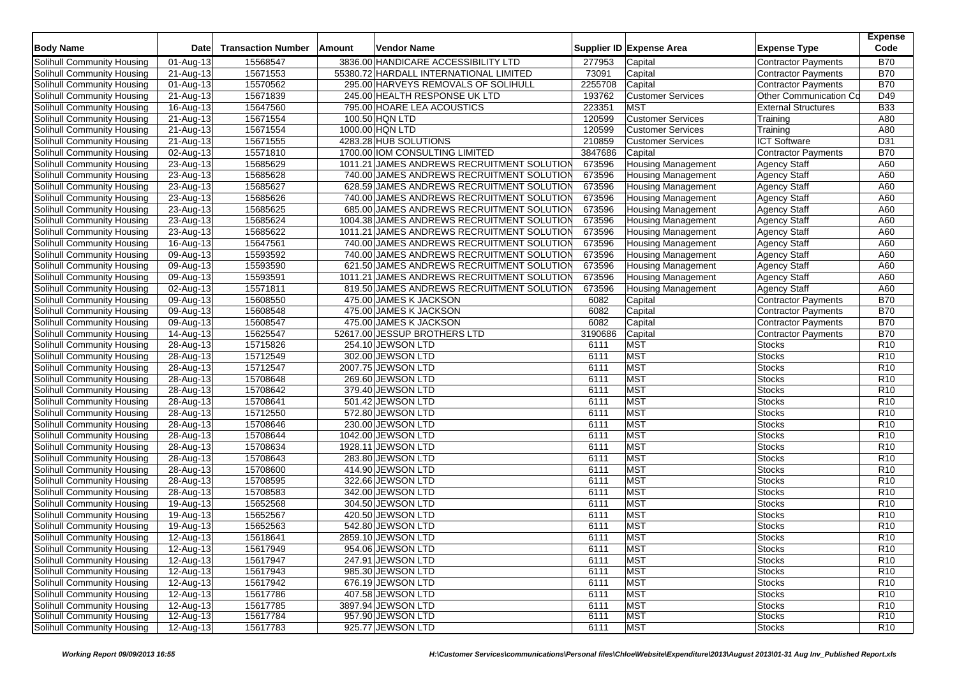| <b>Body Name</b><br><b>Transaction Number</b><br>Vendor Name<br>Supplier ID Expense Area<br>Date<br>Amount<br><b>Expense Type</b>                               | Code            |
|-----------------------------------------------------------------------------------------------------------------------------------------------------------------|-----------------|
| 3836.00 HANDICARE ACCESSIBILITY LTD<br>15568547<br><b>Contractor Payments</b><br>Solihull Community Housing<br>01-Aug-13<br>277953<br>Capital                   | <b>B70</b>      |
| 55380.72 HARDALL INTERNATIONAL LIMITED<br>73091<br>Solihull Community Housing<br>21-Aug-13<br>15671553<br>Capital<br><b>Contractor Payments</b>                 | <b>B70</b>      |
| 2255708<br>15570562<br>295.00 HARVEYS REMOVALS OF SOLIHULL<br>Capital<br>Solihull Community Housing<br>01-Aug-13<br><b>Contractor Payments</b>                  | <b>B70</b>      |
| 193762<br>Solihull Community Housing<br>21-Aug-13<br>15671839<br>245.00 HEALTH RESPONSE UK LTD<br><b>Customer Services</b><br>Other Communication Co            | D49             |
| <b>MST</b><br>223351<br><b>External Structures</b><br>Solihull Community Housing<br>16-Aug-13<br>15647560<br>795.00 HOARE LEA ACOUSTICS                         | <b>B33</b>      |
| 15671554<br>100.50 HQN LTD<br>120599<br><b>Customer Services</b><br>Solihull Community Housing<br>21-Aug-13<br>Training                                         | A80             |
| 120599<br>Solihull Community Housing<br>21-Aug-13<br>15671554<br>1000.00 HQN LTD<br><b>Customer Services</b><br>Training                                        | A80             |
| 210859<br>15671555<br>4283.28 HUB SOLUTIONS<br><b>Customer Services</b><br><b>ICT Software</b><br>Solihull Community Housing<br>21-Aug-13                       | D31             |
| 15571810<br>3847686<br>1700.00 IOM CONSULTING LIMITED<br><b>Contractor Payments</b><br>Solihull Community Housing<br>02-Aug-13<br>Capital                       | <b>B70</b>      |
| 673596<br>Solihull Community Housing<br>23-Aug-13<br>15685629<br>1011.21 JAMES ANDREWS RECRUITMENT SOLUTION<br><b>Housing Management</b><br><b>Agency Staff</b> | A60             |
| 673596<br>15685628<br>740.00 JAMES ANDREWS RECRUITMENT SOLUTION<br>Solihull Community Housing<br>23-Aug-13<br><b>Housing Management</b><br><b>Agency Staff</b>  | A60             |
| 15685627<br>628.59 JAMES ANDREWS RECRUITMENT SOLUTION<br><b>Agency Staff</b><br>Solihull Community Housing<br>673596<br><b>Housing Management</b><br>23-Aug-13  | A60             |
| 23-Aug-13<br>15685626<br>740.00 JAMES ANDREWS RECRUITMENT SOLUTION<br>673596<br><b>Housing Management</b><br><b>Agency Staff</b><br>Solihull Community Housing  | A60             |
| 673596<br>15685625<br>685.00 JAMES ANDREWS RECRUITMENT SOLUTION<br><b>Agency Staff</b><br>Solihull Community Housing<br>23-Aug-13<br><b>Housing Management</b>  | A60             |
| 15685624<br>1004.38 JAMES ANDREWS RECRUITMENT SOLUTION<br>673596<br><b>Agency Staff</b><br>Solihull Community Housing<br>23-Aug-13<br><b>Housing Management</b> | A60             |
| 15685622<br>1011.21 JAMES ANDREWS RECRUITMENT SOLUTION<br>673596<br><b>Housing Management</b><br>Solihull Community Housing<br>23-Aug-13<br><b>Agency Staff</b> | A60             |
| 673596<br>15647561<br>740.00 JAMES ANDREWS RECRUITMENT SOLUTION<br><b>Agency Staff</b><br>Solihull Community Housing<br>16-Aug-13<br><b>Housing Management</b>  | A60             |
| 15593592<br>740.00 JAMES ANDREWS RECRUITMENT SOLUTION<br>673596<br><b>Agency Staff</b><br>Solihull Community Housing<br>09-Aug-13<br><b>Housing Management</b>  | A60             |
| Solihull Community Housing<br>15593590<br>621.50 JAMES ANDREWS RECRUITMENT SOLUTION<br>673596<br><b>Housing Management</b><br><b>Agency Staff</b><br>09-Aug-13  | A60             |
| 15593591<br>1011.21 JAMES ANDREWS RECRUITMENT SOLUTION<br>673596<br>Solihull Community Housing<br>09-Aug-13<br><b>Housing Management</b><br><b>Agency Staff</b> | A60             |
| 673596<br>15571811<br>819.50 JAMES ANDREWS RECRUITMENT SOLUTION<br>Agency Staff<br>Solihull Community Housing<br>02-Aug-13<br><b>Housing Management</b>         | A60             |
| 15608550<br>475.00 JAMES K JACKSON<br>6082<br>Solihull Community Housing<br>09-Aug-13<br>Capital<br><b>Contractor Payments</b>                                  | <b>B70</b>      |
| 15608548<br>475.00 JAMES K JACKSON<br>6082<br>Capital<br>Solihull Community Housing<br>09-Aug-13<br><b>Contractor Payments</b>                                  | <b>B70</b>      |
| 15608547<br>475.00 JAMES K JACKSON<br>6082<br>Capital<br>Solihull Community Housing<br>09-Aug-13<br><b>Contractor Payments</b>                                  | <b>B70</b>      |
| 15625547<br>52617.00 JESSUP BROTHERS LTD<br>3190686<br>Capital<br>Solihull Community Housing<br>14-Aug-13<br><b>Contractor Payments</b>                         | <b>B70</b>      |
| <b>MST</b><br>15715826<br>254.10 JEWSON LTD<br>6111<br>Solihull Community Housing<br>28-Aug-13<br><b>Stocks</b>                                                 | R <sub>10</sub> |
| MST<br>15712549<br>302.00 JEWSON LTD<br>Solihull Community Housing<br>28-Aug-13<br>6111<br><b>Stocks</b>                                                        | R <sub>10</sub> |
| MST<br>15712547<br>2007.75 JEWSON LTD<br>6111<br>Stocks<br>Solihull Community Housing<br>28-Aug-13                                                              | R <sub>10</sub> |
| 15708648<br><b>MST</b><br>269.60 JEWSON LTD<br>6111<br>Solihull Community Housing<br>28-Aug-13<br><b>Stocks</b>                                                 | R <sub>10</sub> |
| MST<br>15708642<br>379.40 JEWSON LTD<br>Solihull Community Housing<br>28-Aug-13<br>6111<br><b>Stocks</b>                                                        | R <sub>10</sub> |
| MST<br>15708641<br>501.42 JEWSON LTD<br>6111<br>Stocks<br>Solihull Community Housing<br>28-Aug-13                                                               | R <sub>10</sub> |
| MST<br>15712550<br>572.80 JEWSON LTD<br>6111<br>Solihull Community Housing<br>28-Aug-13<br><b>Stocks</b>                                                        | R <sub>10</sub> |
| MST<br>15708646<br>230.00 JEWSON LTD<br>Solihull Community Housing<br>28-Aug-13<br>6111<br><b>Stocks</b>                                                        | R <sub>10</sub> |
| 15708644<br><b>MST</b><br>Solihull Community Housing<br>28-Aug-13<br>1042.00 JEWSON LTD<br>6111<br><b>Stocks</b>                                                | R <sub>10</sub> |
| MST<br>15708634<br>1928.11 JEWSON LTD<br>6111<br>Solihull Community Housing<br>28-Aug-13<br><b>Stocks</b>                                                       | R <sub>10</sub> |
| <b>MST</b><br>15708643<br>283.80 JEWSON LTD<br>Solihull Community Housing<br>28-Aug-13<br>6111<br><b>Stocks</b>                                                 | R <sub>10</sub> |
| <b>MST</b><br>15708600<br>414.90 JEWSON LTD<br>6111<br>Solihull Community Housing<br>28-Aug-13<br><b>Stocks</b>                                                 | R <sub>10</sub> |
| MST<br>15708595<br>322.66 JEWSON LTD<br>6111<br>Solihull Community Housing<br>28-Aug-13<br><b>Stocks</b>                                                        | R <sub>10</sub> |
| MST<br>15708583<br>342.00 JEWSON LTD<br>Solihull Community Housing<br>28-Aug-13<br>6111<br><b>Stocks</b>                                                        | R <sub>10</sub> |
| 15652568<br>304.50 JEWSON LTD<br>6111<br><b>MST</b><br>Solihull Community Housing<br>19-Aug-13<br><b>Stocks</b>                                                 | R <sub>10</sub> |
| MST<br>15652567<br>420.50 JEWSON LTD<br>6111<br>Solihull Community Housing<br>19-Aug-13<br><b>Stocks</b>                                                        | R <sub>10</sub> |
| <b>MST</b><br>15652563<br>542.80 JEWSON LTD<br>6111<br>Solihull Community Housing<br>19-Aug-13<br><b>Stocks</b>                                                 | R <sub>10</sub> |
| 15618641<br><b>MST</b><br>Solihull Community Housing<br>12-Aug-13<br>2859.10 JEWSON LTD<br>6111<br><b>Stocks</b>                                                | R <sub>10</sub> |
| <b>MST</b><br>Solihull Community Housing<br>12-Aug-13<br>15617949<br>954.06 JEWSON LTD<br><b>Stocks</b><br>6111                                                 | R <sub>10</sub> |
| <b>MST</b><br>Solihull Community Housing<br>12-Aug-13<br>15617947<br>247.91 JEWSON LTD<br>6111<br><b>Stocks</b>                                                 | R <sub>10</sub> |
| <b>MST</b><br>Solihull Community Housing<br>12-Aug-13<br>15617943<br>985.30 JEWSON LTD<br>6111<br><b>Stocks</b>                                                 | R <sub>10</sub> |
| 676.19 JEWSON LTD<br><b>MST</b><br>Solihull Community Housing<br>12-Aug-13<br>15617942<br>6111<br><b>Stocks</b>                                                 | R <sub>10</sub> |
| Solihull Community Housing<br><b>MST</b><br>12-Aug-13<br>15617786<br>407.58 JEWSON LTD<br>6111<br><b>Stocks</b>                                                 | R <sub>10</sub> |
| <b>MST</b><br>Solihull Community Housing<br>12-Aug-13<br>15617785<br>3897.94 JEWSON LTD<br>6111<br><b>Stocks</b>                                                | R <sub>10</sub> |
| <b>Solihull Community Housing</b><br>12-Aug-13<br>15617784<br>957.90 JEWSON LTD<br><b>MST</b><br>6111<br>Stocks                                                 | R <sub>10</sub> |
| 15617783<br>925.77 JEWSON LTD<br><b>MST</b><br>Solihull Community Housing<br>12-Aug-13<br>6111<br>Stocks                                                        | R <sub>10</sub> |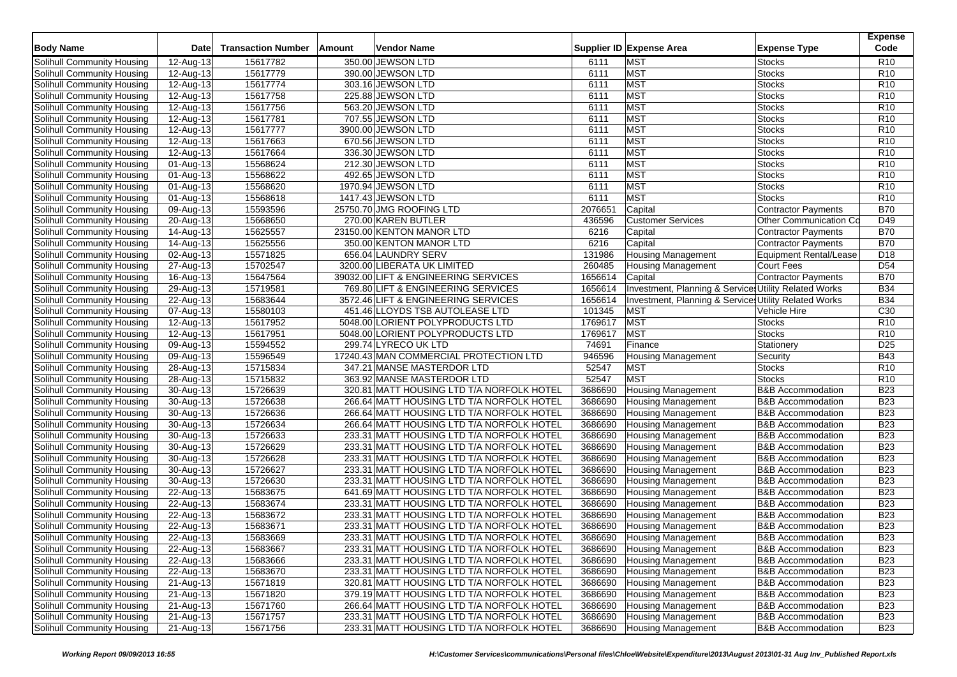| <b>Body Name</b>           | <b>Date</b>             | <b>Transaction Number</b> | Amount | Vendor Name                               |         | Supplier ID Expense Area                              | <b>Expense Type</b>          | <b>Expense</b><br>Code |
|----------------------------|-------------------------|---------------------------|--------|-------------------------------------------|---------|-------------------------------------------------------|------------------------------|------------------------|
| Solihull Community Housing | 12-Aug-13               | 15617782                  |        | 350.00 JEWSON LTD                         | 6111    | <b>MST</b>                                            | <b>Stocks</b>                | R <sub>10</sub>        |
| Solihull Community Housing | 12-Aug-13               | 15617779                  |        | 390.00 JEWSON LTD                         | 6111    | <b>MST</b>                                            | <b>Stocks</b>                | R <sub>10</sub>        |
| Solihull Community Housing | 12-Aug-13               | 15617774                  |        | 303.16 JEWSON LTD                         | 6111    | <b>MST</b>                                            | <b>Stocks</b>                | R <sub>10</sub>        |
| Solihull Community Housing | 12-Aug-13               | 15617758                  |        | 225.88 JEWSON LTD                         | 6111    | <b>MST</b>                                            | <b>Stocks</b>                | R <sub>10</sub>        |
| Solihull Community Housing | 12-Aug-13               | 15617756                  |        | 563.20 JEWSON LTD                         | 6111    | <b>MST</b>                                            | <b>Stocks</b>                | R <sub>10</sub>        |
| Solihull Community Housing | 12-Aug-13               | 15617781                  |        | 707.55 JEWSON LTD                         | 6111    | MST                                                   | <b>Stocks</b>                | R <sub>10</sub>        |
| Solihull Community Housing | 12-Aug-13               | 15617777                  |        | 3900.00 JEWSON LTD                        | 6111    | <b>MST</b>                                            | Stocks                       | R <sub>10</sub>        |
| Solihull Community Housing | 12-Aug-13               | 15617663                  |        | 670.56 JEWSON LTD                         | 6111    | <b>MST</b>                                            | <b>Stocks</b>                | R <sub>10</sub>        |
| Solihull Community Housing | 12-Aug-13               | 15617664                  |        | 336.30 JEWSON LTD                         | 6111    | MST                                                   | <b>Stocks</b>                | R <sub>10</sub>        |
| Solihull Community Housing | 01-Aug-13               | 15568624                  |        | 212.30 JEWSON LTD                         | 6111    | <b>MST</b>                                            | <b>Stocks</b>                | R <sub>10</sub>        |
| Solihull Community Housing | 01-Aug-13               | 15568622                  |        | 492.65 JEWSON LTD                         | 6111    | <b>MST</b>                                            | <b>Stocks</b>                | R <sub>10</sub>        |
| Solihull Community Housing | 01-Aug-13               | 15568620                  |        | 1970.94 JEWSON LTD                        | 6111    | MST                                                   | <b>Stocks</b>                | R <sub>10</sub>        |
| Solihull Community Housing | 01-Aug-13               | 15568618                  |        | 1417.43 JEWSON LTD                        | 6111    | <b>MST</b>                                            | Stocks                       | R <sub>10</sub>        |
| Solihull Community Housing | 09-Aug-13               | 15593596                  |        | 25750.70 JMG ROOFING LTD                  | 2076651 | Capital                                               | <b>Contractor Payments</b>   | <b>B70</b>             |
| Solihull Community Housing | $\overline{20}$ -Aug-13 | 15668650                  |        | 270.00 KAREN BUTLER                       | 436596  | <b>Customer Services</b>                              | Other Communication Co       | D49                    |
| Solihull Community Housing | 14-Aug-13               | 15625557                  |        | 23150.00 KENTON MANOR LTD                 | 6216    | Capital                                               | Contractor Payments          | <b>B70</b>             |
| Solihull Community Housing | 14-Aug-13               | 15625556                  |        | 350.00 KENTON MANOR LTD                   | 6216    | Capital                                               | Contractor Payments          | <b>B70</b>             |
| Solihull Community Housing | 02-Aug-13               | 15571825                  |        | 656.04 LAUNDRY SERV                       | 131986  | <b>Housing Management</b>                             | Equipment Rental/Lease       | D <sub>18</sub>        |
| Solihull Community Housing | 27-Aug-13               | 15702547                  |        | 3200.00 LIBERATA UK LIMITED               | 260485  | Housing Management                                    | Court Fees                   | D <sub>54</sub>        |
| Solihull Community Housing | 16-Aug-13               | 15647564                  |        | 39032.00 LIFT & ENGINEERING SERVICES      | 1656614 | Capital                                               | Contractor Payments          | <b>B70</b>             |
| Solihull Community Housing | 29-Aug-13               | 15719581                  |        | 769.80 LIFT & ENGINEERING SERVICES        | 1656614 | Investment, Planning & Services Utility Related Works |                              | <b>B34</b>             |
| Solihull Community Housing | 22-Aug-13               | 15683644                  |        | 3572.46 LIFT & ENGINEERING SERVICES       | 1656614 | Investment, Planning & Services Utility Related Works |                              | <b>B34</b>             |
| Solihull Community Housing | 07-Aug-13               | 15580103                  |        | 451.46 LLOYDS TSB AUTOLEASE LTD           | 101345  | <b>MST</b>                                            | Vehicle Hire                 | C30                    |
| Solihull Community Housing | $12-Aug-13$             | 15617952                  |        | 5048.00 LORIENT POLYPRODUCTS LTD          | 1769617 | <b>MST</b>                                            | <b>Stocks</b>                | R <sub>10</sub>        |
| Solihull Community Housing | 12-Aug-13               | 15617951                  |        | 5048.00 LORIENT POLYPRODUCTS LTD          | 1769617 | <b>MST</b>                                            | Stocks                       | R <sub>10</sub>        |
| Solihull Community Housing | 09-Aug-13               | 15594552                  |        | 299.74 LYRECO UK LTD                      | 74691   | Finance                                               | Stationery                   | D <sub>25</sub>        |
| Solihull Community Housing | 09-Aug-13               | 15596549                  |        | 17240.43 MAN COMMERCIAL PROTECTION LTD    | 946596  | <b>Housing Management</b>                             | Security                     | <b>B43</b>             |
| Solihull Community Housing | 28-Aug-13               | 15715834                  |        | 347.21 MANSE MASTERDOR LTD                | 52547   | <b>MST</b>                                            | <b>Stocks</b>                | R <sub>10</sub>        |
| Solihull Community Housing | 28-Aug-13               | 15715832                  |        | 363.92 MANSE MASTERDOR LTD                | 52547   | <b>MST</b>                                            | <b>Stocks</b>                | R <sub>10</sub>        |
| Solihull Community Housing | 30-Aug-13               | 15726639                  |        | 320.81 MATT HOUSING LTD T/A NORFOLK HOTEL | 3686690 | <b>Housing Management</b>                             | <b>B&amp;B Accommodation</b> | <b>B23</b>             |
| Solihull Community Housing | 30-Aug-13               | 15726638                  |        | 266.64 MATT HOUSING LTD T/A NORFOLK HOTEL | 3686690 | Housing Management                                    | <b>B&amp;B Accommodation</b> | <b>B23</b>             |
| Solihull Community Housing | 30-Aug-13               | 15726636                  |        | 266.64 MATT HOUSING LTD T/A NORFOLK HOTEL | 3686690 | <b>Housing Management</b>                             | <b>B&amp;B</b> Accommodation | <b>B23</b>             |
| Solihull Community Housing | 30-Aug-13               | 15726634                  |        | 266.64 MATT HOUSING LTD T/A NORFOLK HOTEL | 3686690 | <b>Housing Management</b>                             | <b>B&amp;B Accommodation</b> | <b>B23</b>             |
| Solihull Community Housing | 30-Aug-13               | 15726633                  |        | 233.31 MATT HOUSING LTD T/A NORFOLK HOTEL | 3686690 | <b>Housing Management</b>                             | <b>B&amp;B Accommodation</b> | <b>B23</b>             |
| Solihull Community Housing | 30-Aug-13               | 15726629                  |        | 233.31 MATT HOUSING LTD T/A NORFOLK HOTEL | 3686690 | <b>Housing Management</b>                             | <b>B&amp;B</b> Accommodation | <b>B23</b>             |
| Solihull Community Housing | 30-Aug-13               | 15726628                  |        | 233.31 MATT HOUSING LTD T/A NORFOLK HOTEL | 3686690 | <b>Housing Management</b>                             | <b>B&amp;B Accommodation</b> | <b>B23</b>             |
| Solihull Community Housing | 30-Aug-13               | 15726627                  |        | 233.31 MATT HOUSING LTD T/A NORFOLK HOTEL | 3686690 | <b>Housing Management</b>                             | <b>B&amp;B Accommodation</b> | <b>B23</b>             |
| Solihull Community Housing | 30-Aug-13               | 15726630                  |        | 233.31 MATT HOUSING LTD T/A NORFOLK HOTEL | 3686690 | <b>Housing Management</b>                             | <b>B&amp;B</b> Accommodation | <b>B23</b>             |
| Solihull Community Housing | 22-Aug-13               | 15683675                  |        | 641.69 MATT HOUSING LTD T/A NORFOLK HOTEL | 3686690 | <b>Housing Management</b>                             | <b>B&amp;B Accommodation</b> | <b>B23</b>             |
| Solihull Community Housing | 22-Aug-13               | 15683674                  |        | 233.31 MATT HOUSING LTD T/A NORFOLK HOTEL | 3686690 | <b>Housing Management</b>                             | <b>B&amp;B Accommodation</b> | <b>B23</b>             |
| Solihull Community Housing | 22-Aug-13               | 15683672                  |        | 233.31 MATT HOUSING LTD T/A NORFOLK HOTEL | 3686690 | <b>Housing Management</b>                             | <b>B&amp;B Accommodation</b> | <b>B23</b>             |
| Solihull Community Housing | 22-Aug-13               | 15683671                  |        | 233.31 MATT HOUSING LTD T/A NORFOLK HOTEL | 3686690 | <b>Housing Management</b>                             | <b>B&amp;B Accommodation</b> | <b>B23</b>             |
| Solihull Community Housing | 22-Aug-13               | 15683669                  |        | 233.31 MATT HOUSING LTD T/A NORFOLK HOTEL | 3686690 | <b>Housing Management</b>                             | <b>B&amp;B Accommodation</b> | <b>B23</b>             |
| Solihull Community Housing | 22-Aug-13               | 15683667                  |        | 233.31 MATT HOUSING LTD T/A NORFOLK HOTEL | 3686690 | <b>Housing Management</b>                             | <b>B&amp;B</b> Accommodation | <b>B23</b>             |
| Solihull Community Housing | 22-Aug-13               | 15683666                  |        | 233.31 MATT HOUSING LTD T/A NORFOLK HOTEL | 3686690 | <b>Housing Management</b>                             | <b>B&amp;B Accommodation</b> | <b>B23</b>             |
| Solihull Community Housing | 22-Aug-13               | 15683670                  |        | 233.31 MATT HOUSING LTD T/A NORFOLK HOTEL | 3686690 | <b>Housing Management</b>                             | <b>B&amp;B Accommodation</b> | <b>B23</b>             |
| Solihull Community Housing | 21-Aug-13               | 15671819                  |        | 320.81 MATT HOUSING LTD T/A NORFOLK HOTEL | 3686690 | <b>Housing Management</b>                             | <b>B&amp;B Accommodation</b> | <b>B23</b>             |
| Solihull Community Housing | 21-Aug-13               | 15671820                  |        | 379.19 MATT HOUSING LTD T/A NORFOLK HOTEL | 3686690 | <b>Housing Management</b>                             | <b>B&amp;B Accommodation</b> | <b>B23</b>             |
| Solihull Community Housing | 21-Aug-13               | 15671760                  |        | 266.64 MATT HOUSING LTD T/A NORFOLK HOTEL | 3686690 | <b>Housing Management</b>                             | <b>B&amp;B</b> Accommodation | <b>B23</b>             |
| Solihull Community Housing | 21-Aug-13               | 15671757                  |        | 233.31 MATT HOUSING LTD T/A NORFOLK HOTEL | 3686690 | <b>Housing Management</b>                             | <b>B&amp;B</b> Accommodation | <b>B23</b>             |
| Solihull Community Housing | 21-Aug-13               | 15671756                  |        | 233.31 MATT HOUSING LTD T/A NORFOLK HOTEL | 3686690 | <b>Housing Management</b>                             | <b>B&amp;B</b> Accommodation | <b>B23</b>             |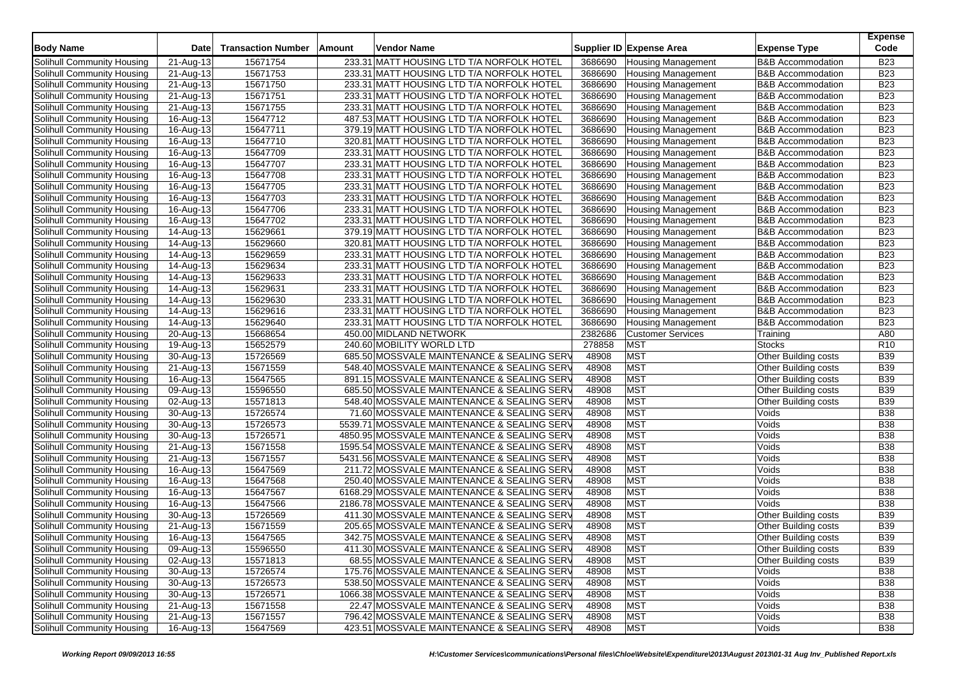| <b>Body Name</b>           | <b>Date</b>             | <b>Transaction Number</b> | Amount | Vendor Name                                 |         | Supplier ID Expense Area  | <b>Expense Type</b>          | <b>Expense</b><br>Code |
|----------------------------|-------------------------|---------------------------|--------|---------------------------------------------|---------|---------------------------|------------------------------|------------------------|
| Solihull Community Housing | 21-Aug-13               | 15671754                  |        | 233.31 MATT HOUSING LTD T/A NORFOLK HOTEL   | 3686690 | <b>Housing Management</b> | <b>B&amp;B Accommodation</b> | <b>B23</b>             |
| Solihull Community Housing | 21-Aug-13               | 15671753                  |        | 233.31 MATT HOUSING LTD T/A NORFOLK HOTEL   | 3686690 | <b>Housing Management</b> | <b>B&amp;B</b> Accommodation | <b>B23</b>             |
| Solihull Community Housing | 21-Aug-13               | 15671750                  |        | 233.31 MATT HOUSING LTD T/A NORFOLK HOTEL   | 3686690 | <b>Housing Management</b> | <b>B&amp;B Accommodation</b> | <b>B23</b>             |
| Solihull Community Housing | 21-Aug-13               | 15671751                  |        | 233.31 MATT HOUSING LTD T/A NORFOLK HOTEL   | 3686690 | <b>Housing Management</b> | <b>B&amp;B Accommodation</b> | <b>B23</b>             |
| Solihull Community Housing | 21-Aug-13               | 15671755                  |        | 233.31 MATT HOUSING LTD T/A NORFOLK HOTEL   | 3686690 | <b>Housing Management</b> | <b>B&amp;B</b> Accommodation | <b>B23</b>             |
| Solihull Community Housing | 16-Aug-13               | 15647712                  |        | 487.53 MATT HOUSING LTD T/A NORFOLK HOTEL   | 3686690 | <b>Housing Management</b> | <b>B&amp;B Accommodation</b> | <b>B23</b>             |
| Solihull Community Housing | 16-Aug-13               | 15647711                  |        | 379.19 MATT HOUSING LTD T/A NORFOLK HOTEL   | 3686690 | <b>Housing Management</b> | <b>B&amp;B Accommodation</b> | <b>B23</b>             |
| Solihull Community Housing | 16-Aug-13               | 15647710                  |        | 320.81 MATT HOUSING LTD T/A NORFOLK HOTEL   | 3686690 | <b>Housing Management</b> | <b>B&amp;B Accommodation</b> | <b>B23</b>             |
| Solihull Community Housing | 16-Aug-13               | 15647709                  |        | 233.31 MATT HOUSING LTD T/A NORFOLK HOTEL   | 3686690 | <b>Housing Management</b> | <b>B&amp;B Accommodation</b> | <b>B23</b>             |
| Solihull Community Housing | 16-Aug-13               | 15647707                  |        | 233.31 MATT HOUSING LTD T/A NORFOLK HOTEL   | 3686690 | <b>Housing Management</b> | <b>B&amp;B Accommodation</b> | <b>B23</b>             |
| Solihull Community Housing | 16-Aug-13               | 15647708                  |        | 233.31 MATT HOUSING LTD T/A NORFOLK HOTEL   | 3686690 | <b>Housing Management</b> | <b>B&amp;B Accommodation</b> | <b>B23</b>             |
| Solihull Community Housing | 16-Aug-13               | 15647705                  |        | 233.31 MATT HOUSING LTD T/A NORFOLK HOTEL   | 3686690 | <b>Housing Management</b> | <b>B&amp;B Accommodation</b> | <b>B23</b>             |
| Solihull Community Housing | 16-Aug-13               | 15647703                  |        | 233.31 MATT HOUSING LTD T/A NORFOLK HOTEL   | 3686690 | <b>Housing Management</b> | <b>B&amp;B Accommodation</b> | <b>B23</b>             |
| Solihull Community Housing | 16-Aug-13               | 15647706                  |        | 233.31 MATT HOUSING LTD T/A NORFOLK HOTEL   | 3686690 | Housing Management        | <b>B&amp;B Accommodation</b> | <b>B23</b>             |
| Solihull Community Housing | 16-Aug-13               | 15647702                  |        | 233.31 MATT HOUSING LTD T/A NORFOLK HOTEL   | 3686690 | <b>Housing Management</b> | <b>B&amp;B Accommodation</b> | <b>B23</b>             |
| Solihull Community Housing | 14-Aug-13               | 15629661                  |        | 379.19 MATT HOUSING LTD T/A NORFOLK HOTEL   | 3686690 | Housing Management        | <b>B&amp;B Accommodation</b> | <b>B23</b>             |
| Solihull Community Housing | 14-Aug-13               | 15629660                  |        | 320.81 MATT HOUSING LTD T/A NORFOLK HOTEL   | 3686690 | <b>Housing Management</b> | <b>B&amp;B Accommodation</b> | <b>B23</b>             |
| Solihull Community Housing | 14-Aug-13               | 15629659                  |        | 233.31 MATT HOUSING LTD T/A NORFOLK HOTEL   | 3686690 | <b>Housing Management</b> | <b>B&amp;B Accommodation</b> | <b>B23</b>             |
| Solihull Community Housing | 14-Aug-13               | 15629634                  |        | 233.31 MATT HOUSING LTD T/A NORFOLK HOTEL   | 3686690 | <b>Housing Management</b> | <b>B&amp;B Accommodation</b> | <b>B23</b>             |
| Solihull Community Housing | 14-Aug-13               | 15629633                  |        | 233.31 MATT HOUSING LTD T/A NORFOLK HOTEL   | 3686690 | <b>Housing Management</b> | <b>B&amp;B Accommodation</b> | <b>B23</b>             |
| Solihull Community Housing | 14-Aug-13               | 15629631                  |        | 233.31 MATT HOUSING LTD T/A NORFOLK HOTEL   | 3686690 | <b>Housing Management</b> | <b>B&amp;B Accommodation</b> | <b>B23</b>             |
| Solihull Community Housing | 14-Aug-13               | 15629630                  |        | 233.31 MATT HOUSING LTD T/A NORFOLK HOTEL   | 3686690 | <b>Housing Management</b> | <b>B&amp;B Accommodation</b> | <b>B23</b>             |
| Solihull Community Housing | 14-Aug-13               | 15629616                  |        | 233.31 MATT HOUSING LTD T/A NORFOLK HOTEL   | 3686690 | <b>Housing Management</b> | <b>B&amp;B</b> Accommodation | <b>B23</b>             |
| Solihull Community Housing | 14-Aug-13               | 15629640                  |        | 233.31 MATT HOUSING LTD T/A NORFOLK HOTEL   | 3686690 | <b>Housing Management</b> | <b>B&amp;B Accommodation</b> | <b>B23</b>             |
| Solihull Community Housing | 20-Aug-13               | 15668654                  |        | 450.00 MIDLAND NETWORK                      | 2382686 | <b>Customer Services</b>  | Training                     | A80                    |
| Solihull Community Housing | 19-Aug-13               | 15652579                  |        | 240.60 MOBILITY WORLD LTD                   | 278858  | <b>MST</b>                | <b>Stocks</b>                | R <sub>10</sub>        |
| Solihull Community Housing | 30-Aug-13               | 15726569                  |        | 685.50 MOSSVALE MAINTENANCE & SEALING SERV  | 48908   | MST                       | <b>Other Building costs</b>  | <b>B39</b>             |
| Solihull Community Housing | 21-Aug-13               | 15671559                  |        | 548.40 MOSSVALE MAINTENANCE & SEALING SERV  | 48908   | <b>MST</b>                | Other Building costs         | <b>B39</b>             |
| Solihull Community Housing | 16-Aug-13               | 15647565                  |        | 891.15 MOSSVALE MAINTENANCE & SEALING SERV  | 48908   | <b>MST</b>                | Other Building costs         | <b>B39</b>             |
| Solihull Community Housing | 09-Aug-13               | 15596550                  |        | 685.50 MOSSVALE MAINTENANCE & SEALING SERV  | 48908   | MST                       | Other Building costs         | <b>B39</b>             |
| Solihull Community Housing | 02-Aug-13               | 15571813                  |        | 548.40 MOSSVALE MAINTENANCE & SEALING SERV  | 48908   | <b>MST</b>                | Other Building costs         | <b>B39</b>             |
| Solihull Community Housing | 30-Aug-13               | 15726574                  |        | 71.60 MOSSVALE MAINTENANCE & SEALING SERV   | 48908   | MST                       | Voids                        | <b>B38</b>             |
| Solihull Community Housing | 30-Aug-13               | 15726573                  |        | 5539.71 MOSSVALE MAINTENANCE & SEALING SERV | 48908   | MST                       | Voids                        | <b>B38</b>             |
| Solihull Community Housing | 30-Aug-13               | 15726571                  |        | 4850.95 MOSSVALE MAINTENANCE & SEALING SERV | 48908   | <b>MST</b>                | Voids                        | <b>B38</b>             |
| Solihull Community Housing | 21-Aug-13               | 15671558                  |        | 1595.54 MOSSVALE MAINTENANCE & SEALING SERV | 48908   | MST                       | Voids                        | <b>B38</b>             |
| Solihull Community Housing | $\overline{21}$ -Aug-13 | 15671557                  |        | 5431.56 MOSSVALE MAINTENANCE & SEALING SERV | 48908   | <b>MST</b>                | Voids                        | <b>B38</b>             |
| Solihull Community Housing | 16-Aug-13               | 15647569                  |        | 211.72 MOSSVALE MAINTENANCE & SEALING SERV  | 48908   | <b>MST</b>                | Voids                        | <b>B38</b>             |
| Solihull Community Housing | 16-Aug-13               | 15647568                  |        | 250.40 MOSSVALE MAINTENANCE & SEALING SERV  | 48908   | MST                       | Voids                        | <b>B38</b>             |
| Solihull Community Housing | 16-Aug-13               | 15647567                  |        | 6168.29 MOSSVALE MAINTENANCE & SEALING SERV | 48908   | <b>MST</b>                | Voids                        | <b>B38</b>             |
| Solihull Community Housing | 16-Aug-13               | 15647566                  |        | 2186.78 MOSSVALE MAINTENANCE & SEALING SERV | 48908   | <b>MST</b>                | Voids                        | <b>B38</b>             |
| Solihull Community Housing | 30-Aug-13               | 15726569                  |        | 411.30 MOSSVALE MAINTENANCE & SEALING SERV  | 48908   | <b>MST</b>                | <b>Other Building costs</b>  | <b>B39</b>             |
| Solihull Community Housing | 21-Aug-13               | 15671559                  |        | 205.65 MOSSVALE MAINTENANCE & SEALING SERV  | 48908   | <b>MST</b>                | Other Building costs         | <b>B39</b>             |
| Solihull Community Housing | 16-Aug-13               | 15647565                  |        | 342.75 MOSSVALE MAINTENANCE & SEALING SERV  | 48908   | <b>MST</b>                | <b>Other Building costs</b>  | <b>B39</b>             |
| Solihull Community Housing | 09-Aug-13               | 15596550                  |        | 411.30 MOSSVALE MAINTENANCE & SEALING SERV  | 48908   | <b>MST</b>                | Other Building costs         | <b>B39</b>             |
| Solihull Community Housing | 02-Aug-13               | 15571813                  |        | 68.55 MOSSVALE MAINTENANCE & SEALING SERV   | 48908   | <b>MST</b>                | Other Building costs         | <b>B39</b>             |
| Solihull Community Housing | 30-Aug-13               | 15726574                  |        | 175.76 MOSSVALE MAINTENANCE & SEALING SERV  | 48908   | <b>MST</b>                | Voids                        | <b>B38</b>             |
| Solihull Community Housing | 30-Aug-13               | 15726573                  |        | 538.50 MOSSVALE MAINTENANCE & SEALING SERV  | 48908   | <b>MST</b>                | Voids                        | <b>B38</b>             |
| Solihull Community Housing | 30-Aug-13               | 15726571                  |        | 1066.38 MOSSVALE MAINTENANCE & SEALING SERV | 48908   | <b>MST</b>                | Voids                        | <b>B38</b>             |
| Solihull Community Housing | 21-Aug-13               | 15671558                  |        | 22.47 MOSSVALE MAINTENANCE & SEALING SERV   | 48908   | <b>MST</b>                | Voids                        | <b>B38</b>             |
| Solihull Community Housing | 21-Aug-13               | 15671557                  |        | 796.42 MOSSVALE MAINTENANCE & SEALING SERV  | 48908   | <b>MST</b>                | Voids                        | <b>B38</b>             |
| Solihull Community Housing | 16-Aug-13               | 15647569                  |        | 423.51 MOSSVALE MAINTENANCE & SEALING SERV  | 48908   | <b>MST</b>                | Voids                        | <b>B38</b>             |
|                            |                         |                           |        |                                             |         |                           |                              |                        |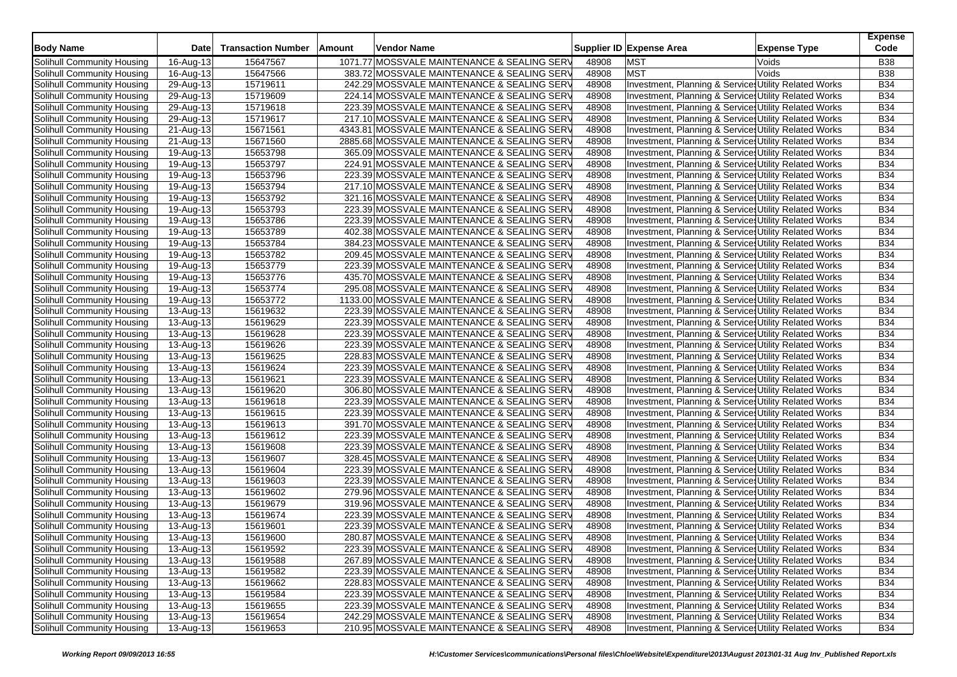| <b>Body Name</b>           | Date      | <b>Transaction Number</b> | Amount | Vendor Name                                 |       | Supplier ID Expense Area                              | <b>Expense Type</b> | <b>Expense</b><br>Code |
|----------------------------|-----------|---------------------------|--------|---------------------------------------------|-------|-------------------------------------------------------|---------------------|------------------------|
| Solihull Community Housing | 16-Aug-13 | 15647567                  |        | 1071.77 MOSSVALE MAINTENANCE & SEALING SERV | 48908 | MST                                                   | Voids               | <b>B38</b>             |
| Solihull Community Housing | 16-Aug-13 | 15647566                  |        | 383.72 MOSSVALE MAINTENANCE & SEALING SERV  | 48908 | <b>MST</b>                                            | Voids               | <b>B38</b>             |
| Solihull Community Housing | 29-Aug-13 | 15719611                  |        | 242.29 MOSSVALE MAINTENANCE & SEALING SERV  | 48908 | Investment, Planning & Services Utility Related Works |                     | <b>B34</b>             |
| Solihull Community Housing | 29-Aug-13 | 15719609                  |        | 224.14 MOSSVALE MAINTENANCE & SEALING SERV  | 48908 | Investment, Planning & Services Utility Related Works |                     | <b>B34</b>             |
| Solihull Community Housing | 29-Aug-13 | 15719618                  |        | 223.39 MOSSVALE MAINTENANCE & SEALING SERV  | 48908 | Investment, Planning & Services Utility Related Works |                     | <b>B34</b>             |
| Solihull Community Housing | 29-Aug-13 | 15719617                  |        | 217.10 MOSSVALE MAINTENANCE & SEALING SERV  | 48908 | Investment, Planning & Services Utility Related Works |                     | <b>B34</b>             |
| Solihull Community Housing | 21-Aug-13 | 15671561                  |        | 4343.81 MOSSVALE MAINTENANCE & SEALING SERV | 48908 | Investment, Planning & Services Utility Related Works |                     | <b>B34</b>             |
| Solihull Community Housing | 21-Aug-13 | 15671560                  |        | 2885.68 MOSSVALE MAINTENANCE & SEALING SERV | 48908 | Investment, Planning & Services Utility Related Works |                     | <b>B34</b>             |
| Solihull Community Housing | 19-Aug-13 | 15653798                  |        | 365.09 MOSSVALE MAINTENANCE & SEALING SERV  | 48908 | Investment, Planning & Services Utility Related Works |                     | <b>B34</b>             |
| Solihull Community Housing | 19-Aug-13 | 15653797                  |        | 224.91 MOSSVALE MAINTENANCE & SEALING SERV  | 48908 | Investment, Planning & Services Utility Related Works |                     | <b>B34</b>             |
| Solihull Community Housing | 19-Aug-13 | 15653796                  |        | 223.39 MOSSVALE MAINTENANCE & SEALING SERV  | 48908 | Investment, Planning & Services Utility Related Works |                     | <b>B34</b>             |
| Solihull Community Housing | 19-Aug-13 | 15653794                  |        | 217.10 MOSSVALE MAINTENANCE & SEALING SERV  | 48908 | Investment, Planning & Services Utility Related Works |                     | <b>B34</b>             |
| Solihull Community Housing | 19-Aug-13 | 15653792                  |        | 321.16 MOSSVALE MAINTENANCE & SEALING SERV  | 48908 | Investment, Planning & Services Utility Related Works |                     | <b>B34</b>             |
| Solihull Community Housing | 19-Aug-13 | 15653793                  |        | 223.39 MOSSVALE MAINTENANCE & SEALING SERV  | 48908 | Investment, Planning & Services Utility Related Works |                     | <b>B34</b>             |
| Solihull Community Housing | 19-Aug-13 | 15653786                  |        | 223.39 MOSSVALE MAINTENANCE & SEALING SERV  | 48908 | Investment, Planning & Services Utility Related Works |                     | <b>B34</b>             |
| Solihull Community Housing | 19-Aug-13 | 15653789                  |        | 402.38 MOSSVALE MAINTENANCE & SEALING SERV  | 48908 | Investment, Planning & Services Utility Related Works |                     | <b>B34</b>             |
| Solihull Community Housing | 19-Aug-13 | 15653784                  |        | 384.23 MOSSVALE MAINTENANCE & SEALING SERV  | 48908 | Investment, Planning & Services Utility Related Works |                     | <b>B34</b>             |
| Solihull Community Housing | 19-Aug-13 | 15653782                  |        | 209.45 MOSSVALE MAINTENANCE & SEALING SERV  | 48908 | Investment, Planning & Services Utility Related Works |                     | <b>B34</b>             |
| Solihull Community Housing | 19-Aug-13 | 15653779                  |        | 223.39 MOSSVALE MAINTENANCE & SEALING SERV  | 48908 | Investment, Planning & Services Utility Related Works |                     | <b>B34</b>             |
| Solihull Community Housing | 19-Aug-13 | 15653776                  |        | 435.70 MOSSVALE MAINTENANCE & SEALING SERV  | 48908 | Investment, Planning & Services Utility Related Works |                     | <b>B34</b>             |
| Solihull Community Housing | 19-Aug-13 | 15653774                  |        | 295.08 MOSSVALE MAINTENANCE & SEALING SERV  | 48908 | Investment, Planning & Service, Utility Related Works |                     | <b>B34</b>             |
| Solihull Community Housing | 19-Aug-13 | 15653772                  |        | 1133.00 MOSSVALE MAINTENANCE & SEALING SERV | 48908 | Investment, Planning & Services Utility Related Works |                     | <b>B34</b>             |
| Solihull Community Housing | 13-Aug-13 | 15619632                  |        | 223.39 MOSSVALE MAINTENANCE & SEALING SERV  | 48908 | Investment, Planning & Services Utility Related Works |                     | <b>B34</b>             |
| Solihull Community Housing | 13-Aug-13 | 15619629                  |        | 223.39 MOSSVALE MAINTENANCE & SEALING SERV  | 48908 | Investment, Planning & Services Utility Related Works |                     | <b>B34</b>             |
| Solihull Community Housing | 13-Aug-13 | 15619628                  |        | 223.39 MOSSVALE MAINTENANCE & SEALING SERV  | 48908 | Investment, Planning & Services Utility Related Works |                     | <b>B34</b>             |
| Solihull Community Housing | 13-Aug-13 | 15619626                  |        | 223.39 MOSSVALE MAINTENANCE & SEALING SERV  | 48908 | Investment, Planning & Services Utility Related Works |                     | <b>B34</b>             |
| Solihull Community Housing | 13-Aug-13 | 15619625                  |        | 228.83 MOSSVALE MAINTENANCE & SEALING SERV  | 48908 | Investment, Planning & Services Utility Related Works |                     | <b>B34</b>             |
| Solihull Community Housing | 13-Aug-13 | 15619624                  |        | 223.39 MOSSVALE MAINTENANCE & SEALING SERV  | 48908 | Investment, Planning & Services Utility Related Works |                     | <b>B34</b>             |
| Solihull Community Housing | 13-Aug-13 | 15619621                  |        | 223.39 MOSSVALE MAINTENANCE & SEALING SERV  | 48908 | Investment, Planning & Services Utility Related Works |                     | <b>B34</b>             |
| Solihull Community Housing | 13-Aug-13 | 15619620                  |        | 306.80 MOSSVALE MAINTENANCE & SEALING SERV  | 48908 | Investment, Planning & Services Utility Related Works |                     | <b>B34</b>             |
| Solihull Community Housing | 13-Aug-13 | 15619618                  |        | 223.39 MOSSVALE MAINTENANCE & SEALING SERV  | 48908 | Investment, Planning & Services Utility Related Works |                     | <b>B34</b>             |
| Solihull Community Housing | 13-Aug-13 | 15619615                  |        | 223.39 MOSSVALE MAINTENANCE & SEALING SERV  | 48908 | Investment, Planning & Services Utility Related Works |                     | <b>B34</b>             |
| Solihull Community Housing | 13-Aug-13 | 15619613                  |        | 391.70 MOSSVALE MAINTENANCE & SEALING SERV  | 48908 | Investment, Planning & Services Utility Related Works |                     | <b>B34</b>             |
| Solihull Community Housing | 13-Aug-13 | 15619612                  |        | 223.39 MOSSVALE MAINTENANCE & SEALING SERV  | 48908 | Investment, Planning & Services Utility Related Works |                     | <b>B34</b>             |
| Solihull Community Housing | 13-Aug-13 | 15619608                  |        | 223.39 MOSSVALE MAINTENANCE & SEALING SERV  | 48908 | Investment, Planning & Services Utility Related Works |                     | <b>B34</b>             |
| Solihull Community Housing | 13-Aug-13 | 15619607                  |        | 328.45 MOSSVALE MAINTENANCE & SEALING SERV  | 48908 | Investment, Planning & Services Utility Related Works |                     | <b>B34</b>             |
| Solihull Community Housing | 13-Aug-13 | 15619604                  |        | 223.39 MOSSVALE MAINTENANCE & SEALING SERV  | 48908 | Investment, Planning & Services Utility Related Works |                     | <b>B34</b>             |
| Solihull Community Housing | 13-Aug-13 | 15619603                  |        | 223.39 MOSSVALE MAINTENANCE & SEALING SERV  | 48908 | Investment, Planning & Services Utility Related Works |                     | <b>B34</b>             |
| Solihull Community Housing | 13-Aug-13 | 15619602                  |        | 279.96 MOSSVALE MAINTENANCE & SEALING SERV  | 48908 | Investment, Planning & Services Utility Related Works |                     | <b>B34</b>             |
| Solihull Community Housing | 13-Aug-13 | 15619679                  |        | 319.96 MOSSVALE MAINTENANCE & SEALING SERV  | 48908 | Investment, Planning & Services Utility Related Works |                     | <b>B34</b>             |
| Solihull Community Housing | 13-Aug-13 | 15619674                  |        | 223.39 MOSSVALE MAINTENANCE & SEALING SERV  | 48908 | Investment, Planning & Services Utility Related Works |                     | <b>B34</b>             |
| Solihull Community Housing | 13-Aug-13 | 15619601                  |        | 223.39 MOSSVALE MAINTENANCE & SEALING SERV  | 48908 | Investment, Planning & Services Utility Related Works |                     | <b>B34</b>             |
| Solihull Community Housing | 13-Aug-13 | 15619600                  |        | 280.87 MOSSVALE MAINTENANCE & SEALING SERV  | 48908 | Investment, Planning & Services Utility Related Works |                     | <b>B34</b>             |
| Solihull Community Housing | 13-Aug-13 | 15619592                  |        | 223.39 MOSSVALE MAINTENANCE & SEALING SERV  | 48908 | Investment, Planning & Services Utility Related Works |                     | <b>B34</b>             |
| Solihull Community Housing | 13-Aug-13 | 15619588                  |        | 267.89 MOSSVALE MAINTENANCE & SEALING SERV  | 48908 | Investment, Planning & Services Utility Related Works |                     | <b>B34</b>             |
| Solihull Community Housing | 13-Aug-13 | 15619582                  |        | 223.39 MOSSVALE MAINTENANCE & SEALING SERV  | 48908 | Investment, Planning & Services Utility Related Works |                     | <b>B34</b>             |
| Solihull Community Housing | 13-Aug-13 | 15619662                  |        | 228.83 MOSSVALE MAINTENANCE & SEALING SERV  | 48908 | Investment, Planning & Services Utility Related Works |                     | <b>B34</b>             |
| Solihull Community Housing | 13-Aug-13 | 15619584                  |        | 223.39 MOSSVALE MAINTENANCE & SEALING SERV  | 48908 | Investment, Planning & Services Utility Related Works |                     | <b>B34</b>             |
| Solihull Community Housing | 13-Aug-13 | 15619655                  |        | 223.39 MOSSVALE MAINTENANCE & SEALING SERV  | 48908 | Investment, Planning & Services Utility Related Works |                     | <b>B34</b>             |
| Solihull Community Housing | 13-Aug-13 | 15619654                  |        | 242.29 MOSSVALE MAINTENANCE & SEALING SERV  | 48908 | Investment, Planning & Services Utility Related Works |                     | <b>B34</b>             |
| Solihull Community Housing | 13-Aug-13 | 15619653                  |        | 210.95 MOSSVALE MAINTENANCE & SEALING SERV  | 48908 | Investment, Planning & Services Utility Related Works |                     | <b>B34</b>             |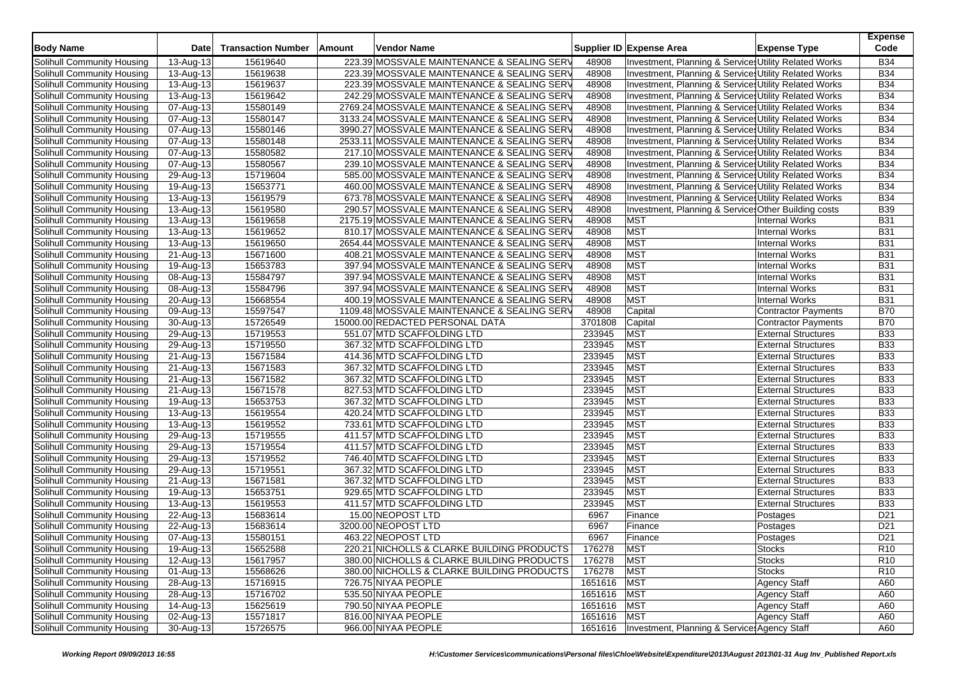| <b>Body Name</b>                  | <b>Date</b>             | <b>Transaction Number</b> | Amount | <b>Vendor Name</b>                          |             | Supplier ID Expense Area                              | <b>Expense Type</b>        | <b>Expense</b><br>Code |
|-----------------------------------|-------------------------|---------------------------|--------|---------------------------------------------|-------------|-------------------------------------------------------|----------------------------|------------------------|
| Solihull Community Housing        | 13-Aug-13               | 15619640                  |        | 223.39 MOSSVALE MAINTENANCE & SEALING SERV  | 48908       | Investment, Planning & Services Utility Related Works |                            | <b>B34</b>             |
| Solihull Community Housing        | 13-Aug-13               | 15619638                  |        | 223.39 MOSSVALE MAINTENANCE & SEALING SERV  | 48908       | Investment, Planning & Services Utility Related Works |                            | <b>B34</b>             |
| Solihull Community Housing        | 13-Aug-13               | 15619637                  |        | 223.39 MOSSVALE MAINTENANCE & SEALING SERV  | 48908       | Investment, Planning & Services Utility Related Works |                            | <b>B34</b>             |
| Solihull Community Housing        | 13-Aug-13               | 15619642                  |        | 242.29 MOSSVALE MAINTENANCE & SEALING SERV  | 48908       | Investment, Planning & Services Utility Related Works |                            | <b>B34</b>             |
| Solihull Community Housing        | 07-Aug-13               | 15580149                  |        | 2769.24 MOSSVALE MAINTENANCE & SEALING SERV | 48908       | Investment, Planning & Services Utility Related Works |                            | <b>B34</b>             |
| Solihull Community Housing        | 07-Aug-13               | 15580147                  |        | 3133.24 MOSSVALE MAINTENANCE & SEALING SERV | 48908       | Investment, Planning & Services Utility Related Works |                            | <b>B34</b>             |
| Solihull Community Housing        | 07-Aug-13               | 15580146                  |        | 3990.27 MOSSVALE MAINTENANCE & SEALING SERV | 48908       | Investment, Planning & Services Utility Related Works |                            | <b>B34</b>             |
| Solihull Community Housing        | 07-Aug-13               | 15580148                  |        | 2533.11 MOSSVALE MAINTENANCE & SEALING SERV | 48908       | Investment, Planning & Services Utility Related Works |                            | <b>B34</b>             |
| Solihull Community Housing        | 07-Aug-13               | 15580582                  |        | 217.10 MOSSVALE MAINTENANCE & SEALING SERV  | 48908       | Investment, Planning & Services Utility Related Works |                            | <b>B34</b>             |
| Solihull Community Housing        | 07-Aug-13               | 15580567                  |        | 239.10 MOSSVALE MAINTENANCE & SEALING SERV  | 48908       | Investment, Planning & Services Utility Related Works |                            | <b>B34</b>             |
| Solihull Community Housing        | 29-Aug-13               | 15719604                  |        | 585.00 MOSSVALE MAINTENANCE & SEALING SERV  | 48908       | Investment, Planning & Services Utility Related Works |                            | <b>B34</b>             |
| Solihull Community Housing        | 19-Aug-13               | 15653771                  |        | 460.00 MOSSVALE MAINTENANCE & SEALING SERV  | 48908       | Investment, Planning & Services Utility Related Works |                            | <b>B34</b>             |
| Solihull Community Housing        | 13-Aug-13               | 15619579                  |        | 673.78 MOSSVALE MAINTENANCE & SEALING SERV  | 48908       | Investment, Planning & Services Utility Related Works |                            | <b>B34</b>             |
| Solihull Community Housing        | 13-Aug-13               | 15619580                  |        | 290.57 MOSSVALE MAINTENANCE & SEALING SERV  | 48908       | Investment, Planning & Service Other Building costs   |                            | <b>B39</b>             |
| Solihull Community Housing        | $\overline{13}$ -Aug-13 | 15619658                  |        | 2175.19 MOSSVALE MAINTENANCE & SEALING SERV | 48908       | <b>MST</b>                                            | <b>Internal Works</b>      | <b>B31</b>             |
| Solihull Community Housing        | 13-Aug-13               | 15619652                  |        | 810.17 MOSSVALE MAINTENANCE & SEALING SERV  | 48908       | <b>MST</b>                                            | <b>Internal Works</b>      | <b>B31</b>             |
| Solihull Community Housing        | 13-Aug-13               | 15619650                  |        | 2654.44 MOSSVALE MAINTENANCE & SEALING SERV | 48908       | <b>MST</b>                                            | <b>Internal Works</b>      | <b>B31</b>             |
| Solihull Community Housing        | 21-Aug-13               | 15671600                  |        | 408.21 MOSSVALE MAINTENANCE & SEALING SERV  | 48908       | <b>MST</b>                                            | <b>Internal Works</b>      | <b>B31</b>             |
| Solihull Community Housing        | 19-Aug-13               | 15653783                  |        | 397.94 MOSSVALE MAINTENANCE & SEALING SERV  | 48908       | <b>MST</b>                                            | <b>Internal Works</b>      | <b>B31</b>             |
| Solihull Community Housing        | 08-Aug-13               | 15584797                  |        | 397.94 MOSSVALE MAINTENANCE & SEALING SERV  | 48908       | <b>MST</b>                                            | <b>Internal Works</b>      | <b>B31</b>             |
| Solihull Community Housing        | 08-Aug-13               | 15584796                  |        | 397.94 MOSSVALE MAINTENANCE & SEALING SERV  | 48908       | <b>MST</b>                                            | <b>Internal Works</b>      | <b>B31</b>             |
| Solihull Community Housing        | 20-Aug-13               | 15668554                  |        | 400.19 MOSSVALE MAINTENANCE & SEALING SERV  | 48908       | <b>MST</b>                                            | <b>Internal Works</b>      | <b>B31</b>             |
| Solihull Community Housing        | 09-Aug-13               | 15597547                  |        | 1109.48 MOSSVALE MAINTENANCE & SEALING SERV | 48908       | Capital                                               | <b>Contractor Payments</b> | <b>B70</b>             |
| Solihull Community Housing        | 30-Aug-13               | 15726549                  |        | 15000.00 REDACTED PERSONAL DATA             | 3701808     | Capital                                               | <b>Contractor Payments</b> | <b>B70</b>             |
| Solihull Community Housing        | 29-Aug-13               | 15719553                  |        | 551.07 MTD SCAFFOLDING LTD                  | 233945      | <b>MST</b>                                            | <b>External Structures</b> | <b>B33</b>             |
| Solihull Community Housing        | 29-Aug-13               | 15719550                  |        | 367.32 MTD SCAFFOLDING LTD                  | 233945      | <b>MST</b>                                            | <b>External Structures</b> | <b>B33</b>             |
| Solihull Community Housing        | 21-Aug-13               | 15671584                  |        | 414.36 MTD SCAFFOLDING LTD                  | 233945      | <b>MST</b>                                            | <b>External Structures</b> | <b>B33</b>             |
| Solihull Community Housing        | 21-Aug-13               | 15671583                  |        | 367.32 MTD SCAFFOLDING LTD                  | 233945      | <b>MST</b>                                            | <b>External Structures</b> | <b>B33</b>             |
| Solihull Community Housing        | 21-Aug-13               | 15671582                  |        | 367.32 MTD SCAFFOLDING LTD                  | 233945      | <b>MST</b>                                            | <b>External Structures</b> | <b>B33</b>             |
| Solihull Community Housing        | 21-Aug-13               | 15671578                  |        | 827.53 MTD SCAFFOLDING LTD                  | 233945      | <b>MST</b>                                            | <b>External Structures</b> | <b>B33</b>             |
| Solihull Community Housing        | 19-Aug-13               | 15653753                  |        | 367.32 MTD SCAFFOLDING LTD                  | 233945      | <b>MST</b>                                            | <b>External Structures</b> | <b>B33</b>             |
| Solihull Community Housing        | 13-Aug-13               | 15619554                  |        | 420.24 MTD SCAFFOLDING LTD                  | 233945      | <b>MST</b>                                            | <b>External Structures</b> | <b>B33</b>             |
| Solihull Community Housing        | 13-Aug-13               | 15619552                  |        | 733.61 MTD SCAFFOLDING LTD                  | 233945      | <b>MST</b>                                            | <b>External Structures</b> | <b>B33</b>             |
| Solihull Community Housing        | 29-Aug-13               | 15719555                  |        | 411.57 MTD SCAFFOLDING LTD                  | 233945      | <b>MST</b>                                            | <b>External Structures</b> | <b>B33</b>             |
| Solihull Community Housing        | 29-Aug-13               | 15719554                  |        | 411.57 MTD SCAFFOLDING LTD                  | 233945      | <b>MST</b>                                            | <b>External Structures</b> | <b>B33</b>             |
| Solihull Community Housing        | 29-Aug-13               | 15719552                  |        | 746.40 MTD SCAFFOLDING LTD                  | 233945      | <b>MST</b>                                            | <b>External Structures</b> | <b>B33</b>             |
| Solihull Community Housing        | 29-Aug-13               | 15719551                  |        | 367.32 MTD SCAFFOLDING LTD                  | 233945      | <b>MST</b>                                            | <b>External Structures</b> | <b>B33</b>             |
| Solihull Community Housing        | 21-Aug-13               | 15671581                  |        | 367.32 MTD SCAFFOLDING LTD                  | 233945      | <b>MST</b>                                            | <b>External Structures</b> | <b>B33</b>             |
| Solihull Community Housing        | 19-Aug-13               | 15653751                  |        | 929.65 MTD SCAFFOLDING LTD                  | 233945      | <b>MST</b>                                            | <b>External Structures</b> | <b>B33</b>             |
| Solihull Community Housing        | 13-Aug-13               | 15619553                  |        | 411.57 MTD SCAFFOLDING LTD                  | 233945      | <b>MST</b>                                            | <b>External Structures</b> | <b>B33</b>             |
| Solihull Community Housing        | 22-Aug-13               | 15683614                  |        | 15.00 NEOPOST LTD                           | 6967        | Finance                                               | Postages                   | D <sub>21</sub>        |
| Solihull Community Housing        | 22-Aug-13               | 15683614                  |        | 3200.00 NEOPOST LTD                         | 6967        | Finance                                               | Postages                   | D <sub>21</sub>        |
| Solihull Community Housing        | 07-Aug-13               | 15580151                  |        | 463.22 NEOPOST LTD                          | 6967        | Finance                                               | Postages                   | D <sub>21</sub>        |
| Solihull Community Housing        | 19-Aug-13               | 15652588                  |        | 220.21 NICHOLLS & CLARKE BUILDING PRODUCTS  | 176278      | <b>MST</b>                                            | <b>Stocks</b>              | R <sub>10</sub>        |
| Solihull Community Housing        | 12-Aug-13               | 15617957                  |        | 380.00 NICHOLLS & CLARKE BUILDING PRODUCTS  | 176278      | MST                                                   | <b>Stocks</b>              | R <sub>10</sub>        |
| Solihull Community Housing        | 01-Aug-13               | 15568626                  |        | 380.00 NICHOLLS & CLARKE BUILDING PRODUCTS  | 176278      | <b>MST</b>                                            | <b>Stocks</b>              | R <sub>10</sub>        |
| Solihull Community Housing        | 28-Aug-13               | 15716915                  |        | 726.75 NIYAA PEOPLE                         | 1651616 MST |                                                       | <b>Agency Staff</b>        | A60                    |
| Solihull Community Housing        | 28-Aug-13               | 15716702                  |        | 535.50 NIYAA PEOPLE                         | 1651616 MST |                                                       | <b>Agency Staff</b>        | A60                    |
| Solihull Community Housing        | 14-Aug-13               | 15625619                  |        | 790.50 NIYAA PEOPLE                         | 1651616 MST |                                                       | <b>Agency Staff</b>        | A60                    |
| <b>Solihull Community Housing</b> | 02-Aug-13               | 15571817                  |        | 816.00 NIYAA PEOPLE                         | 1651616 MST |                                                       | <b>Agency Staff</b>        | A60                    |
| Solihull Community Housing        | 30-Aug-13               | 15726575                  |        | 966.00 NIYAA PEOPLE                         |             | 1651616   Investment, Planning & Service Agency Staff |                            | A60                    |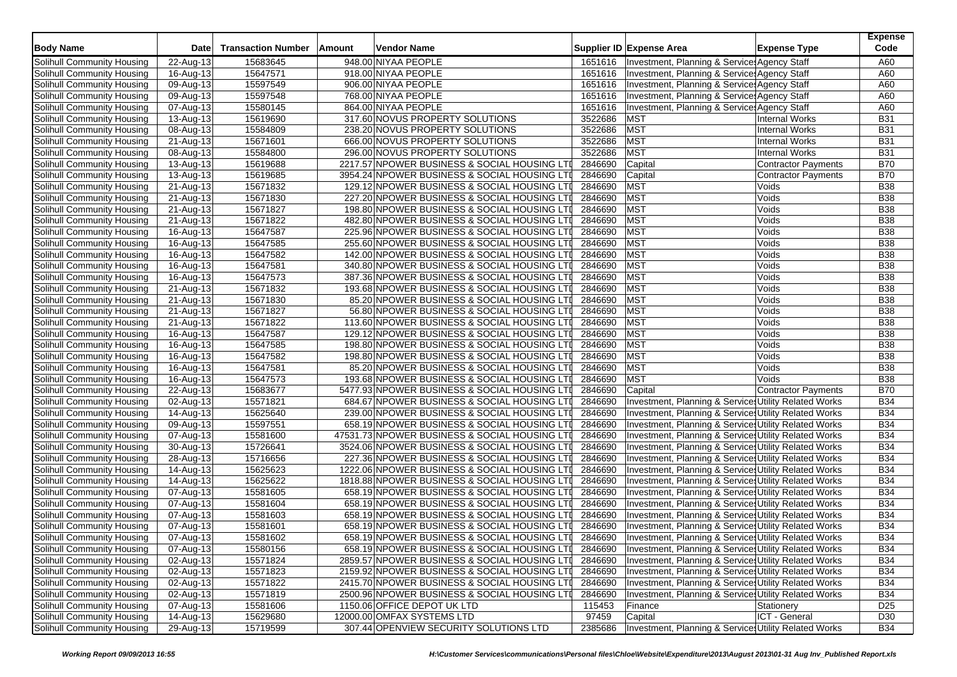| <b>Body Name</b>           | <b>Date</b>             | <b>Transaction Number</b> | Amount | Vendor Name                                   |         | Supplier ID Expense Area                              | <b>Expense Type</b>        | <b>Expense</b><br>Code |
|----------------------------|-------------------------|---------------------------|--------|-----------------------------------------------|---------|-------------------------------------------------------|----------------------------|------------------------|
| Solihull Community Housing | 22-Aug-13               | 15683645                  |        | 948.00 NIYAA PEOPLE                           | 1651616 | Investment, Planning & Services Agency Staff          |                            | A60                    |
| Solihull Community Housing | 16-Aug-13               | 15647571                  |        | 918.00 NIYAA PEOPLE                           | 1651616 | Investment, Planning & Services Agency Staff          |                            | A60                    |
| Solihull Community Housing | 09-Aug-13               | 15597549                  |        | 906.00 NIYAA PEOPLE                           | 1651616 | Investment, Planning & Service: Agency Staff          |                            | A60                    |
| Solihull Community Housing | 09-Aug-13               | 15597548                  |        | 768.00 NIYAA PEOPLE                           | 1651616 | Investment, Planning & Service: Agency Staff          |                            | A60                    |
| Solihull Community Housing | 07-Aug-13               | 15580145                  |        | 864.00 NIYAA PEOPLE                           | 1651616 | Investment, Planning & Services Agency Staff          |                            | A60                    |
| Solihull Community Housing | 13-Aug-13               | 15619690                  |        | 317.60 NOVUS PROPERTY SOLUTIONS               | 3522686 | MST                                                   | <b>Internal Works</b>      | <b>B31</b>             |
| Solihull Community Housing | 08-Aug-13               | 15584809                  |        | 238.20 NOVUS PROPERTY SOLUTIONS               | 3522686 | <b>MST</b>                                            | <b>Internal Works</b>      | <b>B31</b>             |
| Solihull Community Housing | 21-Aug-13               | 15671601                  |        | 666.00 NOVUS PROPERTY SOLUTIONS               | 3522686 | <b>MST</b>                                            | <b>Internal Works</b>      | <b>B31</b>             |
| Solihull Community Housing | 08-Aug-13               | 15584800                  |        | 296.00 NOVUS PROPERTY SOLUTIONS               | 3522686 | <b>MST</b>                                            | <b>Internal Works</b>      | <b>B31</b>             |
| Solihull Community Housing | $\overline{13}$ -Aug-13 | 15619688                  |        | 2217.57 NPOWER BUSINESS & SOCIAL HOUSING LTI  | 2846690 | Capital                                               | <b>Contractor Payments</b> | <b>B70</b>             |
| Solihull Community Housing | 13-Aug-13               | 15619685                  |        | 3954.24 NPOWER BUSINESS & SOCIAL HOUSING LTI  | 2846690 | Capital                                               | <b>Contractor Payments</b> | <b>B70</b>             |
| Solihull Community Housing | 21-Aug-13               | 15671832                  |        | 129.12 NPOWER BUSINESS & SOCIAL HOUSING LTI   | 2846690 | <b>MST</b>                                            | Voids                      | <b>B38</b>             |
| Solihull Community Housing | 21-Aug-13               | 15671830                  |        | 227.20 NPOWER BUSINESS & SOCIAL HOUSING LTI   | 2846690 | <b>MST</b>                                            | Voids                      | <b>B38</b>             |
| Solihull Community Housing | 21-Aug-13               | 15671827                  |        | 198.80 NPOWER BUSINESS & SOCIAL HOUSING LTI   | 2846690 | <b>MST</b>                                            | Voids                      | <b>B38</b>             |
| Solihull Community Housing | 21-Aug-13               | 15671822                  |        | 482.80 NPOWER BUSINESS & SOCIAL HOUSING LTI   | 2846690 | <b>MST</b>                                            | Voids                      | <b>B38</b>             |
| Solihull Community Housing | 16-Aug-13               | 15647587                  |        | 225.96 NPOWER BUSINESS & SOCIAL HOUSING LTI   | 2846690 | <b>MST</b>                                            | Voids                      | <b>B38</b>             |
| Solihull Community Housing | 16-Aug-13               | 15647585                  |        | 255.60 NPOWER BUSINESS & SOCIAL HOUSING LTI   | 2846690 | <b>MST</b>                                            | Voids                      | <b>B38</b>             |
| Solihull Community Housing | 16-Aug-13               | 15647582                  |        | 142.00 NPOWER BUSINESS & SOCIAL HOUSING LTI   | 2846690 | <b>MST</b>                                            | Voids                      | <b>B38</b>             |
| Solihull Community Housing | 16-Aug-13               | 15647581                  |        | 340.80 NPOWER BUSINESS & SOCIAL HOUSING LTI   | 2846690 | <b>MST</b>                                            | Voids                      | <b>B38</b>             |
| Solihull Community Housing | 16-Aug-13               | 15647573                  |        | 387.36 NPOWER BUSINESS & SOCIAL HOUSING LTI   | 2846690 | <b>MST</b>                                            | Voids                      | <b>B38</b>             |
| Solihull Community Housing | 21-Aug-13               | 15671832                  |        | 193.68 NPOWER BUSINESS & SOCIAL HOUSING LTI   | 2846690 | MST                                                   | Voids                      | <b>B38</b>             |
| Solihull Community Housing | 21-Aug-13               | 15671830                  |        | 85.20 NPOWER BUSINESS & SOCIAL HOUSING LTI    | 2846690 | <b>MST</b>                                            | Voids                      | <b>B38</b>             |
| Solihull Community Housing | 21-Aug-13               | 15671827                  |        | 56.80 NPOWER BUSINESS & SOCIAL HOUSING LTI    | 2846690 | <b>MST</b>                                            | Voids                      | <b>B38</b>             |
| Solihull Community Housing | 21-Aug-13               | 15671822                  |        | 113.60 NPOWER BUSINESS & SOCIAL HOUSING LTI   | 2846690 | MST                                                   | Voids                      | <b>B38</b>             |
| Solihull Community Housing | 16-Aug-13               | 15647587                  |        | 129.12 NPOWER BUSINESS & SOCIAL HOUSING LTI   | 2846690 | <b>MST</b>                                            | Voids                      | <b>B38</b>             |
| Solihull Community Housing | 16-Aug-13               | 15647585                  |        | 198.80 NPOWER BUSINESS & SOCIAL HOUSING LTI   | 2846690 | <b>MST</b>                                            | Voids                      | <b>B38</b>             |
| Solihull Community Housing | 16-Aug-13               | 15647582                  |        | 198.80 NPOWER BUSINESS & SOCIAL HOUSING LTI   | 2846690 | <b>MST</b>                                            | Voids                      | <b>B38</b>             |
| Solihull Community Housing | 16-Aug-13               | 15647581                  |        | 85.20 NPOWER BUSINESS & SOCIAL HOUSING LTI    | 2846690 | <b>MST</b>                                            | Voids                      | <b>B38</b>             |
| Solihull Community Housing | 16-Aug-13               | 15647573                  |        | 193.68 NPOWER BUSINESS & SOCIAL HOUSING LTI   | 2846690 | <b>MST</b>                                            | Voids                      | <b>B38</b>             |
| Solihull Community Housing | 22-Aug-13               | 15683677                  |        | 5477.93 NPOWER BUSINESS & SOCIAL HOUSING LTI  | 2846690 | Capital                                               | Contractor Payments        | <b>B70</b>             |
| Solihull Community Housing | 02-Aug-13               | 15571821                  |        | 684.67 NPOWER BUSINESS & SOCIAL HOUSING LTI   | 2846690 | Investment, Planning & Services Utility Related Works |                            | <b>B34</b>             |
| Solihull Community Housing | 14-Aug-13               | 15625640                  |        | 239.00 NPOWER BUSINESS & SOCIAL HOUSING LTI   | 2846690 | Investment, Planning & Services Utility Related Works |                            | <b>B34</b>             |
| Solihull Community Housing | 09-Aug-13               | 15597551                  |        | 658.19 NPOWER BUSINESS & SOCIAL HOUSING LTI   | 2846690 | Investment, Planning & Services Utility Related Works |                            | <b>B34</b>             |
| Solihull Community Housing | 07-Aug-13               | 15581600                  |        | 47531.73 NPOWER BUSINESS & SOCIAL HOUSING LTI | 2846690 | Investment, Planning & Services Utility Related Works |                            | <b>B34</b>             |
| Solihull Community Housing | 30-Aug-13               | 15726641                  |        | 3524.06 NPOWER BUSINESS & SOCIAL HOUSING LTI  | 2846690 | Investment, Planning & Services Utility Related Works |                            | <b>B34</b>             |
| Solihull Community Housing | $\overline{28}$ -Aug-13 | 15716656                  |        | 227.36 NPOWER BUSINESS & SOCIAL HOUSING LTI   | 2846690 | Investment, Planning & Services Utility Related Works |                            | <b>B34</b>             |
| Solihull Community Housing | 14-Aug-13               | 15625623                  |        | 1222.06 NPOWER BUSINESS & SOCIAL HOUSING LTI  | 2846690 | Investment, Planning & Services Utility Related Works |                            | <b>B34</b>             |
| Solihull Community Housing | 14-Aug-13               | 15625622                  |        | 1818.88 NPOWER BUSINESS & SOCIAL HOUSING LTI  | 2846690 | Investment, Planning & Services Utility Related Works |                            | <b>B34</b>             |
| Solihull Community Housing | $\overline{0}$ 7-Aug-13 | 15581605                  |        | 658.19 NPOWER BUSINESS & SOCIAL HOUSING LTI   | 2846690 | Investment, Planning & Services Utility Related Works |                            | <b>B34</b>             |
| Solihull Community Housing | 07-Aug-13               | 15581604                  |        | 658.19 NPOWER BUSINESS & SOCIAL HOUSING LTI   | 2846690 | Investment, Planning & Services Utility Related Works |                            | <b>B34</b>             |
| Solihull Community Housing | 07-Aug-13               | 15581603                  |        | 658.19 NPOWER BUSINESS & SOCIAL HOUSING LTI   | 2846690 | Investment, Planning & Services Utility Related Works |                            | <b>B34</b>             |
| Solihull Community Housing | 07-Aug-13               | 15581601                  |        | 658.19 NPOWER BUSINESS & SOCIAL HOUSING LTI   | 2846690 | Investment, Planning & Services Utility Related Works |                            | <b>B34</b>             |
| Solihull Community Housing | 07-Aug-13               | 15581602                  |        | 658.19 NPOWER BUSINESS & SOCIAL HOUSING LTI   | 2846690 | Investment, Planning & Services Utility Related Works |                            | <b>B34</b>             |
| Solihull Community Housing | 07-Aug-13               | 15580156                  |        | 658.19 NPOWER BUSINESS & SOCIAL HOUSING LTI   | 2846690 | Investment, Planning & Services Utility Related Works |                            | <b>B34</b>             |
| Solihull Community Housing | 02-Aug-13               | 15571824                  |        | 2859.57 NPOWER BUSINESS & SOCIAL HOUSING LTI  | 2846690 | Investment, Planning & Services Utility Related Works |                            | <b>B34</b>             |
| Solihull Community Housing | 02-Aug-13               | 15571823                  |        | 2159.92 NPOWER BUSINESS & SOCIAL HOUSING LTI  | 2846690 | Investment, Planning & Services Utility Related Works |                            | <b>B34</b>             |
| Solihull Community Housing | 02-Aug-13               | 15571822                  |        | 2415.70 NPOWER BUSINESS & SOCIAL HOUSING LTI  | 2846690 | Investment, Planning & Services Utility Related Works |                            | <b>B34</b>             |
| Solihull Community Housing | 02-Aug-13               | 15571819                  |        | 2500.96 NPOWER BUSINESS & SOCIAL HOUSING LTI  | 2846690 | Investment, Planning & Services Utility Related Works |                            | <b>B34</b>             |
| Solihull Community Housing | 07-Aug-13               | 15581606                  |        | 1150.06 OFFICE DEPOT UK LTD                   | 115453  | Finance                                               | Stationery                 | D <sub>25</sub>        |
| Solihull Community Housing | 14-Aug-13               | 15629680                  |        | 12000.00 OMFAX SYSTEMS LTD                    | 97459   | Capital                                               | ICT - General              | D30                    |
| Solihull Community Housing | 29-Aug-13               | 15719599                  |        | 307.44 OPENVIEW SECURITY SOLUTIONS LTD        | 2385686 | Investment, Planning & Services Utility Related Works |                            | <b>B34</b>             |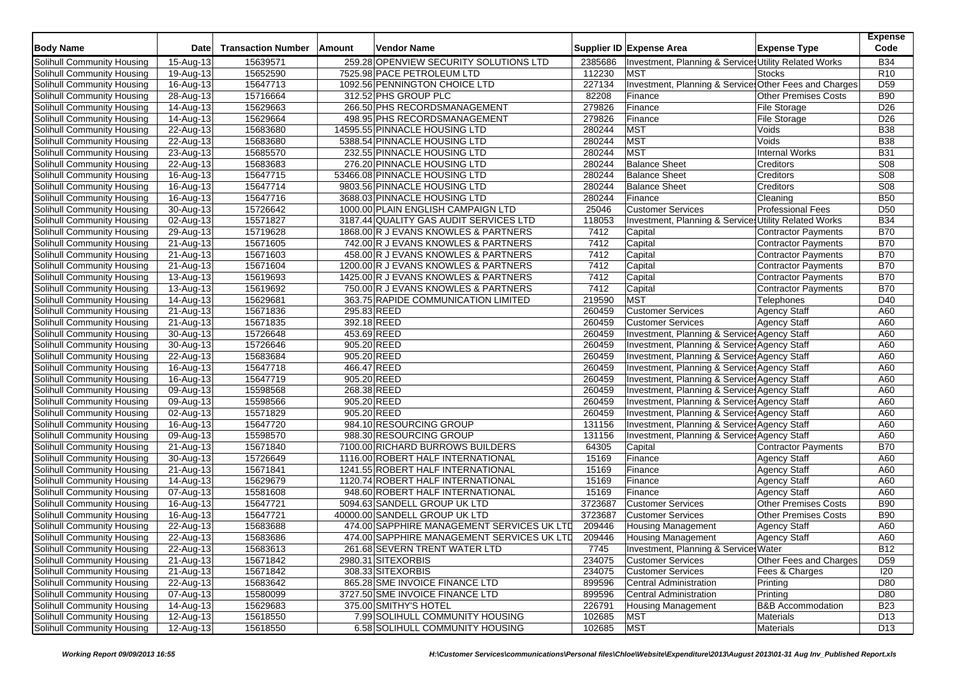| 259.28 OPENVIEW SECURITY SOLUTIONS LTD<br>Investment, Planning & Services Utility Related Works<br><b>B34</b><br>15-Aug-13<br>15639571<br>2385686<br>112230<br>R <sub>10</sub><br>15652590<br>7525.98 PACE PETROLEUM LTD<br><b>MST</b><br>19-Aug-13<br><b>Stocks</b><br>15647713<br>227134<br>Investment, Planning & Service Other Fees and Charges<br>D <sub>59</sub><br>Solihull Community Housing<br>1092.56 PENNINGTON CHOICE LTD<br>16-Aug-13<br>312.52 PHS GROUP PLC<br>82208<br><b>Other Premises Costs</b><br><b>B90</b><br>Solihull Community Housing<br>28-Aug-13<br>15716664<br>Finance<br>279826<br>15629663<br>266.50 PHS RECORDSMANAGEMENT<br>Finance<br>D <sub>26</sub><br>Solihull Community Housing<br>14-Aug-13<br><b>File Storage</b><br>15629664<br>498.95 PHS RECORDSMANAGEMENT<br>279826<br><b>File Storage</b><br>D <sub>26</sub><br>Solihull Community Housing<br>14-Aug-13<br>Finance<br><b>MST</b><br>14595.55 PINNACLE HOUSING LTD<br>280244<br>Voids<br><b>B38</b><br>Solihull Community Housing<br>22-Aug-13<br>15683680<br><b>MST</b><br>15683680<br>280244<br>Voids<br><b>B38</b><br>Solihull Community Housing<br>22-Aug-13<br>5388.54 PINNACLE HOUSING LTD<br><b>MST</b><br><b>B31</b><br>15685570<br>280244<br><b>Internal Works</b><br>Solihull Community Housing<br>23-Aug-13<br>232.55 PINNACLE HOUSING LTD<br><b>Balance Sheet</b><br>S08<br>276.20 PINNACLE HOUSING LTD<br>280244<br>Creditors<br>Solihull Community Housing<br>22-Aug-13<br>15683683<br>15647715<br>53466.08 PINNACLE HOUSING LTD<br>280244<br><b>Balance Sheet</b><br>S08<br>Solihull Community Housing<br>16-Aug-13<br>Creditors<br>15647714<br>S08<br>9803.56 PINNACLE HOUSING LTD<br>280244<br><b>Balance Sheet</b><br>Creditors<br>Solihull Community Housing<br>16-Aug-13<br><b>B50</b><br>15647716<br>3688.03 PINNACLE HOUSING LTD<br>280244<br>Solihull Community Housing<br>16-Aug-13<br>Finance<br>Cleaning<br>15726642<br>1000.00 PLAIN ENGLISH CAMPAIGN LTD<br>25046<br><b>Customer Services</b><br><b>Professional Fees</b><br>D <sub>50</sub><br>Solihull Community Housing<br>30-Aug-13<br>15571827<br>118053<br>Investment, Planning & Service Utility Related Works<br><b>B34</b><br>Solihull Community Housing<br>$\overline{02}$ -Aug-13<br>3187.44 QUALITY GAS AUDIT SERVICES LTD<br><b>B70</b><br>15719628<br>1868.00 R J EVANS KNOWLES & PARTNERS<br>7412<br>Solihull Community Housing<br>29-Aug-13<br>Capital<br>Contractor Payments<br>15671605<br>742.00 R J EVANS KNOWLES & PARTNERS<br>7412<br>Capital<br><b>B70</b><br>Solihull Community Housing<br>21-Aug-13<br>Contractor Payments<br>15671603<br><b>B70</b><br>Solihull Community Housing<br>458.00 R J EVANS KNOWLES & PARTNERS<br>7412<br>Capital<br><b>Contractor Payments</b><br>21-Aug-13<br><b>B70</b><br>15671604<br>1200.00 R J EVANS KNOWLES & PARTNERS<br>7412<br>Capital<br>Solihull Community Housing<br>21-Aug-13<br>Contractor Payments<br>15619693<br>7412<br><b>B70</b><br>Solihull Community Housing<br>13-Aug-13<br>1425.00 R J EVANS KNOWLES & PARTNERS<br>Capital<br>Contractor Payments<br>15619692<br>Capital<br><b>B70</b><br>Solihull Community Housing<br>13-Aug-13<br>750.00 R J EVANS KNOWLES & PARTNERS<br>7412<br><b>Contractor Payments</b><br>15629681<br>219590<br><b>MST</b><br>D40<br>Solihull Community Housing<br>$\overline{14}$ -Aug-13<br>363.75 RAPIDE COMMUNICATION LIMITED<br>Telephones<br>15671836<br>295.83 REED<br>260459<br><b>Customer Services</b><br><b>Agency Staff</b><br>A60<br>Solihull Community Housing<br>21-Aug-13<br>15671835<br>392.18 REED<br>260459<br><b>Customer Services</b><br>A60<br>Solihull Community Housing<br>21-Aug-13<br><b>Agency Staff</b><br>15726648<br>453.69 REED<br>260459<br>Investment, Planning & Services Agency Staff<br>A60<br>Solihull Community Housing<br>30-Aug-13<br>260459<br>15726646<br>905.20 REED<br>Investment, Planning & Services Agency Staff<br>Solihull Community Housing<br>30-Aug-13<br>A60<br>15683684<br>905.20 REED<br>260459<br>Investment, Planning & Service Agency Staff<br>A60<br>Solihull Community Housing<br>22-Aug-13<br>260459<br>15647718<br>466.47 REED<br>Investment, Planning & Services Agency Staff<br>A60<br>Solihull Community Housing<br>16-Aug-13<br>15647719<br>905.20 REED<br>260459<br>A60<br>Solihull Community Housing<br>16-Aug-13<br>Investment, Planning & Service, Agency Staff<br>15598568<br>268.38 REED<br>260459<br>Investment, Planning & Services Agency Staff<br>A60<br>09-Aug-13<br>15598566<br>905.20 REED<br>260459<br>Investment, Planning & Services Agency Staff<br>A60<br>09-Aug-13<br>15571829<br>905.20 REED<br>260459<br>Investment, Planning & Services Agency Staff<br>02-Aug-13<br>A60<br>131156<br>15647720<br>984.10 RESOURCING GROUP<br>Investment, Planning & Service Agency Staff<br>A60<br>16-Aug-13<br>15598570<br>988.30 RESOURCING GROUP<br>131156<br>A60<br>09-Aug-13<br>Investment, Planning & Service, Agency Staff<br>15671840<br>64305<br><b>B70</b><br>21-Aug-13<br>7100.00 RICHARD BURROWS BUILDERS<br>Capital<br><b>Contractor Payments</b><br>15726649<br>15169<br>A60<br>30-Aug-13<br>1116.00 ROBERT HALF INTERNATIONAL<br>Finance<br><b>Agency Staff</b><br>15671841<br>15169<br>A60<br>21-Aug-13<br>1241.55 ROBERT HALF INTERNATIONAL<br><b>Agency Staff</b><br>Finance<br>15629679<br>15169<br>14-Aug-13<br>1120.74 ROBERT HALF INTERNATIONAL<br>Finance<br><b>Agency Staff</b><br>A60<br>15581608<br>15169<br>A60<br>Solihull Community Housing<br>07-Aug-13<br>948.60 ROBERT HALF INTERNATIONAL<br>Finance<br><b>Agency Staff</b><br>3723687<br><b>Customer Services</b><br><b>B90</b><br>15647721<br>5094.63 SANDELL GROUP UK LTD<br><b>Other Premises Costs</b><br>16-Aug-13<br>15647721<br>40000.00 SANDELL GROUP UK LTD<br>3723687<br>Other Premises Costs<br><b>B90</b><br>Solihull Community Housing<br><b>Customer Services</b><br>16-Aug-13<br>474.00 SAPPHIRE MANAGEMENT SERVICES UK LTD<br>15683688<br>209446<br>A60<br>Solihull Community Housing<br>22-Aug-13<br><b>Housing Management</b><br><b>Agency Staff</b><br>209446<br>A60<br>Solihull Community Housing<br>15683686<br>474.00 SAPPHIRE MANAGEMENT SERVICES UK LTD<br>Housing Management<br>22-Aug-13<br>Agency Staff<br>Solihull Community Housing<br>22-Aug-13<br>15683613<br>261.68 SEVERN TRENT WATER LTD<br>Investment, Planning & Service, Water<br><b>B12</b><br>7745<br>Solihull Community Housing<br>21-Aug-13<br>15671842<br>2980.31 SITEXORBIS<br>234075<br>Other Fees and Charges<br>D <sub>59</sub><br><b>Customer Services</b><br>Solihull Community Housing<br><b>Customer Services</b><br>21-Aug-13<br>15671842<br>308.33 SITEXORBIS<br>234075<br>Fees & Charges<br>120<br>Solihull Community Housing<br>22-Aug-13<br>15683642<br>865.28 SME INVOICE FINANCE LTD<br>899596<br>Central Administration<br>D80<br>Printing<br>Solihull Community Housing<br>07-Aug-13<br>15580099<br>899596<br>Central Administration<br>Printing<br>D80<br>3727.50 SME INVOICE FINANCE LTD<br><b>B&amp;B</b> Accommodation<br>Solihull Community Housing<br>14-Aug-13<br>375.00 SMITHY'S HOTEL<br>Housing Management<br><b>B23</b><br>15629683<br>226791<br>12-Aug-13<br>15618550<br>7.99 SOLIHULL COMMUNITY HOUSING<br>102685<br><b>MST</b><br>Materials<br>D <sub>13</sub><br>Solihull Community Housing | <b>Body Name</b>           | <b>Date</b> | <b>Transaction Number</b> | Amount | Vendor Name                     |        | Supplier ID Expense Area | <b>Expense Type</b> | <b>Expense</b><br>Code |
|------------------------------------------------------------------------------------------------------------------------------------------------------------------------------------------------------------------------------------------------------------------------------------------------------------------------------------------------------------------------------------------------------------------------------------------------------------------------------------------------------------------------------------------------------------------------------------------------------------------------------------------------------------------------------------------------------------------------------------------------------------------------------------------------------------------------------------------------------------------------------------------------------------------------------------------------------------------------------------------------------------------------------------------------------------------------------------------------------------------------------------------------------------------------------------------------------------------------------------------------------------------------------------------------------------------------------------------------------------------------------------------------------------------------------------------------------------------------------------------------------------------------------------------------------------------------------------------------------------------------------------------------------------------------------------------------------------------------------------------------------------------------------------------------------------------------------------------------------------------------------------------------------------------------------------------------------------------------------------------------------------------------------------------------------------------------------------------------------------------------------------------------------------------------------------------------------------------------------------------------------------------------------------------------------------------------------------------------------------------------------------------------------------------------------------------------------------------------------------------------------------------------------------------------------------------------------------------------------------------------------------------------------------------------------------------------------------------------------------------------------------------------------------------------------------------------------------------------------------------------------------------------------------------------------------------------------------------------------------------------------------------------------------------------------------------------------------------------------------------------------------------------------------------------------------------------------------------------------------------------------------------------------------------------------------------------------------------------------------------------------------------------------------------------------------------------------------------------------------------------------------------------------------------------------------------------------------------------------------------------------------------------------------------------------------------------------------------------------------------------------------------------------------------------------------------------------------------------------------------------------------------------------------------------------------------------------------------------------------------------------------------------------------------------------------------------------------------------------------------------------------------------------------------------------------------------------------------------------------------------------------------------------------------------------------------------------------------------------------------------------------------------------------------------------------------------------------------------------------------------------------------------------------------------------------------------------------------------------------------------------------------------------------------------------------------------------------------------------------------------------------------------------------------------------------------------------------------------------------------------------------------------------------------------------------------------------------------------------------------------------------------------------------------------------------------------------------------------------------------------------------------------------------------------------------------------------------------------------------------------------------------------------------------------------------------------------------------------------------------------------------------------------------------------------------------------------------------------------------------------------------------------------------------------------------------------------------------------------------------------------------------------------------------------------------------------------------------------------------------------------------------------------------------------------------------------------------------------------------------------------------------------------------------------------------------------------------------------------------------------------------------------------------------------------------------------------------------------------------------------------------------------------------------------------------------------------------------------------------------------------------------------------------------------------------------------------------------------------------------------------------------------------------------------------------------------------------------------------------------------------------------------------------------------------------------------------------------------------------------------------------------------------------------------------------------------------------------------------------------------------------------------------------------------------------------------------------------------------------------------------------------------------------------------------------------------------------------------------------------------------------------------------------------------------------------------------------------------------------------------------------------------------------------------------------------------------------------------------------------------------------------------------------------------------------------------------------------------------------|----------------------------|-------------|---------------------------|--------|---------------------------------|--------|--------------------------|---------------------|------------------------|
|                                                                                                                                                                                                                                                                                                                                                                                                                                                                                                                                                                                                                                                                                                                                                                                                                                                                                                                                                                                                                                                                                                                                                                                                                                                                                                                                                                                                                                                                                                                                                                                                                                                                                                                                                                                                                                                                                                                                                                                                                                                                                                                                                                                                                                                                                                                                                                                                                                                                                                                                                                                                                                                                                                                                                                                                                                                                                                                                                                                                                                                                                                                                                                                                                                                                                                                                                                                                                                                                                                                                                                                                                                                                                                                                                                                                                                                                                                                                                                                                                                                                                                                                                                                                                                                                                                                                                                                                                                                                                                                                                                                                                                                                                                                                                                                                                                                                                                                                                                                                                                                                                                                                                                                                                                                                                                                                                                                                                                                                                                                                                                                                                                                                                                                                                                                                                                                                                                                                                                                                                                                                                                                                                                                                                                                                                                                                                                                                                                                                                                                                                                                                                                                                                                                                                                                                                                                                                                                                                                                                                                                                                                                                                                                                                                                                                                                                                            | Solihull Community Housing |             |                           |        |                                 |        |                          |                     |                        |
|                                                                                                                                                                                                                                                                                                                                                                                                                                                                                                                                                                                                                                                                                                                                                                                                                                                                                                                                                                                                                                                                                                                                                                                                                                                                                                                                                                                                                                                                                                                                                                                                                                                                                                                                                                                                                                                                                                                                                                                                                                                                                                                                                                                                                                                                                                                                                                                                                                                                                                                                                                                                                                                                                                                                                                                                                                                                                                                                                                                                                                                                                                                                                                                                                                                                                                                                                                                                                                                                                                                                                                                                                                                                                                                                                                                                                                                                                                                                                                                                                                                                                                                                                                                                                                                                                                                                                                                                                                                                                                                                                                                                                                                                                                                                                                                                                                                                                                                                                                                                                                                                                                                                                                                                                                                                                                                                                                                                                                                                                                                                                                                                                                                                                                                                                                                                                                                                                                                                                                                                                                                                                                                                                                                                                                                                                                                                                                                                                                                                                                                                                                                                                                                                                                                                                                                                                                                                                                                                                                                                                                                                                                                                                                                                                                                                                                                                                            | Solihull Community Housing |             |                           |        |                                 |        |                          |                     |                        |
|                                                                                                                                                                                                                                                                                                                                                                                                                                                                                                                                                                                                                                                                                                                                                                                                                                                                                                                                                                                                                                                                                                                                                                                                                                                                                                                                                                                                                                                                                                                                                                                                                                                                                                                                                                                                                                                                                                                                                                                                                                                                                                                                                                                                                                                                                                                                                                                                                                                                                                                                                                                                                                                                                                                                                                                                                                                                                                                                                                                                                                                                                                                                                                                                                                                                                                                                                                                                                                                                                                                                                                                                                                                                                                                                                                                                                                                                                                                                                                                                                                                                                                                                                                                                                                                                                                                                                                                                                                                                                                                                                                                                                                                                                                                                                                                                                                                                                                                                                                                                                                                                                                                                                                                                                                                                                                                                                                                                                                                                                                                                                                                                                                                                                                                                                                                                                                                                                                                                                                                                                                                                                                                                                                                                                                                                                                                                                                                                                                                                                                                                                                                                                                                                                                                                                                                                                                                                                                                                                                                                                                                                                                                                                                                                                                                                                                                                                            |                            |             |                           |        |                                 |        |                          |                     |                        |
|                                                                                                                                                                                                                                                                                                                                                                                                                                                                                                                                                                                                                                                                                                                                                                                                                                                                                                                                                                                                                                                                                                                                                                                                                                                                                                                                                                                                                                                                                                                                                                                                                                                                                                                                                                                                                                                                                                                                                                                                                                                                                                                                                                                                                                                                                                                                                                                                                                                                                                                                                                                                                                                                                                                                                                                                                                                                                                                                                                                                                                                                                                                                                                                                                                                                                                                                                                                                                                                                                                                                                                                                                                                                                                                                                                                                                                                                                                                                                                                                                                                                                                                                                                                                                                                                                                                                                                                                                                                                                                                                                                                                                                                                                                                                                                                                                                                                                                                                                                                                                                                                                                                                                                                                                                                                                                                                                                                                                                                                                                                                                                                                                                                                                                                                                                                                                                                                                                                                                                                                                                                                                                                                                                                                                                                                                                                                                                                                                                                                                                                                                                                                                                                                                                                                                                                                                                                                                                                                                                                                                                                                                                                                                                                                                                                                                                                                                            |                            |             |                           |        |                                 |        |                          |                     |                        |
|                                                                                                                                                                                                                                                                                                                                                                                                                                                                                                                                                                                                                                                                                                                                                                                                                                                                                                                                                                                                                                                                                                                                                                                                                                                                                                                                                                                                                                                                                                                                                                                                                                                                                                                                                                                                                                                                                                                                                                                                                                                                                                                                                                                                                                                                                                                                                                                                                                                                                                                                                                                                                                                                                                                                                                                                                                                                                                                                                                                                                                                                                                                                                                                                                                                                                                                                                                                                                                                                                                                                                                                                                                                                                                                                                                                                                                                                                                                                                                                                                                                                                                                                                                                                                                                                                                                                                                                                                                                                                                                                                                                                                                                                                                                                                                                                                                                                                                                                                                                                                                                                                                                                                                                                                                                                                                                                                                                                                                                                                                                                                                                                                                                                                                                                                                                                                                                                                                                                                                                                                                                                                                                                                                                                                                                                                                                                                                                                                                                                                                                                                                                                                                                                                                                                                                                                                                                                                                                                                                                                                                                                                                                                                                                                                                                                                                                                                            |                            |             |                           |        |                                 |        |                          |                     |                        |
|                                                                                                                                                                                                                                                                                                                                                                                                                                                                                                                                                                                                                                                                                                                                                                                                                                                                                                                                                                                                                                                                                                                                                                                                                                                                                                                                                                                                                                                                                                                                                                                                                                                                                                                                                                                                                                                                                                                                                                                                                                                                                                                                                                                                                                                                                                                                                                                                                                                                                                                                                                                                                                                                                                                                                                                                                                                                                                                                                                                                                                                                                                                                                                                                                                                                                                                                                                                                                                                                                                                                                                                                                                                                                                                                                                                                                                                                                                                                                                                                                                                                                                                                                                                                                                                                                                                                                                                                                                                                                                                                                                                                                                                                                                                                                                                                                                                                                                                                                                                                                                                                                                                                                                                                                                                                                                                                                                                                                                                                                                                                                                                                                                                                                                                                                                                                                                                                                                                                                                                                                                                                                                                                                                                                                                                                                                                                                                                                                                                                                                                                                                                                                                                                                                                                                                                                                                                                                                                                                                                                                                                                                                                                                                                                                                                                                                                                                            |                            |             |                           |        |                                 |        |                          |                     |                        |
|                                                                                                                                                                                                                                                                                                                                                                                                                                                                                                                                                                                                                                                                                                                                                                                                                                                                                                                                                                                                                                                                                                                                                                                                                                                                                                                                                                                                                                                                                                                                                                                                                                                                                                                                                                                                                                                                                                                                                                                                                                                                                                                                                                                                                                                                                                                                                                                                                                                                                                                                                                                                                                                                                                                                                                                                                                                                                                                                                                                                                                                                                                                                                                                                                                                                                                                                                                                                                                                                                                                                                                                                                                                                                                                                                                                                                                                                                                                                                                                                                                                                                                                                                                                                                                                                                                                                                                                                                                                                                                                                                                                                                                                                                                                                                                                                                                                                                                                                                                                                                                                                                                                                                                                                                                                                                                                                                                                                                                                                                                                                                                                                                                                                                                                                                                                                                                                                                                                                                                                                                                                                                                                                                                                                                                                                                                                                                                                                                                                                                                                                                                                                                                                                                                                                                                                                                                                                                                                                                                                                                                                                                                                                                                                                                                                                                                                                                            |                            |             |                           |        |                                 |        |                          |                     |                        |
|                                                                                                                                                                                                                                                                                                                                                                                                                                                                                                                                                                                                                                                                                                                                                                                                                                                                                                                                                                                                                                                                                                                                                                                                                                                                                                                                                                                                                                                                                                                                                                                                                                                                                                                                                                                                                                                                                                                                                                                                                                                                                                                                                                                                                                                                                                                                                                                                                                                                                                                                                                                                                                                                                                                                                                                                                                                                                                                                                                                                                                                                                                                                                                                                                                                                                                                                                                                                                                                                                                                                                                                                                                                                                                                                                                                                                                                                                                                                                                                                                                                                                                                                                                                                                                                                                                                                                                                                                                                                                                                                                                                                                                                                                                                                                                                                                                                                                                                                                                                                                                                                                                                                                                                                                                                                                                                                                                                                                                                                                                                                                                                                                                                                                                                                                                                                                                                                                                                                                                                                                                                                                                                                                                                                                                                                                                                                                                                                                                                                                                                                                                                                                                                                                                                                                                                                                                                                                                                                                                                                                                                                                                                                                                                                                                                                                                                                                            |                            |             |                           |        |                                 |        |                          |                     |                        |
|                                                                                                                                                                                                                                                                                                                                                                                                                                                                                                                                                                                                                                                                                                                                                                                                                                                                                                                                                                                                                                                                                                                                                                                                                                                                                                                                                                                                                                                                                                                                                                                                                                                                                                                                                                                                                                                                                                                                                                                                                                                                                                                                                                                                                                                                                                                                                                                                                                                                                                                                                                                                                                                                                                                                                                                                                                                                                                                                                                                                                                                                                                                                                                                                                                                                                                                                                                                                                                                                                                                                                                                                                                                                                                                                                                                                                                                                                                                                                                                                                                                                                                                                                                                                                                                                                                                                                                                                                                                                                                                                                                                                                                                                                                                                                                                                                                                                                                                                                                                                                                                                                                                                                                                                                                                                                                                                                                                                                                                                                                                                                                                                                                                                                                                                                                                                                                                                                                                                                                                                                                                                                                                                                                                                                                                                                                                                                                                                                                                                                                                                                                                                                                                                                                                                                                                                                                                                                                                                                                                                                                                                                                                                                                                                                                                                                                                                                            |                            |             |                           |        |                                 |        |                          |                     |                        |
|                                                                                                                                                                                                                                                                                                                                                                                                                                                                                                                                                                                                                                                                                                                                                                                                                                                                                                                                                                                                                                                                                                                                                                                                                                                                                                                                                                                                                                                                                                                                                                                                                                                                                                                                                                                                                                                                                                                                                                                                                                                                                                                                                                                                                                                                                                                                                                                                                                                                                                                                                                                                                                                                                                                                                                                                                                                                                                                                                                                                                                                                                                                                                                                                                                                                                                                                                                                                                                                                                                                                                                                                                                                                                                                                                                                                                                                                                                                                                                                                                                                                                                                                                                                                                                                                                                                                                                                                                                                                                                                                                                                                                                                                                                                                                                                                                                                                                                                                                                                                                                                                                                                                                                                                                                                                                                                                                                                                                                                                                                                                                                                                                                                                                                                                                                                                                                                                                                                                                                                                                                                                                                                                                                                                                                                                                                                                                                                                                                                                                                                                                                                                                                                                                                                                                                                                                                                                                                                                                                                                                                                                                                                                                                                                                                                                                                                                                            |                            |             |                           |        |                                 |        |                          |                     |                        |
|                                                                                                                                                                                                                                                                                                                                                                                                                                                                                                                                                                                                                                                                                                                                                                                                                                                                                                                                                                                                                                                                                                                                                                                                                                                                                                                                                                                                                                                                                                                                                                                                                                                                                                                                                                                                                                                                                                                                                                                                                                                                                                                                                                                                                                                                                                                                                                                                                                                                                                                                                                                                                                                                                                                                                                                                                                                                                                                                                                                                                                                                                                                                                                                                                                                                                                                                                                                                                                                                                                                                                                                                                                                                                                                                                                                                                                                                                                                                                                                                                                                                                                                                                                                                                                                                                                                                                                                                                                                                                                                                                                                                                                                                                                                                                                                                                                                                                                                                                                                                                                                                                                                                                                                                                                                                                                                                                                                                                                                                                                                                                                                                                                                                                                                                                                                                                                                                                                                                                                                                                                                                                                                                                                                                                                                                                                                                                                                                                                                                                                                                                                                                                                                                                                                                                                                                                                                                                                                                                                                                                                                                                                                                                                                                                                                                                                                                                            |                            |             |                           |        |                                 |        |                          |                     |                        |
|                                                                                                                                                                                                                                                                                                                                                                                                                                                                                                                                                                                                                                                                                                                                                                                                                                                                                                                                                                                                                                                                                                                                                                                                                                                                                                                                                                                                                                                                                                                                                                                                                                                                                                                                                                                                                                                                                                                                                                                                                                                                                                                                                                                                                                                                                                                                                                                                                                                                                                                                                                                                                                                                                                                                                                                                                                                                                                                                                                                                                                                                                                                                                                                                                                                                                                                                                                                                                                                                                                                                                                                                                                                                                                                                                                                                                                                                                                                                                                                                                                                                                                                                                                                                                                                                                                                                                                                                                                                                                                                                                                                                                                                                                                                                                                                                                                                                                                                                                                                                                                                                                                                                                                                                                                                                                                                                                                                                                                                                                                                                                                                                                                                                                                                                                                                                                                                                                                                                                                                                                                                                                                                                                                                                                                                                                                                                                                                                                                                                                                                                                                                                                                                                                                                                                                                                                                                                                                                                                                                                                                                                                                                                                                                                                                                                                                                                                            |                            |             |                           |        |                                 |        |                          |                     |                        |
|                                                                                                                                                                                                                                                                                                                                                                                                                                                                                                                                                                                                                                                                                                                                                                                                                                                                                                                                                                                                                                                                                                                                                                                                                                                                                                                                                                                                                                                                                                                                                                                                                                                                                                                                                                                                                                                                                                                                                                                                                                                                                                                                                                                                                                                                                                                                                                                                                                                                                                                                                                                                                                                                                                                                                                                                                                                                                                                                                                                                                                                                                                                                                                                                                                                                                                                                                                                                                                                                                                                                                                                                                                                                                                                                                                                                                                                                                                                                                                                                                                                                                                                                                                                                                                                                                                                                                                                                                                                                                                                                                                                                                                                                                                                                                                                                                                                                                                                                                                                                                                                                                                                                                                                                                                                                                                                                                                                                                                                                                                                                                                                                                                                                                                                                                                                                                                                                                                                                                                                                                                                                                                                                                                                                                                                                                                                                                                                                                                                                                                                                                                                                                                                                                                                                                                                                                                                                                                                                                                                                                                                                                                                                                                                                                                                                                                                                                            |                            |             |                           |        |                                 |        |                          |                     |                        |
|                                                                                                                                                                                                                                                                                                                                                                                                                                                                                                                                                                                                                                                                                                                                                                                                                                                                                                                                                                                                                                                                                                                                                                                                                                                                                                                                                                                                                                                                                                                                                                                                                                                                                                                                                                                                                                                                                                                                                                                                                                                                                                                                                                                                                                                                                                                                                                                                                                                                                                                                                                                                                                                                                                                                                                                                                                                                                                                                                                                                                                                                                                                                                                                                                                                                                                                                                                                                                                                                                                                                                                                                                                                                                                                                                                                                                                                                                                                                                                                                                                                                                                                                                                                                                                                                                                                                                                                                                                                                                                                                                                                                                                                                                                                                                                                                                                                                                                                                                                                                                                                                                                                                                                                                                                                                                                                                                                                                                                                                                                                                                                                                                                                                                                                                                                                                                                                                                                                                                                                                                                                                                                                                                                                                                                                                                                                                                                                                                                                                                                                                                                                                                                                                                                                                                                                                                                                                                                                                                                                                                                                                                                                                                                                                                                                                                                                                                            |                            |             |                           |        |                                 |        |                          |                     |                        |
|                                                                                                                                                                                                                                                                                                                                                                                                                                                                                                                                                                                                                                                                                                                                                                                                                                                                                                                                                                                                                                                                                                                                                                                                                                                                                                                                                                                                                                                                                                                                                                                                                                                                                                                                                                                                                                                                                                                                                                                                                                                                                                                                                                                                                                                                                                                                                                                                                                                                                                                                                                                                                                                                                                                                                                                                                                                                                                                                                                                                                                                                                                                                                                                                                                                                                                                                                                                                                                                                                                                                                                                                                                                                                                                                                                                                                                                                                                                                                                                                                                                                                                                                                                                                                                                                                                                                                                                                                                                                                                                                                                                                                                                                                                                                                                                                                                                                                                                                                                                                                                                                                                                                                                                                                                                                                                                                                                                                                                                                                                                                                                                                                                                                                                                                                                                                                                                                                                                                                                                                                                                                                                                                                                                                                                                                                                                                                                                                                                                                                                                                                                                                                                                                                                                                                                                                                                                                                                                                                                                                                                                                                                                                                                                                                                                                                                                                                            |                            |             |                           |        |                                 |        |                          |                     |                        |
|                                                                                                                                                                                                                                                                                                                                                                                                                                                                                                                                                                                                                                                                                                                                                                                                                                                                                                                                                                                                                                                                                                                                                                                                                                                                                                                                                                                                                                                                                                                                                                                                                                                                                                                                                                                                                                                                                                                                                                                                                                                                                                                                                                                                                                                                                                                                                                                                                                                                                                                                                                                                                                                                                                                                                                                                                                                                                                                                                                                                                                                                                                                                                                                                                                                                                                                                                                                                                                                                                                                                                                                                                                                                                                                                                                                                                                                                                                                                                                                                                                                                                                                                                                                                                                                                                                                                                                                                                                                                                                                                                                                                                                                                                                                                                                                                                                                                                                                                                                                                                                                                                                                                                                                                                                                                                                                                                                                                                                                                                                                                                                                                                                                                                                                                                                                                                                                                                                                                                                                                                                                                                                                                                                                                                                                                                                                                                                                                                                                                                                                                                                                                                                                                                                                                                                                                                                                                                                                                                                                                                                                                                                                                                                                                                                                                                                                                                            |                            |             |                           |        |                                 |        |                          |                     |                        |
|                                                                                                                                                                                                                                                                                                                                                                                                                                                                                                                                                                                                                                                                                                                                                                                                                                                                                                                                                                                                                                                                                                                                                                                                                                                                                                                                                                                                                                                                                                                                                                                                                                                                                                                                                                                                                                                                                                                                                                                                                                                                                                                                                                                                                                                                                                                                                                                                                                                                                                                                                                                                                                                                                                                                                                                                                                                                                                                                                                                                                                                                                                                                                                                                                                                                                                                                                                                                                                                                                                                                                                                                                                                                                                                                                                                                                                                                                                                                                                                                                                                                                                                                                                                                                                                                                                                                                                                                                                                                                                                                                                                                                                                                                                                                                                                                                                                                                                                                                                                                                                                                                                                                                                                                                                                                                                                                                                                                                                                                                                                                                                                                                                                                                                                                                                                                                                                                                                                                                                                                                                                                                                                                                                                                                                                                                                                                                                                                                                                                                                                                                                                                                                                                                                                                                                                                                                                                                                                                                                                                                                                                                                                                                                                                                                                                                                                                                            |                            |             |                           |        |                                 |        |                          |                     |                        |
|                                                                                                                                                                                                                                                                                                                                                                                                                                                                                                                                                                                                                                                                                                                                                                                                                                                                                                                                                                                                                                                                                                                                                                                                                                                                                                                                                                                                                                                                                                                                                                                                                                                                                                                                                                                                                                                                                                                                                                                                                                                                                                                                                                                                                                                                                                                                                                                                                                                                                                                                                                                                                                                                                                                                                                                                                                                                                                                                                                                                                                                                                                                                                                                                                                                                                                                                                                                                                                                                                                                                                                                                                                                                                                                                                                                                                                                                                                                                                                                                                                                                                                                                                                                                                                                                                                                                                                                                                                                                                                                                                                                                                                                                                                                                                                                                                                                                                                                                                                                                                                                                                                                                                                                                                                                                                                                                                                                                                                                                                                                                                                                                                                                                                                                                                                                                                                                                                                                                                                                                                                                                                                                                                                                                                                                                                                                                                                                                                                                                                                                                                                                                                                                                                                                                                                                                                                                                                                                                                                                                                                                                                                                                                                                                                                                                                                                                                            |                            |             |                           |        |                                 |        |                          |                     |                        |
|                                                                                                                                                                                                                                                                                                                                                                                                                                                                                                                                                                                                                                                                                                                                                                                                                                                                                                                                                                                                                                                                                                                                                                                                                                                                                                                                                                                                                                                                                                                                                                                                                                                                                                                                                                                                                                                                                                                                                                                                                                                                                                                                                                                                                                                                                                                                                                                                                                                                                                                                                                                                                                                                                                                                                                                                                                                                                                                                                                                                                                                                                                                                                                                                                                                                                                                                                                                                                                                                                                                                                                                                                                                                                                                                                                                                                                                                                                                                                                                                                                                                                                                                                                                                                                                                                                                                                                                                                                                                                                                                                                                                                                                                                                                                                                                                                                                                                                                                                                                                                                                                                                                                                                                                                                                                                                                                                                                                                                                                                                                                                                                                                                                                                                                                                                                                                                                                                                                                                                                                                                                                                                                                                                                                                                                                                                                                                                                                                                                                                                                                                                                                                                                                                                                                                                                                                                                                                                                                                                                                                                                                                                                                                                                                                                                                                                                                                            |                            |             |                           |        |                                 |        |                          |                     |                        |
|                                                                                                                                                                                                                                                                                                                                                                                                                                                                                                                                                                                                                                                                                                                                                                                                                                                                                                                                                                                                                                                                                                                                                                                                                                                                                                                                                                                                                                                                                                                                                                                                                                                                                                                                                                                                                                                                                                                                                                                                                                                                                                                                                                                                                                                                                                                                                                                                                                                                                                                                                                                                                                                                                                                                                                                                                                                                                                                                                                                                                                                                                                                                                                                                                                                                                                                                                                                                                                                                                                                                                                                                                                                                                                                                                                                                                                                                                                                                                                                                                                                                                                                                                                                                                                                                                                                                                                                                                                                                                                                                                                                                                                                                                                                                                                                                                                                                                                                                                                                                                                                                                                                                                                                                                                                                                                                                                                                                                                                                                                                                                                                                                                                                                                                                                                                                                                                                                                                                                                                                                                                                                                                                                                                                                                                                                                                                                                                                                                                                                                                                                                                                                                                                                                                                                                                                                                                                                                                                                                                                                                                                                                                                                                                                                                                                                                                                                            |                            |             |                           |        |                                 |        |                          |                     |                        |
|                                                                                                                                                                                                                                                                                                                                                                                                                                                                                                                                                                                                                                                                                                                                                                                                                                                                                                                                                                                                                                                                                                                                                                                                                                                                                                                                                                                                                                                                                                                                                                                                                                                                                                                                                                                                                                                                                                                                                                                                                                                                                                                                                                                                                                                                                                                                                                                                                                                                                                                                                                                                                                                                                                                                                                                                                                                                                                                                                                                                                                                                                                                                                                                                                                                                                                                                                                                                                                                                                                                                                                                                                                                                                                                                                                                                                                                                                                                                                                                                                                                                                                                                                                                                                                                                                                                                                                                                                                                                                                                                                                                                                                                                                                                                                                                                                                                                                                                                                                                                                                                                                                                                                                                                                                                                                                                                                                                                                                                                                                                                                                                                                                                                                                                                                                                                                                                                                                                                                                                                                                                                                                                                                                                                                                                                                                                                                                                                                                                                                                                                                                                                                                                                                                                                                                                                                                                                                                                                                                                                                                                                                                                                                                                                                                                                                                                                                            |                            |             |                           |        |                                 |        |                          |                     |                        |
|                                                                                                                                                                                                                                                                                                                                                                                                                                                                                                                                                                                                                                                                                                                                                                                                                                                                                                                                                                                                                                                                                                                                                                                                                                                                                                                                                                                                                                                                                                                                                                                                                                                                                                                                                                                                                                                                                                                                                                                                                                                                                                                                                                                                                                                                                                                                                                                                                                                                                                                                                                                                                                                                                                                                                                                                                                                                                                                                                                                                                                                                                                                                                                                                                                                                                                                                                                                                                                                                                                                                                                                                                                                                                                                                                                                                                                                                                                                                                                                                                                                                                                                                                                                                                                                                                                                                                                                                                                                                                                                                                                                                                                                                                                                                                                                                                                                                                                                                                                                                                                                                                                                                                                                                                                                                                                                                                                                                                                                                                                                                                                                                                                                                                                                                                                                                                                                                                                                                                                                                                                                                                                                                                                                                                                                                                                                                                                                                                                                                                                                                                                                                                                                                                                                                                                                                                                                                                                                                                                                                                                                                                                                                                                                                                                                                                                                                                            |                            |             |                           |        |                                 |        |                          |                     |                        |
|                                                                                                                                                                                                                                                                                                                                                                                                                                                                                                                                                                                                                                                                                                                                                                                                                                                                                                                                                                                                                                                                                                                                                                                                                                                                                                                                                                                                                                                                                                                                                                                                                                                                                                                                                                                                                                                                                                                                                                                                                                                                                                                                                                                                                                                                                                                                                                                                                                                                                                                                                                                                                                                                                                                                                                                                                                                                                                                                                                                                                                                                                                                                                                                                                                                                                                                                                                                                                                                                                                                                                                                                                                                                                                                                                                                                                                                                                                                                                                                                                                                                                                                                                                                                                                                                                                                                                                                                                                                                                                                                                                                                                                                                                                                                                                                                                                                                                                                                                                                                                                                                                                                                                                                                                                                                                                                                                                                                                                                                                                                                                                                                                                                                                                                                                                                                                                                                                                                                                                                                                                                                                                                                                                                                                                                                                                                                                                                                                                                                                                                                                                                                                                                                                                                                                                                                                                                                                                                                                                                                                                                                                                                                                                                                                                                                                                                                                            |                            |             |                           |        |                                 |        |                          |                     |                        |
|                                                                                                                                                                                                                                                                                                                                                                                                                                                                                                                                                                                                                                                                                                                                                                                                                                                                                                                                                                                                                                                                                                                                                                                                                                                                                                                                                                                                                                                                                                                                                                                                                                                                                                                                                                                                                                                                                                                                                                                                                                                                                                                                                                                                                                                                                                                                                                                                                                                                                                                                                                                                                                                                                                                                                                                                                                                                                                                                                                                                                                                                                                                                                                                                                                                                                                                                                                                                                                                                                                                                                                                                                                                                                                                                                                                                                                                                                                                                                                                                                                                                                                                                                                                                                                                                                                                                                                                                                                                                                                                                                                                                                                                                                                                                                                                                                                                                                                                                                                                                                                                                                                                                                                                                                                                                                                                                                                                                                                                                                                                                                                                                                                                                                                                                                                                                                                                                                                                                                                                                                                                                                                                                                                                                                                                                                                                                                                                                                                                                                                                                                                                                                                                                                                                                                                                                                                                                                                                                                                                                                                                                                                                                                                                                                                                                                                                                                            |                            |             |                           |        |                                 |        |                          |                     |                        |
|                                                                                                                                                                                                                                                                                                                                                                                                                                                                                                                                                                                                                                                                                                                                                                                                                                                                                                                                                                                                                                                                                                                                                                                                                                                                                                                                                                                                                                                                                                                                                                                                                                                                                                                                                                                                                                                                                                                                                                                                                                                                                                                                                                                                                                                                                                                                                                                                                                                                                                                                                                                                                                                                                                                                                                                                                                                                                                                                                                                                                                                                                                                                                                                                                                                                                                                                                                                                                                                                                                                                                                                                                                                                                                                                                                                                                                                                                                                                                                                                                                                                                                                                                                                                                                                                                                                                                                                                                                                                                                                                                                                                                                                                                                                                                                                                                                                                                                                                                                                                                                                                                                                                                                                                                                                                                                                                                                                                                                                                                                                                                                                                                                                                                                                                                                                                                                                                                                                                                                                                                                                                                                                                                                                                                                                                                                                                                                                                                                                                                                                                                                                                                                                                                                                                                                                                                                                                                                                                                                                                                                                                                                                                                                                                                                                                                                                                                            |                            |             |                           |        |                                 |        |                          |                     |                        |
|                                                                                                                                                                                                                                                                                                                                                                                                                                                                                                                                                                                                                                                                                                                                                                                                                                                                                                                                                                                                                                                                                                                                                                                                                                                                                                                                                                                                                                                                                                                                                                                                                                                                                                                                                                                                                                                                                                                                                                                                                                                                                                                                                                                                                                                                                                                                                                                                                                                                                                                                                                                                                                                                                                                                                                                                                                                                                                                                                                                                                                                                                                                                                                                                                                                                                                                                                                                                                                                                                                                                                                                                                                                                                                                                                                                                                                                                                                                                                                                                                                                                                                                                                                                                                                                                                                                                                                                                                                                                                                                                                                                                                                                                                                                                                                                                                                                                                                                                                                                                                                                                                                                                                                                                                                                                                                                                                                                                                                                                                                                                                                                                                                                                                                                                                                                                                                                                                                                                                                                                                                                                                                                                                                                                                                                                                                                                                                                                                                                                                                                                                                                                                                                                                                                                                                                                                                                                                                                                                                                                                                                                                                                                                                                                                                                                                                                                                            |                            |             |                           |        |                                 |        |                          |                     |                        |
|                                                                                                                                                                                                                                                                                                                                                                                                                                                                                                                                                                                                                                                                                                                                                                                                                                                                                                                                                                                                                                                                                                                                                                                                                                                                                                                                                                                                                                                                                                                                                                                                                                                                                                                                                                                                                                                                                                                                                                                                                                                                                                                                                                                                                                                                                                                                                                                                                                                                                                                                                                                                                                                                                                                                                                                                                                                                                                                                                                                                                                                                                                                                                                                                                                                                                                                                                                                                                                                                                                                                                                                                                                                                                                                                                                                                                                                                                                                                                                                                                                                                                                                                                                                                                                                                                                                                                                                                                                                                                                                                                                                                                                                                                                                                                                                                                                                                                                                                                                                                                                                                                                                                                                                                                                                                                                                                                                                                                                                                                                                                                                                                                                                                                                                                                                                                                                                                                                                                                                                                                                                                                                                                                                                                                                                                                                                                                                                                                                                                                                                                                                                                                                                                                                                                                                                                                                                                                                                                                                                                                                                                                                                                                                                                                                                                                                                                                            |                            |             |                           |        |                                 |        |                          |                     |                        |
|                                                                                                                                                                                                                                                                                                                                                                                                                                                                                                                                                                                                                                                                                                                                                                                                                                                                                                                                                                                                                                                                                                                                                                                                                                                                                                                                                                                                                                                                                                                                                                                                                                                                                                                                                                                                                                                                                                                                                                                                                                                                                                                                                                                                                                                                                                                                                                                                                                                                                                                                                                                                                                                                                                                                                                                                                                                                                                                                                                                                                                                                                                                                                                                                                                                                                                                                                                                                                                                                                                                                                                                                                                                                                                                                                                                                                                                                                                                                                                                                                                                                                                                                                                                                                                                                                                                                                                                                                                                                                                                                                                                                                                                                                                                                                                                                                                                                                                                                                                                                                                                                                                                                                                                                                                                                                                                                                                                                                                                                                                                                                                                                                                                                                                                                                                                                                                                                                                                                                                                                                                                                                                                                                                                                                                                                                                                                                                                                                                                                                                                                                                                                                                                                                                                                                                                                                                                                                                                                                                                                                                                                                                                                                                                                                                                                                                                                                            |                            |             |                           |        |                                 |        |                          |                     |                        |
|                                                                                                                                                                                                                                                                                                                                                                                                                                                                                                                                                                                                                                                                                                                                                                                                                                                                                                                                                                                                                                                                                                                                                                                                                                                                                                                                                                                                                                                                                                                                                                                                                                                                                                                                                                                                                                                                                                                                                                                                                                                                                                                                                                                                                                                                                                                                                                                                                                                                                                                                                                                                                                                                                                                                                                                                                                                                                                                                                                                                                                                                                                                                                                                                                                                                                                                                                                                                                                                                                                                                                                                                                                                                                                                                                                                                                                                                                                                                                                                                                                                                                                                                                                                                                                                                                                                                                                                                                                                                                                                                                                                                                                                                                                                                                                                                                                                                                                                                                                                                                                                                                                                                                                                                                                                                                                                                                                                                                                                                                                                                                                                                                                                                                                                                                                                                                                                                                                                                                                                                                                                                                                                                                                                                                                                                                                                                                                                                                                                                                                                                                                                                                                                                                                                                                                                                                                                                                                                                                                                                                                                                                                                                                                                                                                                                                                                                                            |                            |             |                           |        |                                 |        |                          |                     |                        |
|                                                                                                                                                                                                                                                                                                                                                                                                                                                                                                                                                                                                                                                                                                                                                                                                                                                                                                                                                                                                                                                                                                                                                                                                                                                                                                                                                                                                                                                                                                                                                                                                                                                                                                                                                                                                                                                                                                                                                                                                                                                                                                                                                                                                                                                                                                                                                                                                                                                                                                                                                                                                                                                                                                                                                                                                                                                                                                                                                                                                                                                                                                                                                                                                                                                                                                                                                                                                                                                                                                                                                                                                                                                                                                                                                                                                                                                                                                                                                                                                                                                                                                                                                                                                                                                                                                                                                                                                                                                                                                                                                                                                                                                                                                                                                                                                                                                                                                                                                                                                                                                                                                                                                                                                                                                                                                                                                                                                                                                                                                                                                                                                                                                                                                                                                                                                                                                                                                                                                                                                                                                                                                                                                                                                                                                                                                                                                                                                                                                                                                                                                                                                                                                                                                                                                                                                                                                                                                                                                                                                                                                                                                                                                                                                                                                                                                                                                            |                            |             |                           |        |                                 |        |                          |                     |                        |
|                                                                                                                                                                                                                                                                                                                                                                                                                                                                                                                                                                                                                                                                                                                                                                                                                                                                                                                                                                                                                                                                                                                                                                                                                                                                                                                                                                                                                                                                                                                                                                                                                                                                                                                                                                                                                                                                                                                                                                                                                                                                                                                                                                                                                                                                                                                                                                                                                                                                                                                                                                                                                                                                                                                                                                                                                                                                                                                                                                                                                                                                                                                                                                                                                                                                                                                                                                                                                                                                                                                                                                                                                                                                                                                                                                                                                                                                                                                                                                                                                                                                                                                                                                                                                                                                                                                                                                                                                                                                                                                                                                                                                                                                                                                                                                                                                                                                                                                                                                                                                                                                                                                                                                                                                                                                                                                                                                                                                                                                                                                                                                                                                                                                                                                                                                                                                                                                                                                                                                                                                                                                                                                                                                                                                                                                                                                                                                                                                                                                                                                                                                                                                                                                                                                                                                                                                                                                                                                                                                                                                                                                                                                                                                                                                                                                                                                                                            | Solihull Community Housing |             |                           |        |                                 |        |                          |                     |                        |
|                                                                                                                                                                                                                                                                                                                                                                                                                                                                                                                                                                                                                                                                                                                                                                                                                                                                                                                                                                                                                                                                                                                                                                                                                                                                                                                                                                                                                                                                                                                                                                                                                                                                                                                                                                                                                                                                                                                                                                                                                                                                                                                                                                                                                                                                                                                                                                                                                                                                                                                                                                                                                                                                                                                                                                                                                                                                                                                                                                                                                                                                                                                                                                                                                                                                                                                                                                                                                                                                                                                                                                                                                                                                                                                                                                                                                                                                                                                                                                                                                                                                                                                                                                                                                                                                                                                                                                                                                                                                                                                                                                                                                                                                                                                                                                                                                                                                                                                                                                                                                                                                                                                                                                                                                                                                                                                                                                                                                                                                                                                                                                                                                                                                                                                                                                                                                                                                                                                                                                                                                                                                                                                                                                                                                                                                                                                                                                                                                                                                                                                                                                                                                                                                                                                                                                                                                                                                                                                                                                                                                                                                                                                                                                                                                                                                                                                                                            | Solihull Community Housing |             |                           |        |                                 |        |                          |                     |                        |
|                                                                                                                                                                                                                                                                                                                                                                                                                                                                                                                                                                                                                                                                                                                                                                                                                                                                                                                                                                                                                                                                                                                                                                                                                                                                                                                                                                                                                                                                                                                                                                                                                                                                                                                                                                                                                                                                                                                                                                                                                                                                                                                                                                                                                                                                                                                                                                                                                                                                                                                                                                                                                                                                                                                                                                                                                                                                                                                                                                                                                                                                                                                                                                                                                                                                                                                                                                                                                                                                                                                                                                                                                                                                                                                                                                                                                                                                                                                                                                                                                                                                                                                                                                                                                                                                                                                                                                                                                                                                                                                                                                                                                                                                                                                                                                                                                                                                                                                                                                                                                                                                                                                                                                                                                                                                                                                                                                                                                                                                                                                                                                                                                                                                                                                                                                                                                                                                                                                                                                                                                                                                                                                                                                                                                                                                                                                                                                                                                                                                                                                                                                                                                                                                                                                                                                                                                                                                                                                                                                                                                                                                                                                                                                                                                                                                                                                                                            | Solihull Community Housing |             |                           |        |                                 |        |                          |                     |                        |
|                                                                                                                                                                                                                                                                                                                                                                                                                                                                                                                                                                                                                                                                                                                                                                                                                                                                                                                                                                                                                                                                                                                                                                                                                                                                                                                                                                                                                                                                                                                                                                                                                                                                                                                                                                                                                                                                                                                                                                                                                                                                                                                                                                                                                                                                                                                                                                                                                                                                                                                                                                                                                                                                                                                                                                                                                                                                                                                                                                                                                                                                                                                                                                                                                                                                                                                                                                                                                                                                                                                                                                                                                                                                                                                                                                                                                                                                                                                                                                                                                                                                                                                                                                                                                                                                                                                                                                                                                                                                                                                                                                                                                                                                                                                                                                                                                                                                                                                                                                                                                                                                                                                                                                                                                                                                                                                                                                                                                                                                                                                                                                                                                                                                                                                                                                                                                                                                                                                                                                                                                                                                                                                                                                                                                                                                                                                                                                                                                                                                                                                                                                                                                                                                                                                                                                                                                                                                                                                                                                                                                                                                                                                                                                                                                                                                                                                                                            | Solihull Community Housing |             |                           |        |                                 |        |                          |                     |                        |
|                                                                                                                                                                                                                                                                                                                                                                                                                                                                                                                                                                                                                                                                                                                                                                                                                                                                                                                                                                                                                                                                                                                                                                                                                                                                                                                                                                                                                                                                                                                                                                                                                                                                                                                                                                                                                                                                                                                                                                                                                                                                                                                                                                                                                                                                                                                                                                                                                                                                                                                                                                                                                                                                                                                                                                                                                                                                                                                                                                                                                                                                                                                                                                                                                                                                                                                                                                                                                                                                                                                                                                                                                                                                                                                                                                                                                                                                                                                                                                                                                                                                                                                                                                                                                                                                                                                                                                                                                                                                                                                                                                                                                                                                                                                                                                                                                                                                                                                                                                                                                                                                                                                                                                                                                                                                                                                                                                                                                                                                                                                                                                                                                                                                                                                                                                                                                                                                                                                                                                                                                                                                                                                                                                                                                                                                                                                                                                                                                                                                                                                                                                                                                                                                                                                                                                                                                                                                                                                                                                                                                                                                                                                                                                                                                                                                                                                                                            | Solihull Community Housing |             |                           |        |                                 |        |                          |                     |                        |
|                                                                                                                                                                                                                                                                                                                                                                                                                                                                                                                                                                                                                                                                                                                                                                                                                                                                                                                                                                                                                                                                                                                                                                                                                                                                                                                                                                                                                                                                                                                                                                                                                                                                                                                                                                                                                                                                                                                                                                                                                                                                                                                                                                                                                                                                                                                                                                                                                                                                                                                                                                                                                                                                                                                                                                                                                                                                                                                                                                                                                                                                                                                                                                                                                                                                                                                                                                                                                                                                                                                                                                                                                                                                                                                                                                                                                                                                                                                                                                                                                                                                                                                                                                                                                                                                                                                                                                                                                                                                                                                                                                                                                                                                                                                                                                                                                                                                                                                                                                                                                                                                                                                                                                                                                                                                                                                                                                                                                                                                                                                                                                                                                                                                                                                                                                                                                                                                                                                                                                                                                                                                                                                                                                                                                                                                                                                                                                                                                                                                                                                                                                                                                                                                                                                                                                                                                                                                                                                                                                                                                                                                                                                                                                                                                                                                                                                                                            | Solihull Community Housing |             |                           |        |                                 |        |                          |                     |                        |
|                                                                                                                                                                                                                                                                                                                                                                                                                                                                                                                                                                                                                                                                                                                                                                                                                                                                                                                                                                                                                                                                                                                                                                                                                                                                                                                                                                                                                                                                                                                                                                                                                                                                                                                                                                                                                                                                                                                                                                                                                                                                                                                                                                                                                                                                                                                                                                                                                                                                                                                                                                                                                                                                                                                                                                                                                                                                                                                                                                                                                                                                                                                                                                                                                                                                                                                                                                                                                                                                                                                                                                                                                                                                                                                                                                                                                                                                                                                                                                                                                                                                                                                                                                                                                                                                                                                                                                                                                                                                                                                                                                                                                                                                                                                                                                                                                                                                                                                                                                                                                                                                                                                                                                                                                                                                                                                                                                                                                                                                                                                                                                                                                                                                                                                                                                                                                                                                                                                                                                                                                                                                                                                                                                                                                                                                                                                                                                                                                                                                                                                                                                                                                                                                                                                                                                                                                                                                                                                                                                                                                                                                                                                                                                                                                                                                                                                                                            | Solihull Community Housing |             |                           |        |                                 |        |                          |                     |                        |
|                                                                                                                                                                                                                                                                                                                                                                                                                                                                                                                                                                                                                                                                                                                                                                                                                                                                                                                                                                                                                                                                                                                                                                                                                                                                                                                                                                                                                                                                                                                                                                                                                                                                                                                                                                                                                                                                                                                                                                                                                                                                                                                                                                                                                                                                                                                                                                                                                                                                                                                                                                                                                                                                                                                                                                                                                                                                                                                                                                                                                                                                                                                                                                                                                                                                                                                                                                                                                                                                                                                                                                                                                                                                                                                                                                                                                                                                                                                                                                                                                                                                                                                                                                                                                                                                                                                                                                                                                                                                                                                                                                                                                                                                                                                                                                                                                                                                                                                                                                                                                                                                                                                                                                                                                                                                                                                                                                                                                                                                                                                                                                                                                                                                                                                                                                                                                                                                                                                                                                                                                                                                                                                                                                                                                                                                                                                                                                                                                                                                                                                                                                                                                                                                                                                                                                                                                                                                                                                                                                                                                                                                                                                                                                                                                                                                                                                                                            | Solihull Community Housing |             |                           |        |                                 |        |                          |                     |                        |
|                                                                                                                                                                                                                                                                                                                                                                                                                                                                                                                                                                                                                                                                                                                                                                                                                                                                                                                                                                                                                                                                                                                                                                                                                                                                                                                                                                                                                                                                                                                                                                                                                                                                                                                                                                                                                                                                                                                                                                                                                                                                                                                                                                                                                                                                                                                                                                                                                                                                                                                                                                                                                                                                                                                                                                                                                                                                                                                                                                                                                                                                                                                                                                                                                                                                                                                                                                                                                                                                                                                                                                                                                                                                                                                                                                                                                                                                                                                                                                                                                                                                                                                                                                                                                                                                                                                                                                                                                                                                                                                                                                                                                                                                                                                                                                                                                                                                                                                                                                                                                                                                                                                                                                                                                                                                                                                                                                                                                                                                                                                                                                                                                                                                                                                                                                                                                                                                                                                                                                                                                                                                                                                                                                                                                                                                                                                                                                                                                                                                                                                                                                                                                                                                                                                                                                                                                                                                                                                                                                                                                                                                                                                                                                                                                                                                                                                                                            | Solihull Community Housing |             |                           |        |                                 |        |                          |                     |                        |
|                                                                                                                                                                                                                                                                                                                                                                                                                                                                                                                                                                                                                                                                                                                                                                                                                                                                                                                                                                                                                                                                                                                                                                                                                                                                                                                                                                                                                                                                                                                                                                                                                                                                                                                                                                                                                                                                                                                                                                                                                                                                                                                                                                                                                                                                                                                                                                                                                                                                                                                                                                                                                                                                                                                                                                                                                                                                                                                                                                                                                                                                                                                                                                                                                                                                                                                                                                                                                                                                                                                                                                                                                                                                                                                                                                                                                                                                                                                                                                                                                                                                                                                                                                                                                                                                                                                                                                                                                                                                                                                                                                                                                                                                                                                                                                                                                                                                                                                                                                                                                                                                                                                                                                                                                                                                                                                                                                                                                                                                                                                                                                                                                                                                                                                                                                                                                                                                                                                                                                                                                                                                                                                                                                                                                                                                                                                                                                                                                                                                                                                                                                                                                                                                                                                                                                                                                                                                                                                                                                                                                                                                                                                                                                                                                                                                                                                                                            |                            |             |                           |        |                                 |        |                          |                     |                        |
|                                                                                                                                                                                                                                                                                                                                                                                                                                                                                                                                                                                                                                                                                                                                                                                                                                                                                                                                                                                                                                                                                                                                                                                                                                                                                                                                                                                                                                                                                                                                                                                                                                                                                                                                                                                                                                                                                                                                                                                                                                                                                                                                                                                                                                                                                                                                                                                                                                                                                                                                                                                                                                                                                                                                                                                                                                                                                                                                                                                                                                                                                                                                                                                                                                                                                                                                                                                                                                                                                                                                                                                                                                                                                                                                                                                                                                                                                                                                                                                                                                                                                                                                                                                                                                                                                                                                                                                                                                                                                                                                                                                                                                                                                                                                                                                                                                                                                                                                                                                                                                                                                                                                                                                                                                                                                                                                                                                                                                                                                                                                                                                                                                                                                                                                                                                                                                                                                                                                                                                                                                                                                                                                                                                                                                                                                                                                                                                                                                                                                                                                                                                                                                                                                                                                                                                                                                                                                                                                                                                                                                                                                                                                                                                                                                                                                                                                                            | Solihull Community Housing |             |                           |        |                                 |        |                          |                     |                        |
|                                                                                                                                                                                                                                                                                                                                                                                                                                                                                                                                                                                                                                                                                                                                                                                                                                                                                                                                                                                                                                                                                                                                                                                                                                                                                                                                                                                                                                                                                                                                                                                                                                                                                                                                                                                                                                                                                                                                                                                                                                                                                                                                                                                                                                                                                                                                                                                                                                                                                                                                                                                                                                                                                                                                                                                                                                                                                                                                                                                                                                                                                                                                                                                                                                                                                                                                                                                                                                                                                                                                                                                                                                                                                                                                                                                                                                                                                                                                                                                                                                                                                                                                                                                                                                                                                                                                                                                                                                                                                                                                                                                                                                                                                                                                                                                                                                                                                                                                                                                                                                                                                                                                                                                                                                                                                                                                                                                                                                                                                                                                                                                                                                                                                                                                                                                                                                                                                                                                                                                                                                                                                                                                                                                                                                                                                                                                                                                                                                                                                                                                                                                                                                                                                                                                                                                                                                                                                                                                                                                                                                                                                                                                                                                                                                                                                                                                                            |                            |             |                           |        |                                 |        |                          |                     |                        |
|                                                                                                                                                                                                                                                                                                                                                                                                                                                                                                                                                                                                                                                                                                                                                                                                                                                                                                                                                                                                                                                                                                                                                                                                                                                                                                                                                                                                                                                                                                                                                                                                                                                                                                                                                                                                                                                                                                                                                                                                                                                                                                                                                                                                                                                                                                                                                                                                                                                                                                                                                                                                                                                                                                                                                                                                                                                                                                                                                                                                                                                                                                                                                                                                                                                                                                                                                                                                                                                                                                                                                                                                                                                                                                                                                                                                                                                                                                                                                                                                                                                                                                                                                                                                                                                                                                                                                                                                                                                                                                                                                                                                                                                                                                                                                                                                                                                                                                                                                                                                                                                                                                                                                                                                                                                                                                                                                                                                                                                                                                                                                                                                                                                                                                                                                                                                                                                                                                                                                                                                                                                                                                                                                                                                                                                                                                                                                                                                                                                                                                                                                                                                                                                                                                                                                                                                                                                                                                                                                                                                                                                                                                                                                                                                                                                                                                                                                            |                            |             |                           |        |                                 |        |                          |                     |                        |
|                                                                                                                                                                                                                                                                                                                                                                                                                                                                                                                                                                                                                                                                                                                                                                                                                                                                                                                                                                                                                                                                                                                                                                                                                                                                                                                                                                                                                                                                                                                                                                                                                                                                                                                                                                                                                                                                                                                                                                                                                                                                                                                                                                                                                                                                                                                                                                                                                                                                                                                                                                                                                                                                                                                                                                                                                                                                                                                                                                                                                                                                                                                                                                                                                                                                                                                                                                                                                                                                                                                                                                                                                                                                                                                                                                                                                                                                                                                                                                                                                                                                                                                                                                                                                                                                                                                                                                                                                                                                                                                                                                                                                                                                                                                                                                                                                                                                                                                                                                                                                                                                                                                                                                                                                                                                                                                                                                                                                                                                                                                                                                                                                                                                                                                                                                                                                                                                                                                                                                                                                                                                                                                                                                                                                                                                                                                                                                                                                                                                                                                                                                                                                                                                                                                                                                                                                                                                                                                                                                                                                                                                                                                                                                                                                                                                                                                                                            |                            |             |                           |        |                                 |        |                          |                     |                        |
|                                                                                                                                                                                                                                                                                                                                                                                                                                                                                                                                                                                                                                                                                                                                                                                                                                                                                                                                                                                                                                                                                                                                                                                                                                                                                                                                                                                                                                                                                                                                                                                                                                                                                                                                                                                                                                                                                                                                                                                                                                                                                                                                                                                                                                                                                                                                                                                                                                                                                                                                                                                                                                                                                                                                                                                                                                                                                                                                                                                                                                                                                                                                                                                                                                                                                                                                                                                                                                                                                                                                                                                                                                                                                                                                                                                                                                                                                                                                                                                                                                                                                                                                                                                                                                                                                                                                                                                                                                                                                                                                                                                                                                                                                                                                                                                                                                                                                                                                                                                                                                                                                                                                                                                                                                                                                                                                                                                                                                                                                                                                                                                                                                                                                                                                                                                                                                                                                                                                                                                                                                                                                                                                                                                                                                                                                                                                                                                                                                                                                                                                                                                                                                                                                                                                                                                                                                                                                                                                                                                                                                                                                                                                                                                                                                                                                                                                                            |                            |             |                           |        |                                 |        |                          |                     |                        |
|                                                                                                                                                                                                                                                                                                                                                                                                                                                                                                                                                                                                                                                                                                                                                                                                                                                                                                                                                                                                                                                                                                                                                                                                                                                                                                                                                                                                                                                                                                                                                                                                                                                                                                                                                                                                                                                                                                                                                                                                                                                                                                                                                                                                                                                                                                                                                                                                                                                                                                                                                                                                                                                                                                                                                                                                                                                                                                                                                                                                                                                                                                                                                                                                                                                                                                                                                                                                                                                                                                                                                                                                                                                                                                                                                                                                                                                                                                                                                                                                                                                                                                                                                                                                                                                                                                                                                                                                                                                                                                                                                                                                                                                                                                                                                                                                                                                                                                                                                                                                                                                                                                                                                                                                                                                                                                                                                                                                                                                                                                                                                                                                                                                                                                                                                                                                                                                                                                                                                                                                                                                                                                                                                                                                                                                                                                                                                                                                                                                                                                                                                                                                                                                                                                                                                                                                                                                                                                                                                                                                                                                                                                                                                                                                                                                                                                                                                            |                            |             |                           |        |                                 |        |                          |                     |                        |
|                                                                                                                                                                                                                                                                                                                                                                                                                                                                                                                                                                                                                                                                                                                                                                                                                                                                                                                                                                                                                                                                                                                                                                                                                                                                                                                                                                                                                                                                                                                                                                                                                                                                                                                                                                                                                                                                                                                                                                                                                                                                                                                                                                                                                                                                                                                                                                                                                                                                                                                                                                                                                                                                                                                                                                                                                                                                                                                                                                                                                                                                                                                                                                                                                                                                                                                                                                                                                                                                                                                                                                                                                                                                                                                                                                                                                                                                                                                                                                                                                                                                                                                                                                                                                                                                                                                                                                                                                                                                                                                                                                                                                                                                                                                                                                                                                                                                                                                                                                                                                                                                                                                                                                                                                                                                                                                                                                                                                                                                                                                                                                                                                                                                                                                                                                                                                                                                                                                                                                                                                                                                                                                                                                                                                                                                                                                                                                                                                                                                                                                                                                                                                                                                                                                                                                                                                                                                                                                                                                                                                                                                                                                                                                                                                                                                                                                                                            |                            |             |                           |        |                                 |        |                          |                     |                        |
|                                                                                                                                                                                                                                                                                                                                                                                                                                                                                                                                                                                                                                                                                                                                                                                                                                                                                                                                                                                                                                                                                                                                                                                                                                                                                                                                                                                                                                                                                                                                                                                                                                                                                                                                                                                                                                                                                                                                                                                                                                                                                                                                                                                                                                                                                                                                                                                                                                                                                                                                                                                                                                                                                                                                                                                                                                                                                                                                                                                                                                                                                                                                                                                                                                                                                                                                                                                                                                                                                                                                                                                                                                                                                                                                                                                                                                                                                                                                                                                                                                                                                                                                                                                                                                                                                                                                                                                                                                                                                                                                                                                                                                                                                                                                                                                                                                                                                                                                                                                                                                                                                                                                                                                                                                                                                                                                                                                                                                                                                                                                                                                                                                                                                                                                                                                                                                                                                                                                                                                                                                                                                                                                                                                                                                                                                                                                                                                                                                                                                                                                                                                                                                                                                                                                                                                                                                                                                                                                                                                                                                                                                                                                                                                                                                                                                                                                                            |                            |             |                           |        |                                 |        |                          |                     |                        |
|                                                                                                                                                                                                                                                                                                                                                                                                                                                                                                                                                                                                                                                                                                                                                                                                                                                                                                                                                                                                                                                                                                                                                                                                                                                                                                                                                                                                                                                                                                                                                                                                                                                                                                                                                                                                                                                                                                                                                                                                                                                                                                                                                                                                                                                                                                                                                                                                                                                                                                                                                                                                                                                                                                                                                                                                                                                                                                                                                                                                                                                                                                                                                                                                                                                                                                                                                                                                                                                                                                                                                                                                                                                                                                                                                                                                                                                                                                                                                                                                                                                                                                                                                                                                                                                                                                                                                                                                                                                                                                                                                                                                                                                                                                                                                                                                                                                                                                                                                                                                                                                                                                                                                                                                                                                                                                                                                                                                                                                                                                                                                                                                                                                                                                                                                                                                                                                                                                                                                                                                                                                                                                                                                                                                                                                                                                                                                                                                                                                                                                                                                                                                                                                                                                                                                                                                                                                                                                                                                                                                                                                                                                                                                                                                                                                                                                                                                            |                            |             |                           |        |                                 |        |                          |                     |                        |
|                                                                                                                                                                                                                                                                                                                                                                                                                                                                                                                                                                                                                                                                                                                                                                                                                                                                                                                                                                                                                                                                                                                                                                                                                                                                                                                                                                                                                                                                                                                                                                                                                                                                                                                                                                                                                                                                                                                                                                                                                                                                                                                                                                                                                                                                                                                                                                                                                                                                                                                                                                                                                                                                                                                                                                                                                                                                                                                                                                                                                                                                                                                                                                                                                                                                                                                                                                                                                                                                                                                                                                                                                                                                                                                                                                                                                                                                                                                                                                                                                                                                                                                                                                                                                                                                                                                                                                                                                                                                                                                                                                                                                                                                                                                                                                                                                                                                                                                                                                                                                                                                                                                                                                                                                                                                                                                                                                                                                                                                                                                                                                                                                                                                                                                                                                                                                                                                                                                                                                                                                                                                                                                                                                                                                                                                                                                                                                                                                                                                                                                                                                                                                                                                                                                                                                                                                                                                                                                                                                                                                                                                                                                                                                                                                                                                                                                                                            |                            |             |                           |        |                                 |        |                          |                     |                        |
|                                                                                                                                                                                                                                                                                                                                                                                                                                                                                                                                                                                                                                                                                                                                                                                                                                                                                                                                                                                                                                                                                                                                                                                                                                                                                                                                                                                                                                                                                                                                                                                                                                                                                                                                                                                                                                                                                                                                                                                                                                                                                                                                                                                                                                                                                                                                                                                                                                                                                                                                                                                                                                                                                                                                                                                                                                                                                                                                                                                                                                                                                                                                                                                                                                                                                                                                                                                                                                                                                                                                                                                                                                                                                                                                                                                                                                                                                                                                                                                                                                                                                                                                                                                                                                                                                                                                                                                                                                                                                                                                                                                                                                                                                                                                                                                                                                                                                                                                                                                                                                                                                                                                                                                                                                                                                                                                                                                                                                                                                                                                                                                                                                                                                                                                                                                                                                                                                                                                                                                                                                                                                                                                                                                                                                                                                                                                                                                                                                                                                                                                                                                                                                                                                                                                                                                                                                                                                                                                                                                                                                                                                                                                                                                                                                                                                                                                                            |                            |             |                           |        |                                 |        |                          |                     |                        |
|                                                                                                                                                                                                                                                                                                                                                                                                                                                                                                                                                                                                                                                                                                                                                                                                                                                                                                                                                                                                                                                                                                                                                                                                                                                                                                                                                                                                                                                                                                                                                                                                                                                                                                                                                                                                                                                                                                                                                                                                                                                                                                                                                                                                                                                                                                                                                                                                                                                                                                                                                                                                                                                                                                                                                                                                                                                                                                                                                                                                                                                                                                                                                                                                                                                                                                                                                                                                                                                                                                                                                                                                                                                                                                                                                                                                                                                                                                                                                                                                                                                                                                                                                                                                                                                                                                                                                                                                                                                                                                                                                                                                                                                                                                                                                                                                                                                                                                                                                                                                                                                                                                                                                                                                                                                                                                                                                                                                                                                                                                                                                                                                                                                                                                                                                                                                                                                                                                                                                                                                                                                                                                                                                                                                                                                                                                                                                                                                                                                                                                                                                                                                                                                                                                                                                                                                                                                                                                                                                                                                                                                                                                                                                                                                                                                                                                                                                            | Solihull Community Housing | 12-Aug-13   | 15618550                  |        | 6.58 SOLIHULL COMMUNITY HOUSING | 102685 | <b>MST</b>               | Materials           | D13                    |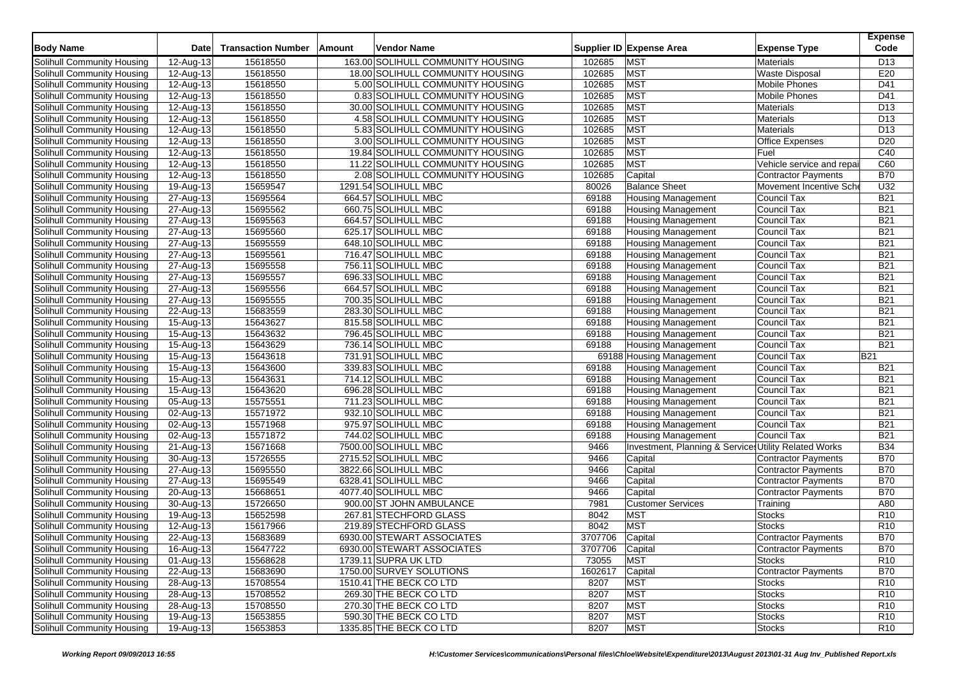| <b>Body Name</b>           | <b>Date</b>             | <b>Transaction Number</b> | Amount | <b>Vendor Name</b>                |         | Supplier ID Expense Area                              | <b>Expense Type</b>        | <b>Expense</b><br>Code |
|----------------------------|-------------------------|---------------------------|--------|-----------------------------------|---------|-------------------------------------------------------|----------------------------|------------------------|
| Solihull Community Housing | 12-Aug-13               | 15618550                  |        | 163.00 SOLIHULL COMMUNITY HOUSING | 102685  | <b>MST</b>                                            | <b>Materials</b>           | D <sub>13</sub>        |
| Solihull Community Housing | 12-Aug-13               | 15618550                  |        | 18.00 SOLIHULL COMMUNITY HOUSING  | 102685  | <b>MST</b>                                            | <b>Waste Disposal</b>      | E20                    |
| Solihull Community Housing | 12-Aug-13               | 15618550                  |        | 5.00 SOLIHULL COMMUNITY HOUSING   | 102685  | <b>MST</b>                                            | Mobile Phones              | D41                    |
| Solihull Community Housing | $\overline{12}$ -Aug-13 | 15618550                  |        | 0.83 SOLIHULL COMMUNITY HOUSING   | 102685  | <b>MST</b>                                            | <b>Mobile Phones</b>       | D41                    |
| Solihull Community Housing | 12-Aug-13               | 15618550                  |        | 30.00 SOLIHULL COMMUNITY HOUSING  | 102685  | <b>MST</b>                                            | <b>Materials</b>           | D <sub>13</sub>        |
| Solihull Community Housing | 12-Aug-13               | 15618550                  |        | 4.58 SOLIHULL COMMUNITY HOUSING   | 102685  | <b>MST</b>                                            | Materials                  | D <sub>13</sub>        |
| Solihull Community Housing | 12-Aug-13               | 15618550                  |        | 5.83 SOLIHULL COMMUNITY HOUSING   | 102685  | <b>MST</b>                                            | Materials                  | D <sub>13</sub>        |
| Solihull Community Housing | 12-Aug-13               | 15618550                  |        | 3.00 SOLIHULL COMMUNITY HOUSING   | 102685  | <b>MST</b>                                            | <b>Office Expenses</b>     | D <sub>20</sub>        |
| Solihull Community Housing | 12-Aug-13               | 15618550                  |        | 19.84 SOLIHULL COMMUNITY HOUSING  | 102685  | <b>MST</b>                                            | Fuel                       | C40                    |
| Solihull Community Housing | 12-Aug-13               | 15618550                  |        | 11.22 SOLIHULL COMMUNITY HOUSING  | 102685  | <b>MST</b>                                            | Vehicle service and repa   | C60                    |
| Solihull Community Housing | 12-Aug-13               | 15618550                  |        | 2.08 SOLIHULL COMMUNITY HOUSING   | 102685  | Capital                                               | <b>Contractor Payments</b> | <b>B70</b>             |
| Solihull Community Housing | 19-Aug-13               | 15659547                  |        | 1291.54 SOLIHULL MBC              | 80026   | <b>Balance Sheet</b>                                  | Movement Incentive Sche    | U32                    |
| Solihull Community Housing | 27-Aug-13               | 15695564                  |        | 664.57 SOLIHULL MBC               | 69188   | <b>Housing Management</b>                             | Council Tax                | <b>B21</b>             |
| Solihull Community Housing | 27-Aug-13               | 15695562                  |        | 660.75 SOLIHULL MBC               | 69188   | <b>Housing Management</b>                             | Council Tax                | <b>B21</b>             |
| Solihull Community Housing | 27-Aug-13               | 15695563                  |        | 664.57 SOLIHULL MBC               | 69188   | <b>Housing Management</b>                             | <b>Council Tax</b>         | <b>B21</b>             |
| Solihull Community Housing | 27-Aug-13               | 15695560                  |        | 625.17 SOLIHULL MBC               | 69188   | <b>Housing Management</b>                             | Council Tax                | <b>B21</b>             |
| Solihull Community Housing | 27-Aug-13               | 15695559                  |        | 648.10 SOLIHULL MBC               | 69188   | <b>Housing Management</b>                             | Council Tax                | <b>B21</b>             |
| Solihull Community Housing | 27-Aug-13               | 15695561                  |        | 716.47 SOLIHULL MBC               | 69188   | <b>Housing Management</b>                             | Council Tax                | <b>B21</b>             |
| Solihull Community Housing | 27-Aug-13               | 15695558                  |        | 756.11 SOLIHULL MBC               | 69188   | <b>Housing Management</b>                             | Council Tax                | <b>B21</b>             |
| Solihull Community Housing | 27-Aug-13               | 15695557                  |        | 696.33 SOLIHULL MBC               | 69188   | <b>Housing Management</b>                             | Council Tax                | <b>B21</b>             |
| Solihull Community Housing | 27-Aug-13               | 15695556                  |        | 664.57 SOLIHULL MBC               | 69188   | <b>Housing Management</b>                             | <b>Council Tax</b>         | <b>B21</b>             |
| Solihull Community Housing | 27-Aug-13               | 15695555                  |        | 700.35 SOLIHULL MBC               | 69188   | <b>Housing Management</b>                             | Council Tax                | <b>B21</b>             |
| Solihull Community Housing | 22-Aug-13               | 15683559                  |        | 283.30 SOLIHULL MBC               | 69188   | <b>Housing Management</b>                             | Council Tax                | <b>B21</b>             |
| Solihull Community Housing | 15-Aug-13               | 15643627                  |        | 815.58 SOLIHULL MBC               | 69188   | <b>Housing Management</b>                             | Council Tax                | <b>B21</b>             |
| Solihull Community Housing | 15-Aug-13               | 15643632                  |        | 796.45 SOLIHULL MBC               | 69188   | <b>Housing Management</b>                             | Council Tax                | <b>B21</b>             |
| Solihull Community Housing | 15-Aug-13               | 15643629                  |        | 736.14 SOLIHULL MBC               | 69188   | <b>Housing Management</b>                             | Council Tax                | <b>B21</b>             |
| Solihull Community Housing | 15-Aug-13               | 15643618                  |        | 731.91 SOLIHULL MBC               |         | 69188 Housing Management                              | <b>Council Tax</b>         | <b>B21</b>             |
| Solihull Community Housing | 15-Aug-13               | 15643600                  |        | 339.83 SOLIHULL MBC               | 69188   | <b>Housing Management</b>                             | Council Tax                | <b>B21</b>             |
| Solihull Community Housing | 15-Aug-13               | 15643631                  |        | 714.12 SOLIHULL MBC               | 69188   | <b>Housing Management</b>                             | Council Tax                | <b>B21</b>             |
| Solihull Community Housing | 15-Aug-13               | 15643620                  |        | 696.28 SOLIHULL MBC               | 69188   | <b>Housing Management</b>                             | <b>Council Tax</b>         | <b>B21</b>             |
| Solihull Community Housing | 05-Aug-13               | 15575551                  |        | 711.23 SOLIHULL MBC               | 69188   | <b>Housing Management</b>                             | Council Tax                | <b>B21</b>             |
| Solihull Community Housing | 02-Aug-13               | 15571972                  |        | 932.10 SOLIHULL MBC               | 69188   | <b>Housing Management</b>                             | Council Tax                | <b>B21</b>             |
| Solihull Community Housing | 02-Aug-13               | 15571968                  |        | 975.97 SOLIHULL MBC               | 69188   | <b>Housing Management</b>                             | Council Tax                | <b>B21</b>             |
| Solihull Community Housing | 02-Aug-13               | 15571872                  |        | 744.02 SOLIHULL MBC               | 69188   | <b>Housing Management</b>                             | Council Tax                | <b>B21</b>             |
| Solihull Community Housing | 21-Aug-13               | 15671668                  |        | 7500.00 SOLIHULL MBC              | 9466    | Investment, Planning & Services Utility Related Works |                            | <b>B34</b>             |
| Solihull Community Housing | 30-Aug-13               | 15726555                  |        | 2715.52 SOLIHULL MBC              | 9466    | Capital                                               | Contractor Payments        | <b>B70</b>             |
| Solihull Community Housing | 27-Aug-13               | 15695550                  |        | 3822.66 SOLIHULL MBC              | 9466    | Capital                                               | Contractor Payments        | <b>B70</b>             |
| Solihull Community Housing | 27-Aug-13               | 15695549                  |        | 6328.41 SOLIHULL MBC              | 9466    | Capital                                               | <b>Contractor Payments</b> | <b>B70</b>             |
| Solihull Community Housing | 20-Aug-13               | 15668651                  |        | 4077.40 SOLIHULL MBC              | 9466    | Capital                                               | Contractor Payments        | <b>B70</b>             |
| Solihull Community Housing | 30-Aug-13               | 15726650                  |        | 900.00 ST JOHN AMBULANCE          | 7981    | <b>Customer Services</b>                              | Training                   | A80                    |
| Solihull Community Housing | 19-Aug-13               | 15652598                  |        | 267.81 STECHFORD GLASS            | 8042    | <b>MST</b>                                            | <b>Stocks</b>              | R <sub>10</sub>        |
| Solihull Community Housing | 12-Aug-13               | 15617966                  |        | 219.89 STECHFORD GLASS            | 8042    | <b>MST</b>                                            | <b>Stocks</b>              | R <sub>10</sub>        |
| Solihull Community Housing | 22-Aug-13               | 15683689                  |        | 6930.00 STEWART ASSOCIATES        | 3707706 | Capital                                               | <b>Contractor Payments</b> | <b>B70</b>             |
| Solihull Community Housing | 16-Aug-13               | 15647722                  |        | 6930.00 STEWART ASSOCIATES        | 3707706 | Capital                                               | Contractor Payments        | <b>B70</b>             |
| Solihull Community Housing | 01-Aug-13               | 15568628                  |        | 1739.11 SUPRA UK LTD              | 73055   | MST                                                   | <b>Stocks</b>              | R <sub>10</sub>        |
| Solihull Community Housing | 22-Aug-13               | 15683690                  |        | 1750.00 SURVEY SOLUTIONS          | 1602617 | Capital                                               | Contractor Payments        | <b>B70</b>             |
| Solihull Community Housing | 28-Aug-13               | 15708554                  |        | 1510.41 THE BECK CO LTD           | 8207    | <b>MST</b>                                            | <b>Stocks</b>              | R <sub>10</sub>        |
| Solihull Community Housing | 28-Aug-13               | 15708552                  |        | 269.30 THE BECK CO LTD            | 8207    | <b>MST</b>                                            | <b>Stocks</b>              | R <sub>10</sub>        |
| Solihull Community Housing | 28-Aug-13               | 15708550                  |        | 270.30 THE BECK CO LTD            | 8207    | <b>MST</b>                                            | <b>Stocks</b>              | R <sub>10</sub>        |
| Solihull Community Housing | 19-Aug-13               | 15653855                  |        | 590.30 THE BECK CO LTD            | 8207    | <b>MST</b>                                            | <b>Stocks</b>              | R <sub>10</sub>        |
| Solihull Community Housing | 19-Aug-13               | 15653853                  |        | 1335.85 THE BECK CO LTD           | 8207    | <b>MST</b>                                            | <b>Stocks</b>              | R <sub>10</sub>        |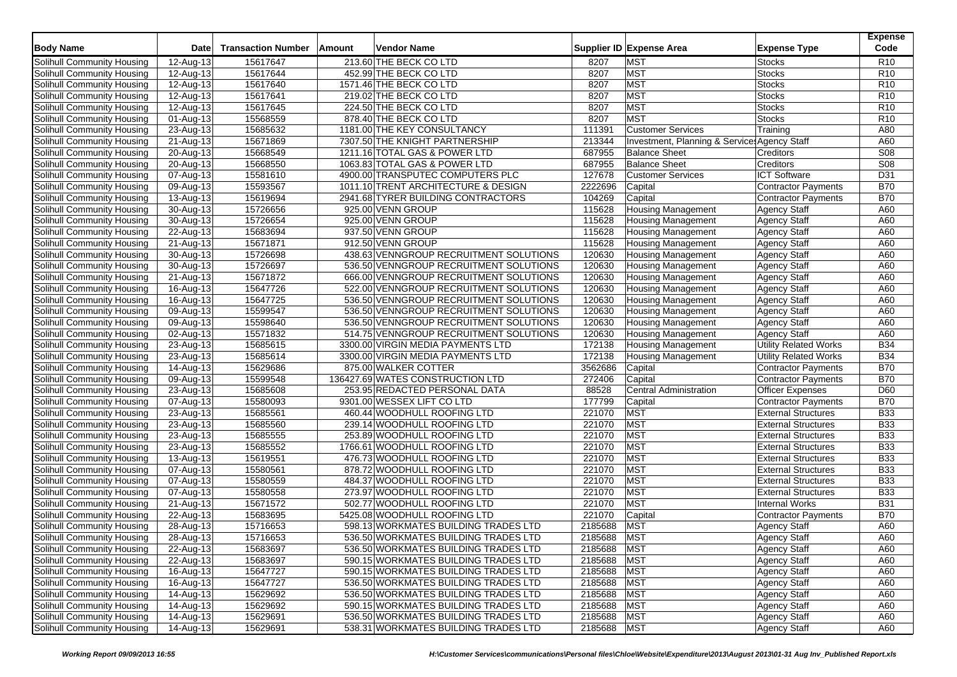| <b>Body Name</b>                                         | <b>Date</b>             | <b>Transaction Number</b> | Amount | Vendor Name                                                 |                  | Supplier ID Expense Area                     | <b>Expense Type</b>                                      | <b>Expense</b><br>Code   |
|----------------------------------------------------------|-------------------------|---------------------------|--------|-------------------------------------------------------------|------------------|----------------------------------------------|----------------------------------------------------------|--------------------------|
| Solihull Community Housing                               | 12-Aug-13               | 15617647                  |        | 213.60 THE BECK CO LTD                                      | 8207             | <b>MST</b>                                   | <b>Stocks</b>                                            | R <sub>10</sub>          |
| Solihull Community Housing                               | 12-Aug-13               | 15617644                  |        | 452.99 THE BECK CO LTD                                      | 8207             | <b>MST</b>                                   | <b>Stocks</b>                                            | R <sub>10</sub>          |
| Solihull Community Housing                               | 12-Aug-13               | 15617640                  |        | 1571.46 THE BECK CO LTD                                     | 8207             | <b>MST</b>                                   | <b>Stocks</b>                                            | R <sub>10</sub>          |
| Solihull Community Housing                               | 12-Aug-13               | 15617641                  |        | 219.02 THE BECK CO LTD                                      | 8207             | MST                                          | <b>Stocks</b>                                            | R <sub>10</sub>          |
| Solihull Community Housing                               | 12-Aug-13               | 15617645                  |        | 224.50 THE BECK CO LTD                                      | 8207             | <b>MST</b>                                   | <b>Stocks</b>                                            | R <sub>10</sub>          |
| Solihull Community Housing                               | 01-Aug-13               | 15568559                  |        | 878.40 THE BECK CO LTD                                      | 8207             | <b>MST</b>                                   | <b>Stocks</b>                                            | R <sub>10</sub>          |
| Solihull Community Housing                               | 23-Aug-13               | 15685632                  |        | 1181.00 THE KEY CONSULTANCY                                 | 111391           | <b>Customer Services</b>                     | Training                                                 | A80                      |
| Solihull Community Housing                               | 21-Aug-13               | 15671869                  |        | 7307.50 THE KNIGHT PARTNERSHIP                              | 213344           | Investment, Planning & Service: Agency Staff |                                                          | A60                      |
| Solihull Community Housing                               | 20-Aug-13               | 15668549                  |        | 1211.16 TOTAL GAS & POWER LTD                               | 687955           | <b>Balance Sheet</b>                         | Creditors                                                | S08                      |
| Solihull Community Housing                               | 20-Aug-13               | 15668550                  |        | 1063.83 TOTAL GAS & POWER LTD                               | 687955           | <b>Balance Sheet</b>                         | Creditors                                                | S <sub>08</sub>          |
| Solihull Community Housing                               | 07-Aug-13               | 15581610                  |        | 4900.00 TRANSPUTEC COMPUTERS PLC                            | 127678           | <b>Customer Services</b>                     | <b>ICT Software</b>                                      | D31                      |
| Solihull Community Housing                               | 09-Aug-13               | 15593567                  |        | 1011.10 TRENT ARCHITECTURE & DESIGN                         | 2222696          | Capital                                      | <b>Contractor Payments</b>                               | <b>B70</b>               |
| Solihull Community Housing                               | 13-Aug-13               | 15619694                  |        | 2941.68 TYRER BUILDING CONTRACTORS                          | 104269           | Capital                                      | <b>Contractor Payments</b>                               | <b>B70</b>               |
| Solihull Community Housing                               | 30-Aug-13               | 15726656                  |        | 925.00 VENN GROUP                                           | 115628           | <b>Housing Management</b>                    | <b>Agency Staff</b>                                      | A60                      |
| Solihull Community Housing                               | $\overline{30}$ -Aug-13 | 15726654                  |        | 925.00 VENN GROUP                                           | 115628           | <b>Housing Management</b>                    | <b>Agency Staff</b>                                      | A60                      |
| Solihull Community Housing                               | 22-Aug-13               | 15683694                  |        | 937.50 VENN GROUP                                           | 115628           | <b>Housing Management</b>                    | <b>Agency Staff</b>                                      | A60                      |
| Solihull Community Housing                               | 21-Aug-13               | 15671871                  |        | 912.50 VENN GROUP                                           | 115628           | <b>Housing Management</b>                    | <b>Agency Staff</b>                                      | A60                      |
| Solihull Community Housing                               | 30-Aug-13               | 15726698                  |        | 438.63 VENNGROUP RECRUITMENT SOLUTIONS                      | 120630           | <b>Housing Management</b>                    | <b>Agency Staff</b>                                      | A60                      |
| Solihull Community Housing                               | 30-Aug-13               | 15726697                  |        | 536.50 VENNGROUP RECRUITMENT SOLUTIONS                      | 120630           | <b>Housing Management</b>                    | <b>Agency Staff</b>                                      | A60                      |
| Solihull Community Housing                               | 21-Aug-13               | 15671872                  |        | 666.00 VENNGROUP RECRUITMENT SOLUTIONS                      | 120630           | <b>Housing Management</b>                    | <b>Agency Staff</b>                                      | A60                      |
| Solihull Community Housing                               | 16-Aug-13               | 15647726                  |        | 522.00 VENNGROUP RECRUITMENT SOLUTIONS                      | 120630           | <b>Housing Management</b>                    | <b>Agency Staff</b>                                      | A60                      |
| Solihull Community Housing                               | 16-Aug-13               | 15647725                  |        | 536.50 VENNGROUP RECRUITMENT SOLUTIONS                      | 120630           | <b>Housing Management</b>                    | <b>Agency Staff</b>                                      | A60                      |
| Solihull Community Housing                               | 09-Aug-13               | 15599547                  |        | 536.50 VENNGROUP RECRUITMENT SOLUTIONS                      | 120630           | <b>Housing Management</b>                    | <b>Agency Staff</b>                                      | A60                      |
| Solihull Community Housing                               | 09-Aug-13               | 15598640                  |        | 536.50 VENNGROUP RECRUITMENT SOLUTIONS                      | 120630           | <b>Housing Management</b>                    | <b>Agency Staff</b>                                      | A60                      |
| Solihull Community Housing                               | 02-Aug-13               | 15571832                  |        | 514.75 VENNGROUP RECRUITMENT SOLUTIONS                      | 120630           | <b>Housing Management</b>                    | <b>Agency Staff</b>                                      | A60                      |
| Solihull Community Housing                               | 23-Aug-13               | 15685615                  |        | 3300.00 VIRGIN MEDIA PAYMENTS LTD                           | 172138           | <b>Housing Management</b>                    | <b>Utility Related Works</b>                             | <b>B34</b>               |
| Solihull Community Housing                               | 23-Aug-13               | 15685614                  |        | 3300.00 VIRGIN MEDIA PAYMENTS LTD                           | 172138           | <b>Housing Management</b>                    | Utility Related Works                                    | <b>B34</b>               |
| Solihull Community Housing                               | 14-Aug-13               | 15629686                  |        | 875.00 WALKER COTTER                                        | 3562686          | Capital                                      | <b>Contractor Payments</b>                               | <b>B70</b>               |
| Solihull Community Housing                               | 09-Aug-13               | 15599548                  |        | 136427.69 WATES CONSTRUCTION LTD                            | 272406           | Capital                                      | <b>Contractor Payments</b>                               | <b>B70</b>               |
| Solihull Community Housing                               | 23-Aug-13               | 15685608                  |        | 253.95 REDACTED PERSONAL DATA                               | 88528            | <b>Central Administration</b>                | <b>Officer Expenses</b>                                  | D60                      |
|                                                          |                         | 15580093                  |        | 9301.00 WESSEX LIFT CO LTD                                  | 177799           |                                              | <b>Contractor Payments</b>                               | <b>B70</b>               |
| Solihull Community Housing<br>Solihull Community Housing | 07-Aug-13               | 15685561                  |        | 460.44 WOODHULL ROOFING LTD                                 | 221070           | Capital<br><b>MST</b>                        | <b>External Structures</b>                               | <b>B33</b>               |
|                                                          | 23-Aug-13               |                           |        | 239.14 WOODHULL ROOFING LTD                                 | 221070           | <b>MST</b>                                   |                                                          | <b>B33</b>               |
| Solihull Community Housing                               | 23-Aug-13<br>23-Aug-13  | 15685560<br>15685555      |        | 253.89 WOODHULL ROOFING LTD                                 | 221070           | <b>MST</b>                                   | <b>External Structures</b><br><b>External Structures</b> | <b>B33</b>               |
| Solihull Community Housing                               |                         |                           |        |                                                             |                  | MST                                          |                                                          |                          |
| Solihull Community Housing                               | 23-Aug-13               | 15685552<br>15619551      |        | 1766.61 WOODHULL ROOFING LTD<br>476.73 WOODHULL ROOFING LTD | 221070<br>221070 | <b>MST</b>                                   | <b>External Structures</b><br><b>External Structures</b> | <b>B33</b><br><b>B33</b> |
| Solihull Community Housing                               | 13-Aug-13               |                           |        |                                                             |                  | <b>MST</b>                                   |                                                          |                          |
| Solihull Community Housing<br>Solihull Community Housing | 07-Aug-13               | 15580561<br>15580559      |        | 878.72 WOODHULL ROOFING LTD<br>484.37 WOODHULL ROOFING LTD  | 221070<br>221070 | <b>MST</b>                                   | <b>External Structures</b><br><b>External Structures</b> | <b>B33</b><br><b>B33</b> |
|                                                          | 07-Aug-13               | 15580558                  |        | 273.97 WOODHULL ROOFING LTD                                 | 221070           | <b>MST</b>                                   | <b>External Structures</b>                               | <b>B33</b>               |
| Solihull Community Housing                               | 07-Aug-13               |                           |        |                                                             |                  | <b>MST</b>                                   |                                                          |                          |
| Solihull Community Housing                               | 21-Aug-13               | 15671572                  |        | 502.77 WOODHULL ROOFING LTD                                 | 221070           |                                              | <b>Internal Works</b>                                    | <b>B31</b>               |
| Solihull Community Housing                               | 22-Aug-13               | 15683695                  |        | 5425.08 WOODHULL ROOFING LTD                                | 221070           | Capital<br><b>MST</b>                        | <b>Contractor Payments</b>                               | <b>B70</b>               |
| Solihull Community Housing                               | 28-Aug-13               | 15716653                  |        | 598.13 WORKMATES BUILDING TRADES LTD                        | 2185688          |                                              | <b>Agency Staff</b>                                      | A60                      |
| Solihull Community Housing                               | 28-Aug-13               | 15716653                  |        | 536.50 WORKMATES BUILDING TRADES LTD                        | 2185688          | <b>MST</b>                                   | <b>Agency Staff</b>                                      | A60                      |
| Solihull Community Housing                               | 22-Aug-13               | 15683697                  |        | 536.50 WORKMATES BUILDING TRADES LTD                        | 2185688 MST      |                                              | <b>Agency Staff</b>                                      | A60                      |
| Solihull Community Housing                               | $22-Aug-13$             | 15683697                  |        | 590.15 WORKMATES BUILDING TRADES LTD                        | 2185688          | <b>MST</b>                                   | <b>Agency Staff</b>                                      | A60                      |
| Solihull Community Housing                               | 16-Aug-13               | 15647727                  |        | 590.15 WORKMATES BUILDING TRADES LTD                        | 2185688          | <b>MST</b>                                   | <b>Agency Staff</b>                                      | A60                      |
| Solihull Community Housing                               | 16-Aug-13               | 15647727                  |        | 536.50 WORKMATES BUILDING TRADES LTD                        | 2185688          | <b>MST</b>                                   | <b>Agency Staff</b>                                      | A60                      |
| Solihull Community Housing                               | 14-Aug-13               | 15629692                  |        | 536.50 WORKMATES BUILDING TRADES LTD                        | 2185688          | <b>MST</b>                                   | <b>Agency Staff</b>                                      | A60                      |
| Solihull Community Housing                               | 14-Aug-13               | 15629692                  |        | 590.15 WORKMATES BUILDING TRADES LTD                        | 2185688          | <b>MST</b>                                   | <b>Agency Staff</b>                                      | A60                      |
| Solihull Community Housing                               | 14-Aug-13               | 15629691                  |        | 536.50 WORKMATES BUILDING TRADES LTD                        | 2185688          | <b>MST</b>                                   | <b>Agency Staff</b>                                      | A60                      |
| Solihull Community Housing                               | 14-Aug-13               | 15629691                  |        | 538.31 WORKMATES BUILDING TRADES LTD                        | 2185688 MST      |                                              | <b>Agency Staff</b>                                      | A60                      |